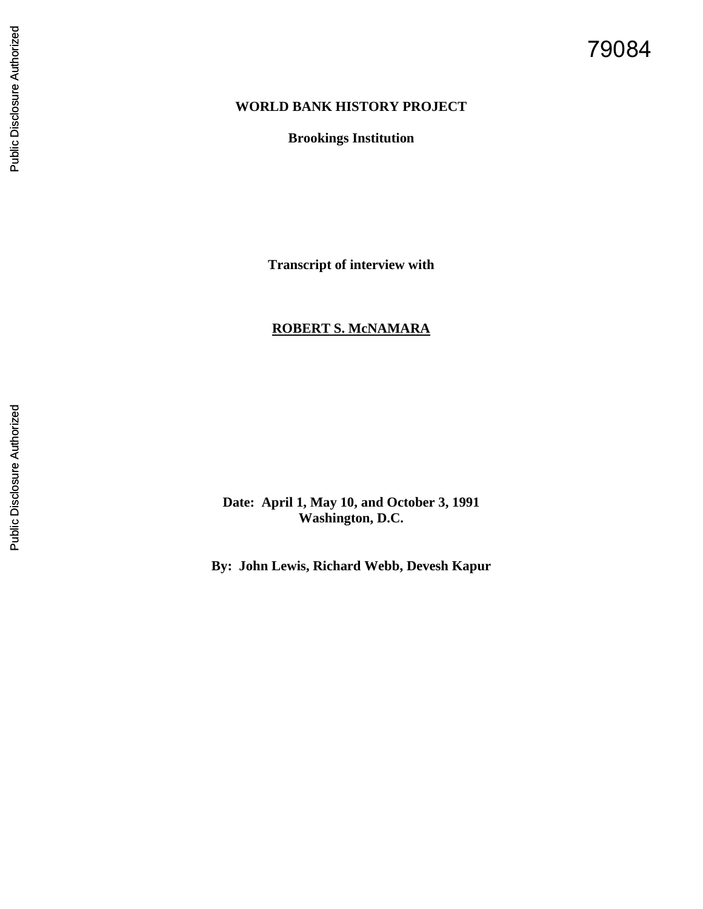# 79084

## **WORLD BANK HISTORY PROJECT**

**Brookings Institution**

**Transcript of interview with** 

# **ROBERT S. McNAMARA**

**Date: April 1, May 10, and October 3, 1991 Washington, D.C.**

**By: John Lewis, Richard Webb, Devesh Kapur**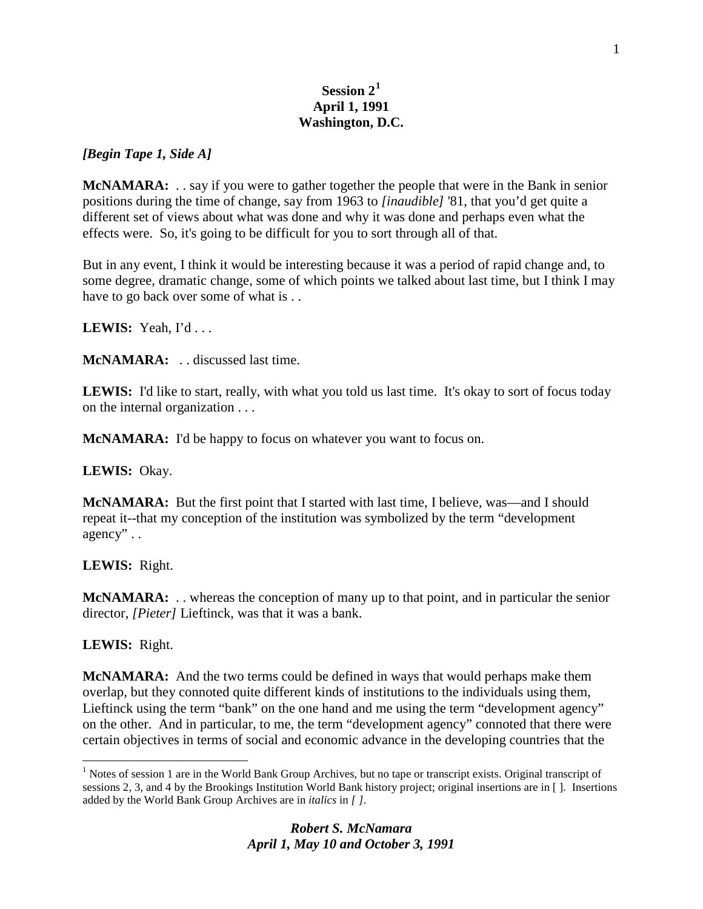# **Session 2[1](#page-1-0) April 1, 1991 Washington, D.C.**

## *[Begin Tape 1, Side A]*

**McNAMARA:** . . say if you were to gather together the people that were in the Bank in senior positions during the time of change, say from 1963 to *[inaudible]* '81, that you'd get quite a different set of views about what was done and why it was done and perhaps even what the effects were. So, it's going to be difficult for you to sort through all of that.

But in any event, I think it would be interesting because it was a period of rapid change and, to some degree, dramatic change, some of which points we talked about last time, but I think I may have to go back over some of what is ...

**LEWIS:** Yeah, I'd . . .

**McNAMARA:** . . discussed last time.

LEWIS: I'd like to start, really, with what you told us last time. It's okay to sort of focus today on the internal organization . . .

**McNAMARA:** I'd be happy to focus on whatever you want to focus on.

**LEWIS:** Okay.

**McNAMARA:** But the first point that I started with last time, I believe, was—and I should repeat it--that my conception of the institution was symbolized by the term "development agency" . .

## **LEWIS:** Right.

**McNAMARA:** . . whereas the conception of many up to that point, and in particular the senior director, *[Pieter]* Lieftinck, was that it was a bank.

**LEWIS:** Right.

**McNAMARA:** And the two terms could be defined in ways that would perhaps make them overlap, but they connoted quite different kinds of institutions to the individuals using them, Lieftinck using the term "bank" on the one hand and me using the term "development agency" on the other. And in particular, to me, the term "development agency" connoted that there were certain objectives in terms of social and economic advance in the developing countries that the

<span id="page-1-0"></span><sup>&</sup>lt;sup>1</sup> Notes of session 1 are in the World Bank Group Archives, but no tape or transcript exists. Original transcript of sessions 2, 3, and 4 by the Brookings Institution World Bank history project; original insertions are in [ ]. Insertions added by the World Bank Group Archives are in *italics* in *[ ]*.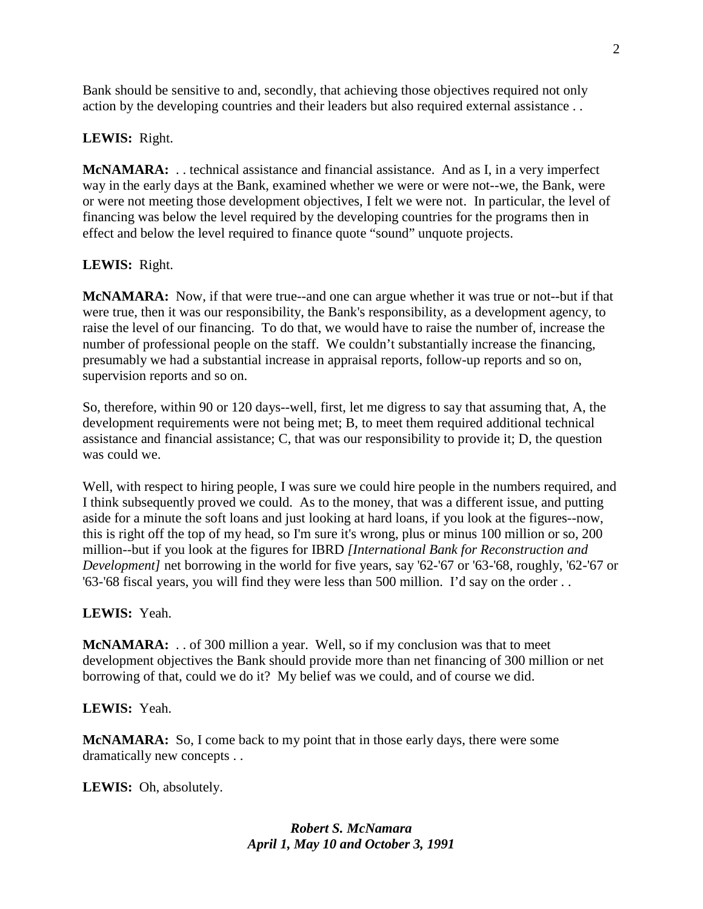Bank should be sensitive to and, secondly, that achieving those objectives required not only action by the developing countries and their leaders but also required external assistance . .

# **LEWIS:** Right.

**McNAMARA:** . . technical assistance and financial assistance. And as I, in a very imperfect way in the early days at the Bank, examined whether we were or were not--we, the Bank, were or were not meeting those development objectives, I felt we were not. In particular, the level of financing was below the level required by the developing countries for the programs then in effect and below the level required to finance quote "sound" unquote projects.

# **LEWIS:** Right.

**McNAMARA:** Now, if that were true--and one can argue whether it was true or not--but if that were true, then it was our responsibility, the Bank's responsibility, as a development agency, to raise the level of our financing. To do that, we would have to raise the number of, increase the number of professional people on the staff. We couldn't substantially increase the financing, presumably we had a substantial increase in appraisal reports, follow-up reports and so on, supervision reports and so on.

So, therefore, within 90 or 120 days--well, first, let me digress to say that assuming that, A, the development requirements were not being met; B, to meet them required additional technical assistance and financial assistance; C, that was our responsibility to provide it; D, the question was could we.

Well, with respect to hiring people, I was sure we could hire people in the numbers required, and I think subsequently proved we could. As to the money, that was a different issue, and putting aside for a minute the soft loans and just looking at hard loans, if you look at the figures--now, this is right off the top of my head, so I'm sure it's wrong, plus or minus 100 million or so, 200 million--but if you look at the figures for IBRD *[International Bank for Reconstruction and Development]* net borrowing in the world for five years, say '62-'67 or '63-'68, roughly, '62-'67 or '63-'68 fiscal years, you will find they were less than 500 million. I'd say on the order . .

## **LEWIS:** Yeah.

**McNAMARA:** . . of 300 million a year. Well, so if my conclusion was that to meet development objectives the Bank should provide more than net financing of 300 million or net borrowing of that, could we do it? My belief was we could, and of course we did.

# **LEWIS:** Yeah.

**McNAMARA:** So, I come back to my point that in those early days, there were some dramatically new concepts . .

**LEWIS:** Oh, absolutely.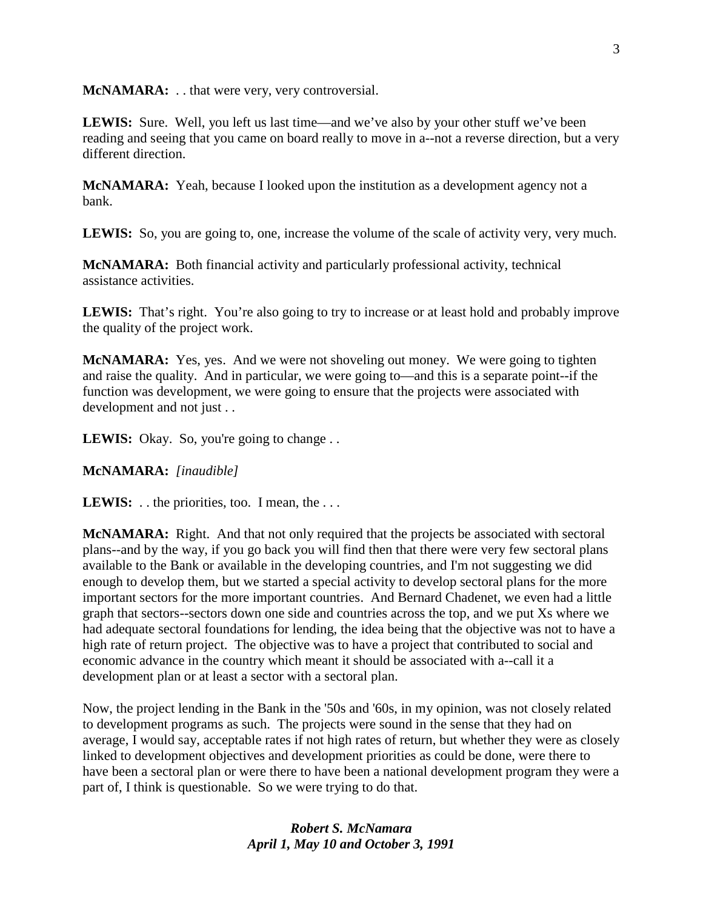**McNAMARA:** . . that were very, very controversial.

**LEWIS:** Sure. Well, you left us last time—and we've also by your other stuff we've been reading and seeing that you came on board really to move in a--not a reverse direction, but a very different direction.

**McNAMARA:** Yeah, because I looked upon the institution as a development agency not a bank.

**LEWIS:** So, you are going to, one, increase the volume of the scale of activity very, very much.

**McNAMARA:** Both financial activity and particularly professional activity, technical assistance activities.

**LEWIS:** That's right. You're also going to try to increase or at least hold and probably improve the quality of the project work.

**McNAMARA:** Yes, yes. And we were not shoveling out money. We were going to tighten and raise the quality. And in particular, we were going to—and this is a separate point--if the function was development, we were going to ensure that the projects were associated with development and not just . .

LEWIS: Okay. So, you're going to change . .

**McNAMARA:** *[inaudible]*

**LEWIS:** . . the priorities, too. I mean, the . . .

**McNAMARA:** Right. And that not only required that the projects be associated with sectoral plans--and by the way, if you go back you will find then that there were very few sectoral plans available to the Bank or available in the developing countries, and I'm not suggesting we did enough to develop them, but we started a special activity to develop sectoral plans for the more important sectors for the more important countries. And Bernard Chadenet, we even had a little graph that sectors--sectors down one side and countries across the top, and we put Xs where we had adequate sectoral foundations for lending, the idea being that the objective was not to have a high rate of return project. The objective was to have a project that contributed to social and economic advance in the country which meant it should be associated with a--call it a development plan or at least a sector with a sectoral plan.

Now, the project lending in the Bank in the '50s and '60s, in my opinion, was not closely related to development programs as such. The projects were sound in the sense that they had on average, I would say, acceptable rates if not high rates of return, but whether they were as closely linked to development objectives and development priorities as could be done, were there to have been a sectoral plan or were there to have been a national development program they were a part of, I think is questionable. So we were trying to do that.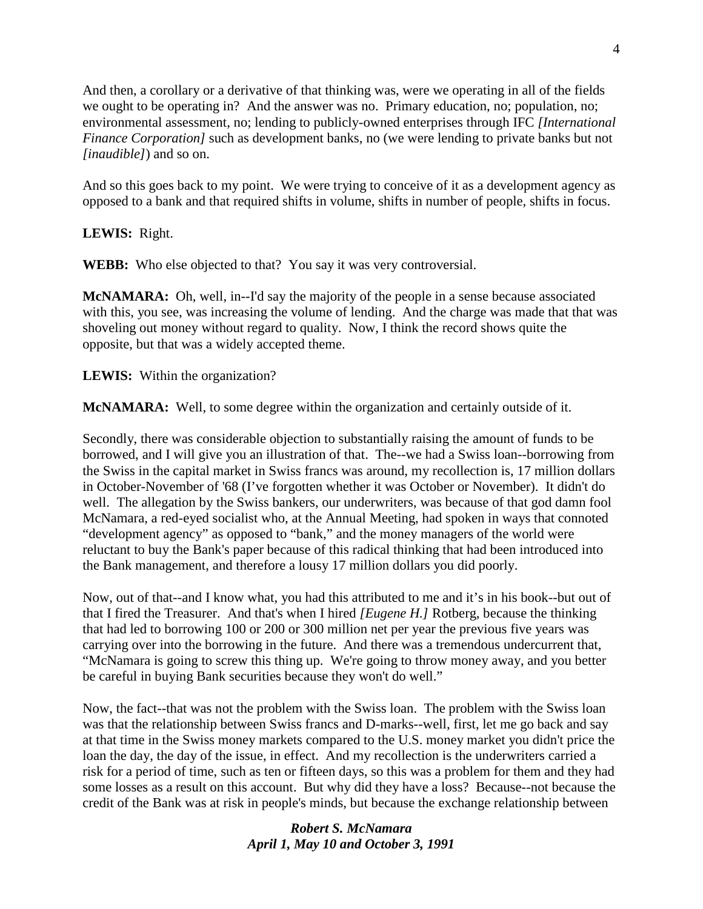And then, a corollary or a derivative of that thinking was, were we operating in all of the fields we ought to be operating in? And the answer was no. Primary education, no; population, no; environmental assessment, no; lending to publicly-owned enterprises through IFC *[International Finance Corporation]* such as development banks, no (we were lending to private banks but not *[inaudible]*) and so on.

And so this goes back to my point. We were trying to conceive of it as a development agency as opposed to a bank and that required shifts in volume, shifts in number of people, shifts in focus.

**LEWIS:** Right.

**WEBB:** Who else objected to that? You say it was very controversial.

**McNAMARA:** Oh, well, in--I'd say the majority of the people in a sense because associated with this, you see, was increasing the volume of lending. And the charge was made that that was shoveling out money without regard to quality. Now, I think the record shows quite the opposite, but that was a widely accepted theme.

**LEWIS:** Within the organization?

**McNAMARA:** Well, to some degree within the organization and certainly outside of it.

Secondly, there was considerable objection to substantially raising the amount of funds to be borrowed, and I will give you an illustration of that. The--we had a Swiss loan--borrowing from the Swiss in the capital market in Swiss francs was around, my recollection is, 17 million dollars in October-November of '68 (I've forgotten whether it was October or November). It didn't do well. The allegation by the Swiss bankers, our underwriters, was because of that god damn fool McNamara, a red-eyed socialist who, at the Annual Meeting, had spoken in ways that connoted "development agency" as opposed to "bank," and the money managers of the world were reluctant to buy the Bank's paper because of this radical thinking that had been introduced into the Bank management, and therefore a lousy 17 million dollars you did poorly.

Now, out of that--and I know what, you had this attributed to me and it's in his book--but out of that I fired the Treasurer. And that's when I hired *[Eugene H.]* Rotberg, because the thinking that had led to borrowing 100 or 200 or 300 million net per year the previous five years was carrying over into the borrowing in the future. And there was a tremendous undercurrent that, "McNamara is going to screw this thing up. We're going to throw money away, and you better be careful in buying Bank securities because they won't do well."

Now, the fact--that was not the problem with the Swiss loan. The problem with the Swiss loan was that the relationship between Swiss francs and D-marks--well, first, let me go back and say at that time in the Swiss money markets compared to the U.S. money market you didn't price the loan the day, the day of the issue, in effect. And my recollection is the underwriters carried a risk for a period of time, such as ten or fifteen days, so this was a problem for them and they had some losses as a result on this account. But why did they have a loss? Because--not because the credit of the Bank was at risk in people's minds, but because the exchange relationship between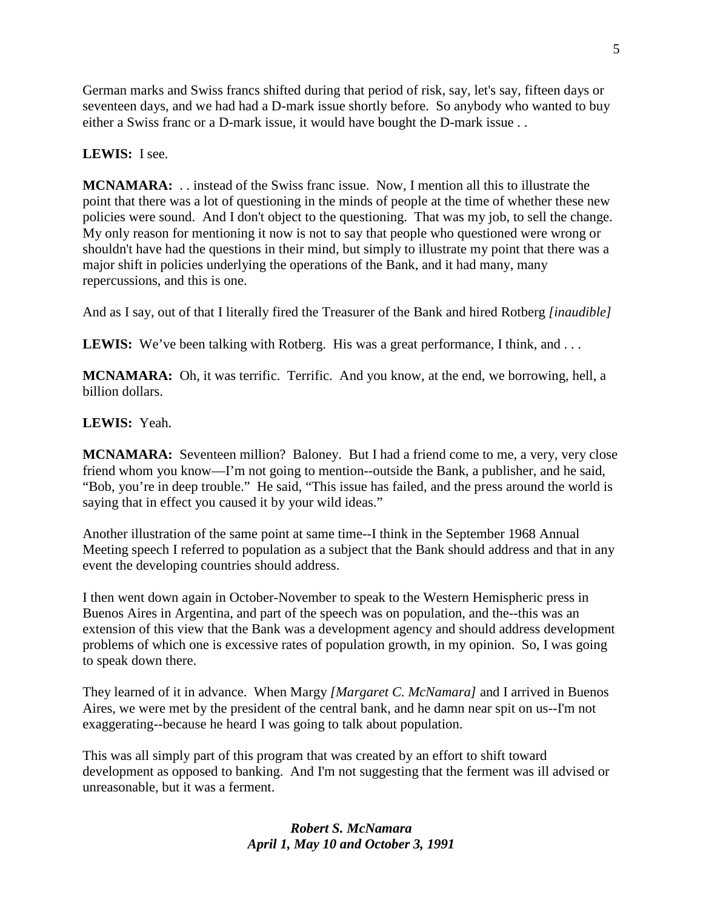German marks and Swiss francs shifted during that period of risk, say, let's say, fifteen days or seventeen days, and we had had a D-mark issue shortly before. So anybody who wanted to buy either a Swiss franc or a D-mark issue, it would have bought the D-mark issue . .

# **LEWIS:** I see.

**MCNAMARA:** . . instead of the Swiss franc issue. Now, I mention all this to illustrate the point that there was a lot of questioning in the minds of people at the time of whether these new policies were sound. And I don't object to the questioning. That was my job, to sell the change. My only reason for mentioning it now is not to say that people who questioned were wrong or shouldn't have had the questions in their mind, but simply to illustrate my point that there was a major shift in policies underlying the operations of the Bank, and it had many, many repercussions, and this is one.

And as I say, out of that I literally fired the Treasurer of the Bank and hired Rotberg *[inaudible]*

**LEWIS:** We've been talking with Rotberg. His was a great performance, I think, and ...

**MCNAMARA:** Oh, it was terrific. Terrific. And you know, at the end, we borrowing, hell, a billion dollars.

# **LEWIS:** Yeah.

**MCNAMARA:** Seventeen million? Baloney. But I had a friend come to me, a very, very close friend whom you know—I'm not going to mention--outside the Bank, a publisher, and he said, "Bob, you're in deep trouble." He said, "This issue has failed, and the press around the world is saying that in effect you caused it by your wild ideas."

Another illustration of the same point at same time--I think in the September 1968 Annual Meeting speech I referred to population as a subject that the Bank should address and that in any event the developing countries should address.

I then went down again in October-November to speak to the Western Hemispheric press in Buenos Aires in Argentina, and part of the speech was on population, and the--this was an extension of this view that the Bank was a development agency and should address development problems of which one is excessive rates of population growth, in my opinion. So, I was going to speak down there.

They learned of it in advance. When Margy *[Margaret C. McNamara]* and I arrived in Buenos Aires, we were met by the president of the central bank, and he damn near spit on us--I'm not exaggerating--because he heard I was going to talk about population.

This was all simply part of this program that was created by an effort to shift toward development as opposed to banking. And I'm not suggesting that the ferment was ill advised or unreasonable, but it was a ferment.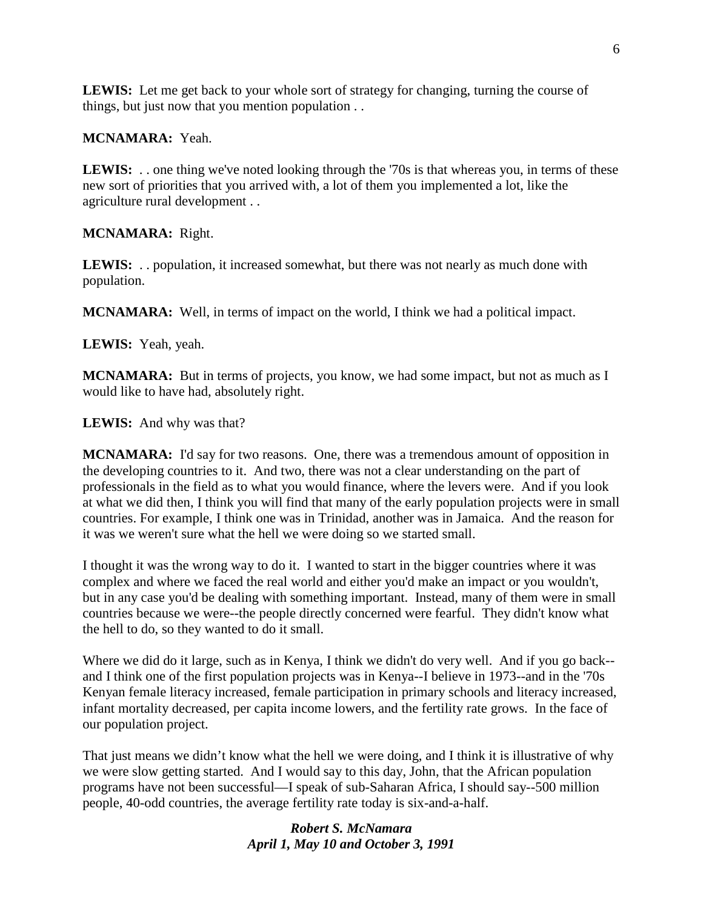**LEWIS:** Let me get back to your whole sort of strategy for changing, turning the course of things, but just now that you mention population . .

# **MCNAMARA:** Yeah.

LEWIS: . . one thing we've noted looking through the '70s is that whereas you, in terms of these new sort of priorities that you arrived with, a lot of them you implemented a lot, like the agriculture rural development . .

# **MCNAMARA:** Right.

**LEWIS:** . . population, it increased somewhat, but there was not nearly as much done with population.

**MCNAMARA:** Well, in terms of impact on the world, I think we had a political impact.

**LEWIS:** Yeah, yeah.

**MCNAMARA:** But in terms of projects, you know, we had some impact, but not as much as I would like to have had, absolutely right.

**LEWIS:** And why was that?

**MCNAMARA:** I'd say for two reasons. One, there was a tremendous amount of opposition in the developing countries to it. And two, there was not a clear understanding on the part of professionals in the field as to what you would finance, where the levers were. And if you look at what we did then, I think you will find that many of the early population projects were in small countries. For example, I think one was in Trinidad, another was in Jamaica. And the reason for it was we weren't sure what the hell we were doing so we started small.

I thought it was the wrong way to do it. I wanted to start in the bigger countries where it was complex and where we faced the real world and either you'd make an impact or you wouldn't, but in any case you'd be dealing with something important. Instead, many of them were in small countries because we were--the people directly concerned were fearful. They didn't know what the hell to do, so they wanted to do it small.

Where we did do it large, such as in Kenya, I think we didn't do very well. And if you go back- and I think one of the first population projects was in Kenya--I believe in 1973--and in the '70s Kenyan female literacy increased, female participation in primary schools and literacy increased, infant mortality decreased, per capita income lowers, and the fertility rate grows. In the face of our population project.

That just means we didn't know what the hell we were doing, and I think it is illustrative of why we were slow getting started. And I would say to this day, John, that the African population programs have not been successful—I speak of sub-Saharan Africa, I should say--500 million people, 40-odd countries, the average fertility rate today is six-and-a-half.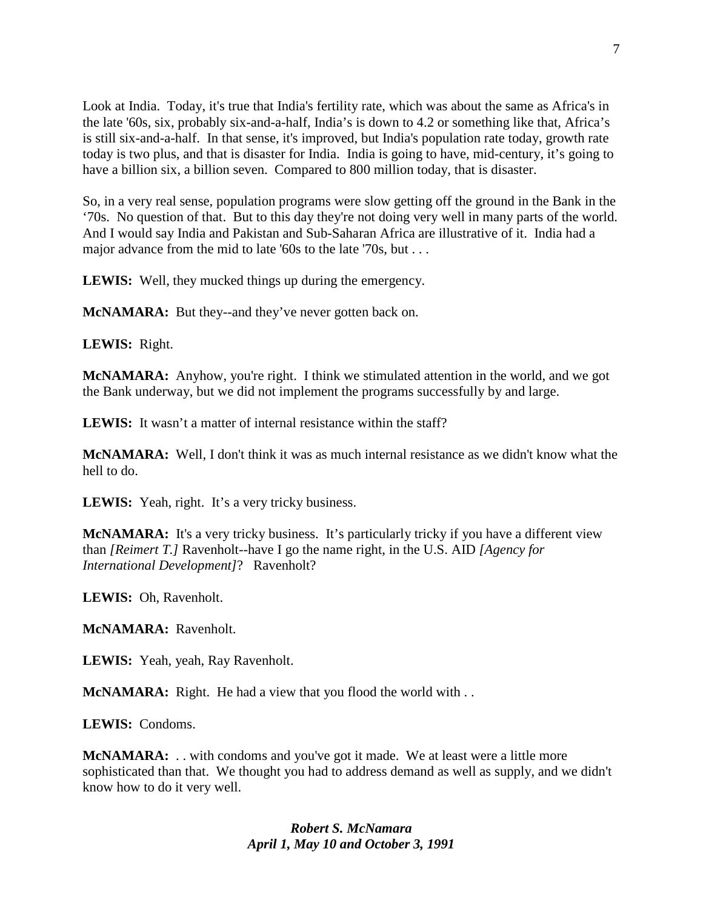Look at India. Today, it's true that India's fertility rate, which was about the same as Africa's in the late '60s, six, probably six-and-a-half, India's is down to 4.2 or something like that, Africa's is still six-and-a-half. In that sense, it's improved, but India's population rate today, growth rate today is two plus, and that is disaster for India. India is going to have, mid-century, it's going to have a billion six, a billion seven. Compared to 800 million today, that is disaster.

So, in a very real sense, population programs were slow getting off the ground in the Bank in the '70s. No question of that. But to this day they're not doing very well in many parts of the world. And I would say India and Pakistan and Sub-Saharan Africa are illustrative of it. India had a major advance from the mid to late '60s to the late '70s, but . . .

**LEWIS:** Well, they mucked things up during the emergency.

**McNAMARA:** But they--and they've never gotten back on.

**LEWIS:** Right.

**McNAMARA:** Anyhow, you're right. I think we stimulated attention in the world, and we got the Bank underway, but we did not implement the programs successfully by and large.

**LEWIS:** It wasn't a matter of internal resistance within the staff?

**McNAMARA:** Well, I don't think it was as much internal resistance as we didn't know what the hell to do.

LEWIS: Yeah, right. It's a very tricky business.

**McNAMARA:** It's a very tricky business. It's particularly tricky if you have a different view than *[Reimert T.]* Ravenholt--have I go the name right, in the U.S. AID *[Agency for International Development]*? Ravenholt?

**LEWIS:** Oh, Ravenholt.

**McNAMARA:** Ravenholt.

**LEWIS:** Yeah, yeah, Ray Ravenholt.

**McNAMARA:** Right. He had a view that you flood the world with . .

**LEWIS:** Condoms.

**McNAMARA:** . . with condoms and you've got it made. We at least were a little more sophisticated than that. We thought you had to address demand as well as supply, and we didn't know how to do it very well.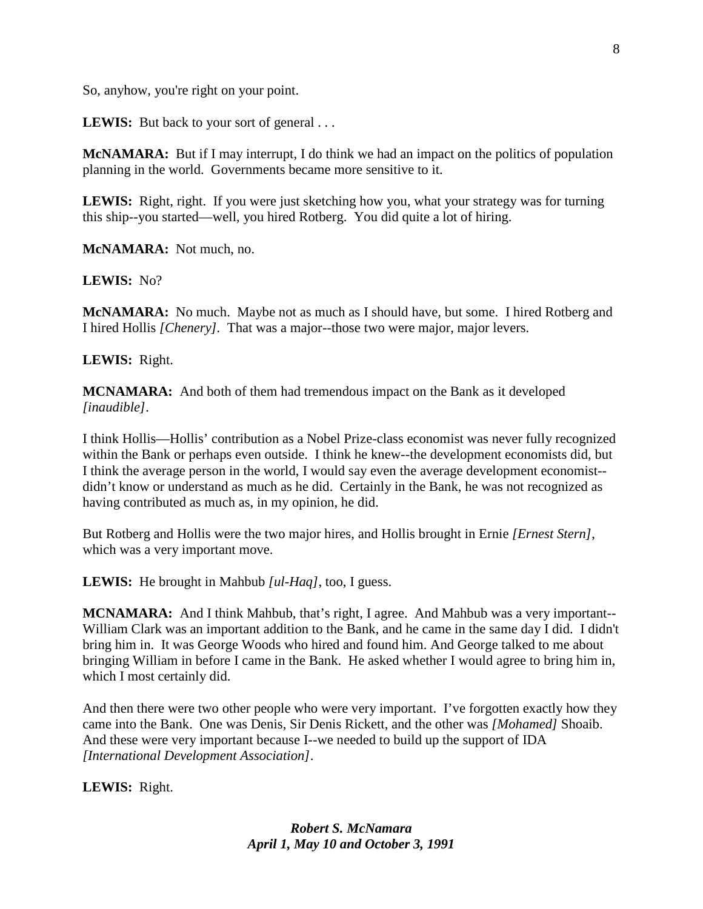So, anyhow, you're right on your point.

LEWIS: But back to your sort of general . . .

**McNAMARA:** But if I may interrupt, I do think we had an impact on the politics of population planning in the world. Governments became more sensitive to it.

**LEWIS:** Right, right. If you were just sketching how you, what your strategy was for turning this ship--you started—well, you hired Rotberg. You did quite a lot of hiring.

**McNAMARA:** Not much, no.

**LEWIS:** No?

**McNAMARA:** No much. Maybe not as much as I should have, but some. I hired Rotberg and I hired Hollis *[Chenery].* That was a major--those two were major, major levers.

#### **LEWIS:** Right.

**MCNAMARA:** And both of them had tremendous impact on the Bank as it developed *[inaudible]*.

I think Hollis—Hollis' contribution as a Nobel Prize-class economist was never fully recognized within the Bank or perhaps even outside. I think he knew--the development economists did, but I think the average person in the world, I would say even the average development economist- didn't know or understand as much as he did. Certainly in the Bank, he was not recognized as having contributed as much as, in my opinion, he did.

But Rotberg and Hollis were the two major hires, and Hollis brought in Ernie *[Ernest Stern]*, which was a very important move.

**LEWIS:** He brought in Mahbub *[ul-Haq]*, too, I guess.

**MCNAMARA:** And I think Mahbub, that's right, I agree. And Mahbub was a very important-- William Clark was an important addition to the Bank, and he came in the same day I did. I didn't bring him in. It was George Woods who hired and found him. And George talked to me about bringing William in before I came in the Bank. He asked whether I would agree to bring him in, which I most certainly did.

And then there were two other people who were very important. I've forgotten exactly how they came into the Bank. One was Denis, Sir Denis Rickett, and the other was *[Mohamed]* Shoaib. And these were very important because I--we needed to build up the support of IDA *[International Development Association]*.

**LEWIS:** Right.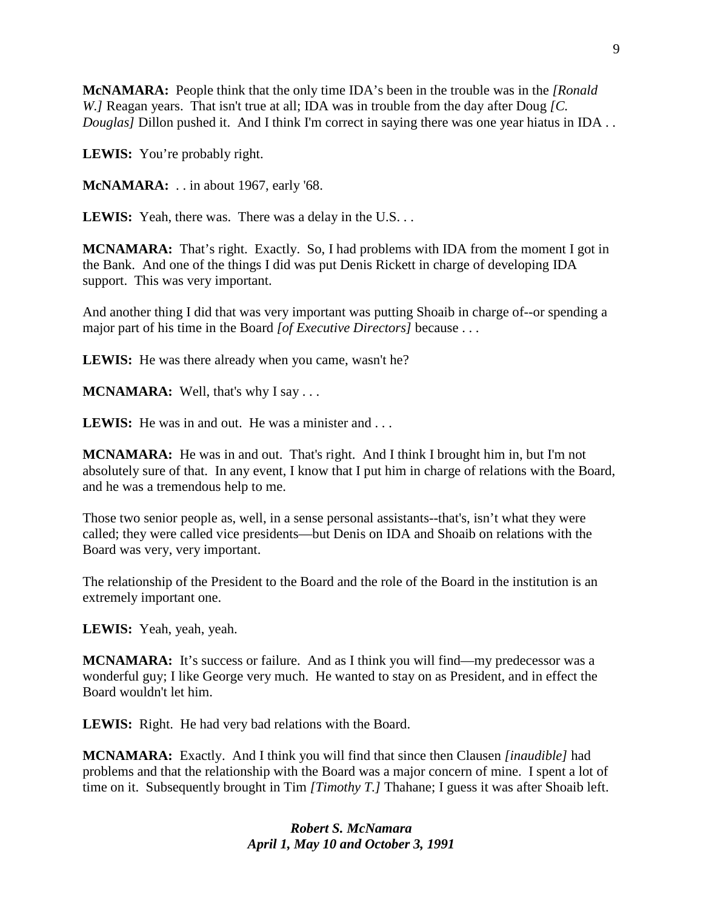**McNAMARA:** People think that the only time IDA's been in the trouble was in the *[Ronald W.]* Reagan years. That isn't true at all; IDA was in trouble from the day after Doug *[C. Douglas]* Dillon pushed it. And I think I'm correct in saying there was one year hiatus in IDA..

LEWIS: You're probably right.

**McNAMARA:** . . in about 1967, early '68.

**LEWIS:** Yeah, there was. There was a delay in the U.S...

**MCNAMARA:** That's right. Exactly. So, I had problems with IDA from the moment I got in the Bank. And one of the things I did was put Denis Rickett in charge of developing IDA support. This was very important.

And another thing I did that was very important was putting Shoaib in charge of--or spending a major part of his time in the Board *[of Executive Directors]* because . . .

LEWIS: He was there already when you came, wasn't he?

**MCNAMARA:** Well, that's why I say ...

**LEWIS:** He was in and out. He was a minister and ...

**MCNAMARA:** He was in and out. That's right. And I think I brought him in, but I'm not absolutely sure of that. In any event, I know that I put him in charge of relations with the Board, and he was a tremendous help to me.

Those two senior people as, well, in a sense personal assistants--that's, isn't what they were called; they were called vice presidents—but Denis on IDA and Shoaib on relations with the Board was very, very important.

The relationship of the President to the Board and the role of the Board in the institution is an extremely important one.

**LEWIS:** Yeah, yeah, yeah.

**MCNAMARA:** It's success or failure. And as I think you will find—my predecessor was a wonderful guy; I like George very much. He wanted to stay on as President, and in effect the Board wouldn't let him.

**LEWIS:** Right. He had very bad relations with the Board.

**MCNAMARA:** Exactly. And I think you will find that since then Clausen *[inaudible]* had problems and that the relationship with the Board was a major concern of mine. I spent a lot of time on it. Subsequently brought in Tim *[Timothy T.]* Thahane; I guess it was after Shoaib left.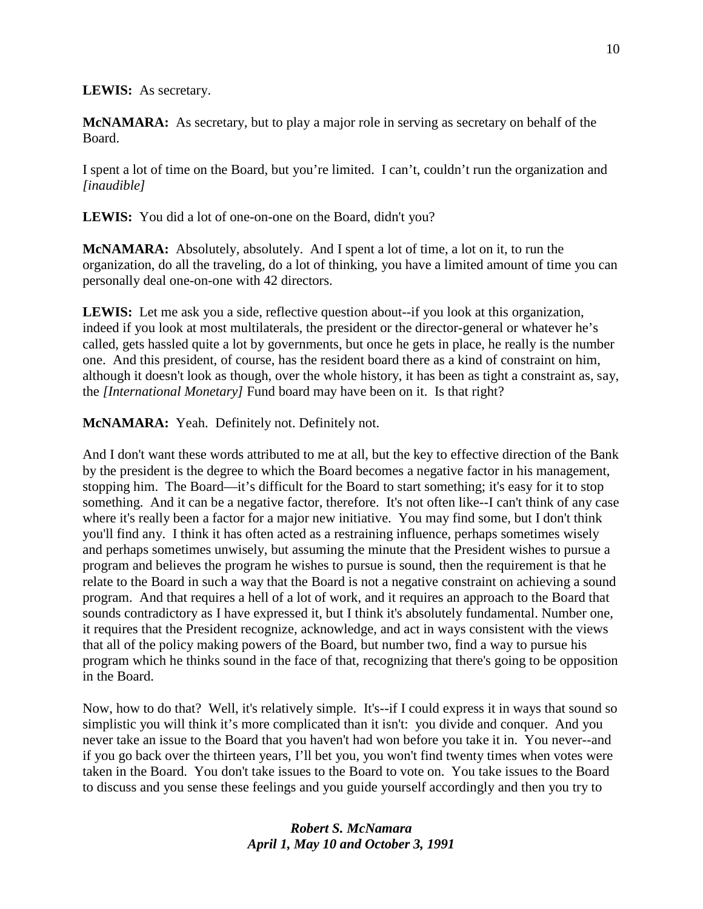**LEWIS:** As secretary.

**McNAMARA:** As secretary, but to play a major role in serving as secretary on behalf of the Board.

I spent a lot of time on the Board, but you're limited. I can't, couldn't run the organization and *[inaudible]*

**LEWIS:** You did a lot of one-on-one on the Board, didn't you?

**McNAMARA:** Absolutely, absolutely. And I spent a lot of time, a lot on it, to run the organization, do all the traveling, do a lot of thinking, you have a limited amount of time you can personally deal one-on-one with 42 directors.

LEWIS: Let me ask you a side, reflective question about--if you look at this organization, indeed if you look at most multilaterals, the president or the director-general or whatever he's called, gets hassled quite a lot by governments, but once he gets in place, he really is the number one. And this president, of course, has the resident board there as a kind of constraint on him, although it doesn't look as though, over the whole history, it has been as tight a constraint as, say, the *[International Monetary]* Fund board may have been on it. Is that right?

**McNAMARA:** Yeah. Definitely not. Definitely not.

And I don't want these words attributed to me at all, but the key to effective direction of the Bank by the president is the degree to which the Board becomes a negative factor in his management, stopping him. The Board—it's difficult for the Board to start something; it's easy for it to stop something. And it can be a negative factor, therefore. It's not often like--I can't think of any case where it's really been a factor for a major new initiative. You may find some, but I don't think you'll find any. I think it has often acted as a restraining influence, perhaps sometimes wisely and perhaps sometimes unwisely, but assuming the minute that the President wishes to pursue a program and believes the program he wishes to pursue is sound, then the requirement is that he relate to the Board in such a way that the Board is not a negative constraint on achieving a sound program. And that requires a hell of a lot of work, and it requires an approach to the Board that sounds contradictory as I have expressed it, but I think it's absolutely fundamental. Number one, it requires that the President recognize, acknowledge, and act in ways consistent with the views that all of the policy making powers of the Board, but number two, find a way to pursue his program which he thinks sound in the face of that, recognizing that there's going to be opposition in the Board.

Now, how to do that? Well, it's relatively simple. It's--if I could express it in ways that sound so simplistic you will think it's more complicated than it isn't: you divide and conquer. And you never take an issue to the Board that you haven't had won before you take it in. You never--and if you go back over the thirteen years, I'll bet you, you won't find twenty times when votes were taken in the Board. You don't take issues to the Board to vote on. You take issues to the Board to discuss and you sense these feelings and you guide yourself accordingly and then you try to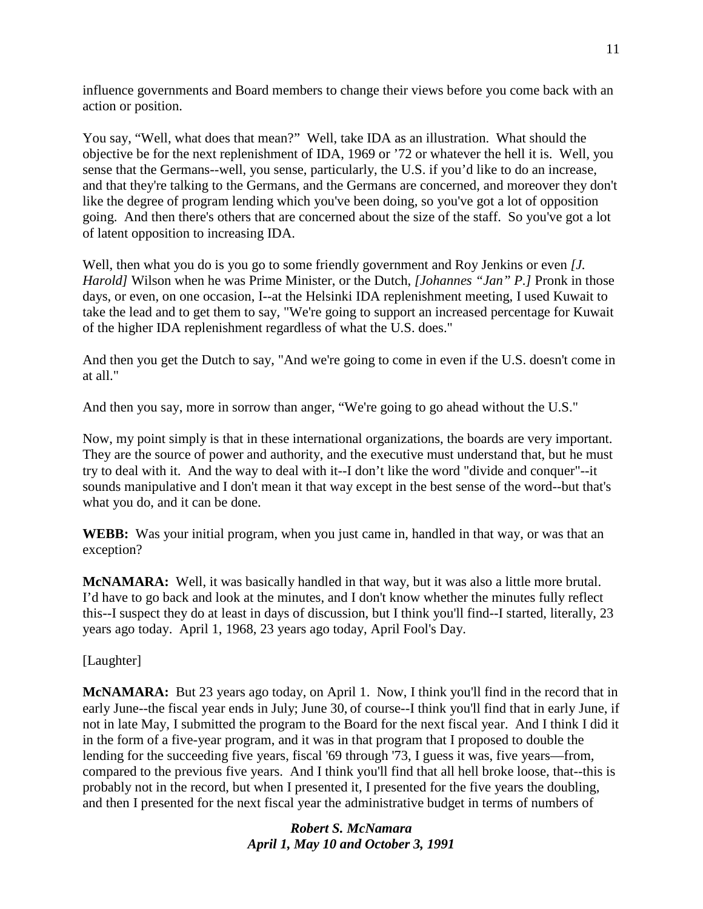influence governments and Board members to change their views before you come back with an action or position.

You say, "Well, what does that mean?" Well, take IDA as an illustration. What should the objective be for the next replenishment of IDA, 1969 or '72 or whatever the hell it is. Well, you sense that the Germans--well, you sense, particularly, the U.S. if you'd like to do an increase, and that they're talking to the Germans, and the Germans are concerned, and moreover they don't like the degree of program lending which you've been doing, so you've got a lot of opposition going. And then there's others that are concerned about the size of the staff. So you've got a lot of latent opposition to increasing IDA.

Well, then what you do is you go to some friendly government and Roy Jenkins or even *[J. Harold]* Wilson when he was Prime Minister, or the Dutch, *[Johannes "Jan" P.]* Pronk in those days, or even, on one occasion, I--at the Helsinki IDA replenishment meeting, I used Kuwait to take the lead and to get them to say, "We're going to support an increased percentage for Kuwait of the higher IDA replenishment regardless of what the U.S. does."

And then you get the Dutch to say, "And we're going to come in even if the U.S. doesn't come in at all."

And then you say, more in sorrow than anger, "We're going to go ahead without the U.S."

Now, my point simply is that in these international organizations, the boards are very important. They are the source of power and authority, and the executive must understand that, but he must try to deal with it. And the way to deal with it--I don't like the word "divide and conquer"--it sounds manipulative and I don't mean it that way except in the best sense of the word--but that's what you do, and it can be done.

**WEBB:** Was your initial program, when you just came in, handled in that way, or was that an exception?

**McNAMARA:** Well, it was basically handled in that way, but it was also a little more brutal. I'd have to go back and look at the minutes, and I don't know whether the minutes fully reflect this--I suspect they do at least in days of discussion, but I think you'll find--I started, literally, 23 years ago today. April 1, 1968, 23 years ago today, April Fool's Day.

[Laughter]

**McNAMARA:** But 23 years ago today, on April 1. Now, I think you'll find in the record that in early June--the fiscal year ends in July; June 30, of course--I think you'll find that in early June, if not in late May, I submitted the program to the Board for the next fiscal year. And I think I did it in the form of a five-year program, and it was in that program that I proposed to double the lending for the succeeding five years, fiscal '69 through '73, I guess it was, five years—from, compared to the previous five years. And I think you'll find that all hell broke loose, that--this is probably not in the record, but when I presented it, I presented for the five years the doubling, and then I presented for the next fiscal year the administrative budget in terms of numbers of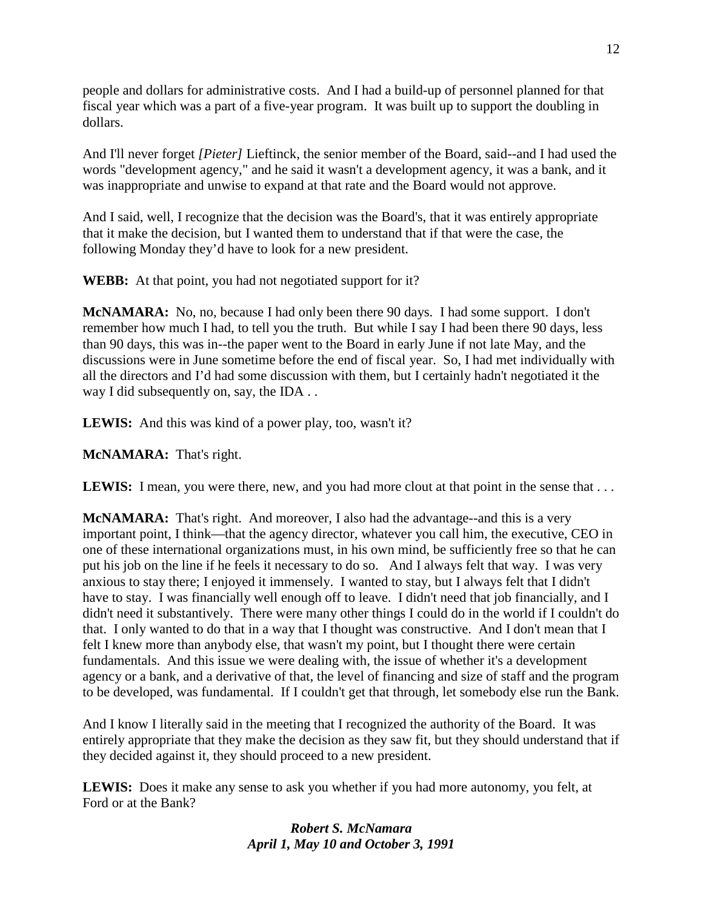people and dollars for administrative costs. And I had a build-up of personnel planned for that fiscal year which was a part of a five-year program. It was built up to support the doubling in dollars.

And I'll never forget *[Pieter]* Lieftinck, the senior member of the Board, said--and I had used the words "development agency," and he said it wasn't a development agency, it was a bank, and it was inappropriate and unwise to expand at that rate and the Board would not approve.

And I said, well, I recognize that the decision was the Board's, that it was entirely appropriate that it make the decision, but I wanted them to understand that if that were the case, the following Monday they'd have to look for a new president.

**WEBB:** At that point, you had not negotiated support for it?

**McNAMARA:** No, no, because I had only been there 90 days. I had some support. I don't remember how much I had, to tell you the truth. But while I say I had been there 90 days, less than 90 days, this was in--the paper went to the Board in early June if not late May, and the discussions were in June sometime before the end of fiscal year. So, I had met individually with all the directors and I'd had some discussion with them, but I certainly hadn't negotiated it the way I did subsequently on, say, the IDA . .

**LEWIS:** And this was kind of a power play, too, wasn't it?

**McNAMARA:** That's right.

**LEWIS:** I mean, you were there, new, and you had more clout at that point in the sense that ...

**McNAMARA:** That's right. And moreover, I also had the advantage--and this is a very important point, I think—that the agency director, whatever you call him, the executive, CEO in one of these international organizations must, in his own mind, be sufficiently free so that he can put his job on the line if he feels it necessary to do so. And I always felt that way. I was very anxious to stay there; I enjoyed it immensely. I wanted to stay, but I always felt that I didn't have to stay. I was financially well enough off to leave. I didn't need that job financially, and I didn't need it substantively. There were many other things I could do in the world if I couldn't do that. I only wanted to do that in a way that I thought was constructive. And I don't mean that I felt I knew more than anybody else, that wasn't my point, but I thought there were certain fundamentals. And this issue we were dealing with, the issue of whether it's a development agency or a bank, and a derivative of that, the level of financing and size of staff and the program to be developed, was fundamental. If I couldn't get that through, let somebody else run the Bank.

And I know I literally said in the meeting that I recognized the authority of the Board. It was entirely appropriate that they make the decision as they saw fit, but they should understand that if they decided against it, they should proceed to a new president.

**LEWIS:** Does it make any sense to ask you whether if you had more autonomy, you felt, at Ford or at the Bank?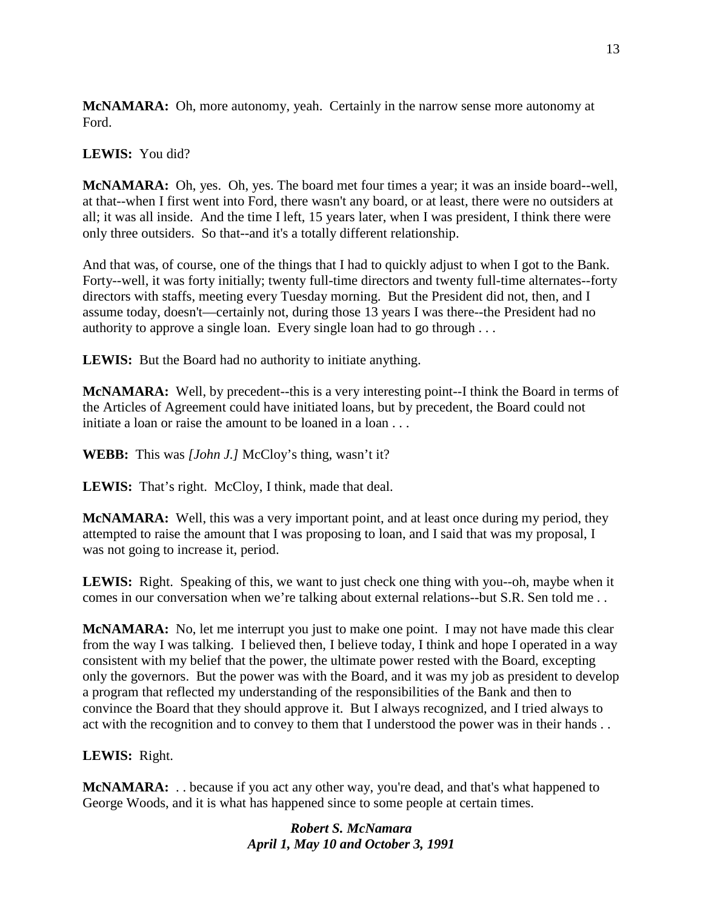**McNAMARA:** Oh, more autonomy, yeah. Certainly in the narrow sense more autonomy at Ford.

## **LEWIS:** You did?

**McNAMARA:** Oh, yes. Oh, yes. The board met four times a year; it was an inside board--well, at that--when I first went into Ford, there wasn't any board, or at least, there were no outsiders at all; it was all inside. And the time I left, 15 years later, when I was president, I think there were only three outsiders. So that--and it's a totally different relationship.

And that was, of course, one of the things that I had to quickly adjust to when I got to the Bank. Forty--well, it was forty initially; twenty full-time directors and twenty full-time alternates--forty directors with staffs, meeting every Tuesday morning. But the President did not, then, and I assume today, doesn't—certainly not, during those 13 years I was there--the President had no authority to approve a single loan. Every single loan had to go through . . .

**LEWIS:** But the Board had no authority to initiate anything.

**McNAMARA:** Well, by precedent--this is a very interesting point--I think the Board in terms of the Articles of Agreement could have initiated loans, but by precedent, the Board could not initiate a loan or raise the amount to be loaned in a loan . . .

**WEBB:** This was *[John J.]* McCloy's thing, wasn't it?

LEWIS: That's right. McCloy, I think, made that deal.

**McNAMARA:** Well, this was a very important point, and at least once during my period, they attempted to raise the amount that I was proposing to loan, and I said that was my proposal, I was not going to increase it, period.

**LEWIS:** Right. Speaking of this, we want to just check one thing with you--oh, maybe when it comes in our conversation when we're talking about external relations--but S.R. Sen told me . .

**McNAMARA:** No, let me interrupt you just to make one point. I may not have made this clear from the way I was talking. I believed then, I believe today, I think and hope I operated in a way consistent with my belief that the power, the ultimate power rested with the Board, excepting only the governors. But the power was with the Board, and it was my job as president to develop a program that reflected my understanding of the responsibilities of the Bank and then to convince the Board that they should approve it. But I always recognized, and I tried always to act with the recognition and to convey to them that I understood the power was in their hands . .

## **LEWIS:** Right.

**McNAMARA:** . . because if you act any other way, you're dead, and that's what happened to George Woods, and it is what has happened since to some people at certain times.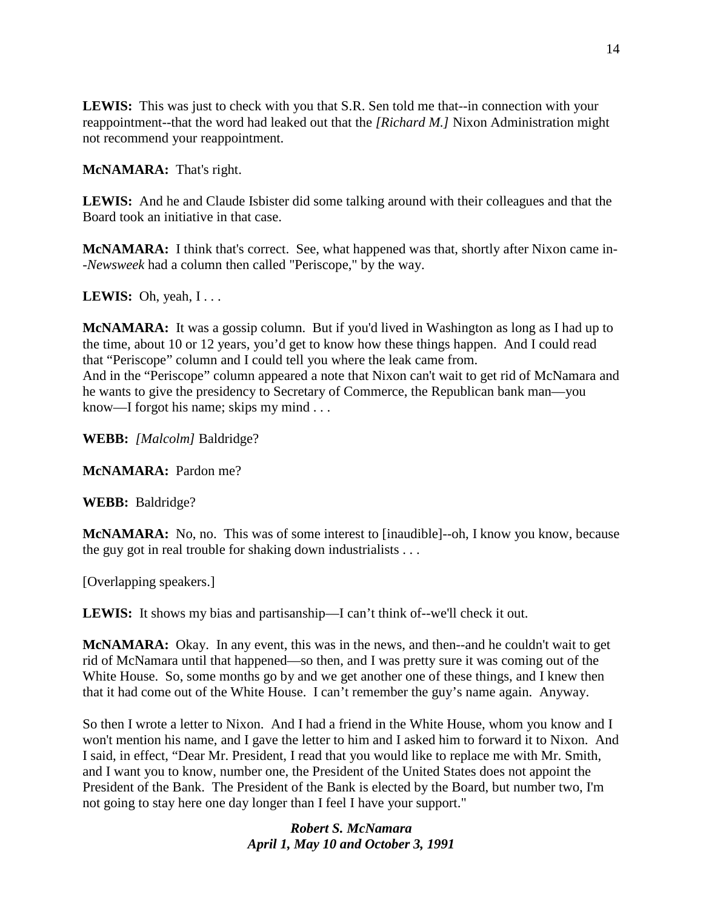**LEWIS:** This was just to check with you that S.R. Sen told me that--in connection with your reappointment--that the word had leaked out that the *[Richard M.]* Nixon Administration might not recommend your reappointment.

**McNAMARA:** That's right.

**LEWIS:** And he and Claude Isbister did some talking around with their colleagues and that the Board took an initiative in that case.

**McNAMARA:** I think that's correct. See, what happened was that, shortly after Nixon came in- -*Newsweek* had a column then called "Periscope," by the way.

**LEWIS:** Oh, yeah,  $I \dots$ 

**McNAMARA:** It was a gossip column. But if you'd lived in Washington as long as I had up to the time, about 10 or 12 years, you'd get to know how these things happen. And I could read that "Periscope" column and I could tell you where the leak came from. And in the "Periscope" column appeared a note that Nixon can't wait to get rid of McNamara and he wants to give the presidency to Secretary of Commerce, the Republican bank man—you know—I forgot his name; skips my mind . . .

**WEBB:** *[Malcolm]* Baldridge?

**McNAMARA:** Pardon me?

**WEBB:** Baldridge?

**McNAMARA:** No, no. This was of some interest to [inaudible]--oh, I know you know, because the guy got in real trouble for shaking down industrialists . . .

[Overlapping speakers.]

**LEWIS:** It shows my bias and partisanship—I can't think of--we'll check it out.

**McNAMARA:** Okay. In any event, this was in the news, and then--and he couldn't wait to get rid of McNamara until that happened—so then, and I was pretty sure it was coming out of the White House. So, some months go by and we get another one of these things, and I knew then that it had come out of the White House. I can't remember the guy's name again. Anyway.

So then I wrote a letter to Nixon. And I had a friend in the White House, whom you know and I won't mention his name, and I gave the letter to him and I asked him to forward it to Nixon. And I said, in effect, "Dear Mr. President, I read that you would like to replace me with Mr. Smith, and I want you to know, number one, the President of the United States does not appoint the President of the Bank. The President of the Bank is elected by the Board, but number two, I'm not going to stay here one day longer than I feel I have your support."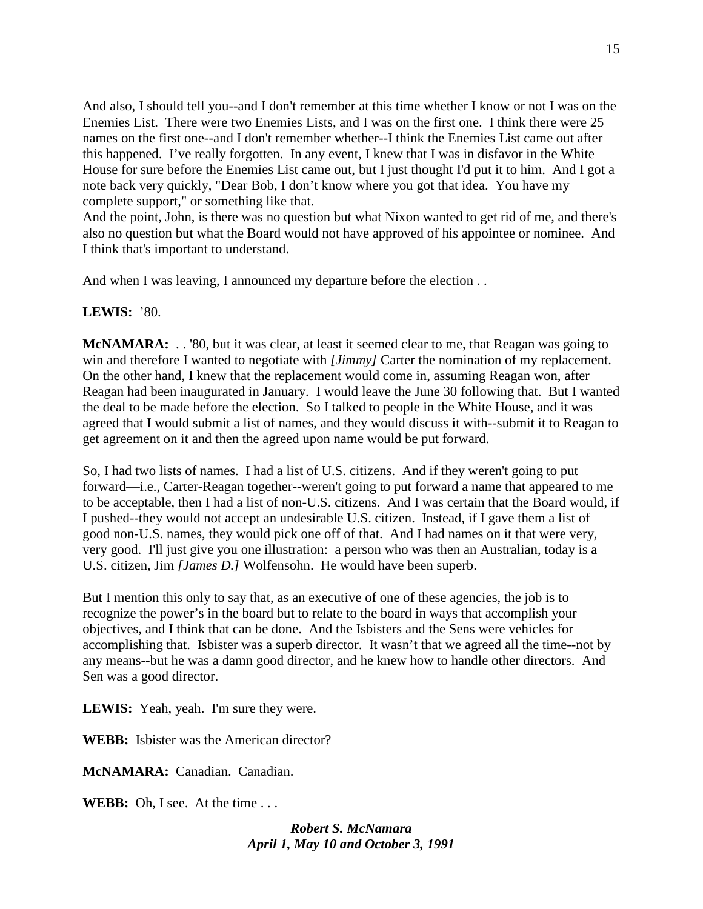And also, I should tell you--and I don't remember at this time whether I know or not I was on the Enemies List. There were two Enemies Lists, and I was on the first one. I think there were 25 names on the first one--and I don't remember whether--I think the Enemies List came out after this happened. I've really forgotten. In any event, I knew that I was in disfavor in the White House for sure before the Enemies List came out, but I just thought I'd put it to him. And I got a note back very quickly, "Dear Bob, I don't know where you got that idea. You have my complete support," or something like that.

And the point, John, is there was no question but what Nixon wanted to get rid of me, and there's also no question but what the Board would not have approved of his appointee or nominee. And I think that's important to understand.

And when I was leaving, I announced my departure before the election . .

## **LEWIS:** '80.

**McNAMARA:** . . '80, but it was clear, at least it seemed clear to me, that Reagan was going to win and therefore I wanted to negotiate with *[Jimmy]* Carter the nomination of my replacement. On the other hand, I knew that the replacement would come in, assuming Reagan won, after Reagan had been inaugurated in January. I would leave the June 30 following that. But I wanted the deal to be made before the election. So I talked to people in the White House, and it was agreed that I would submit a list of names, and they would discuss it with--submit it to Reagan to get agreement on it and then the agreed upon name would be put forward.

So, I had two lists of names. I had a list of U.S. citizens. And if they weren't going to put forward—i.e., Carter-Reagan together--weren't going to put forward a name that appeared to me to be acceptable, then I had a list of non-U.S. citizens. And I was certain that the Board would, if I pushed--they would not accept an undesirable U.S. citizen. Instead, if I gave them a list of good non-U.S. names, they would pick one off of that. And I had names on it that were very, very good. I'll just give you one illustration: a person who was then an Australian, today is a U.S. citizen, Jim *[James D.]* Wolfensohn. He would have been superb.

But I mention this only to say that, as an executive of one of these agencies, the job is to recognize the power's in the board but to relate to the board in ways that accomplish your objectives, and I think that can be done. And the Isbisters and the Sens were vehicles for accomplishing that. Isbister was a superb director. It wasn't that we agreed all the time--not by any means--but he was a damn good director, and he knew how to handle other directors. And Sen was a good director.

**LEWIS:** Yeah, yeah. I'm sure they were.

**WEBB:** Isbister was the American director?

**McNAMARA:** Canadian. Canadian.

**WEBB:** Oh, I see. At the time . . .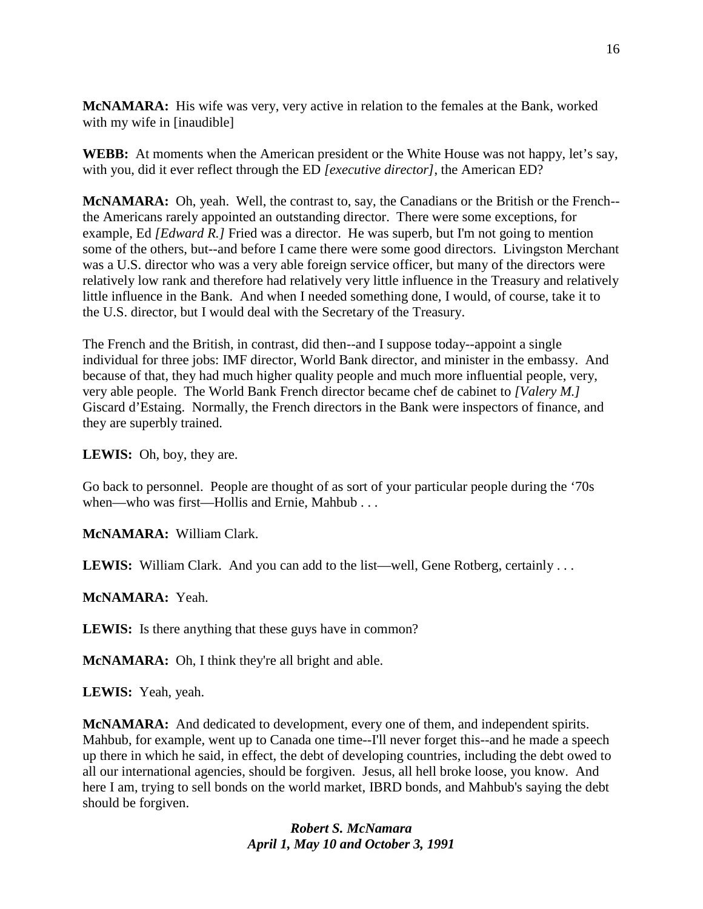**McNAMARA:** His wife was very, very active in relation to the females at the Bank, worked with my wife in [inaudible]

**WEBB:** At moments when the American president or the White House was not happy, let's say, with you, did it ever reflect through the ED *[executive director]*, the American ED?

**McNAMARA:** Oh, yeah. Well, the contrast to, say, the Canadians or the British or the French- the Americans rarely appointed an outstanding director. There were some exceptions, for example, Ed *[Edward R.]* Fried was a director. He was superb, but I'm not going to mention some of the others, but--and before I came there were some good directors. Livingston Merchant was a U.S. director who was a very able foreign service officer, but many of the directors were relatively low rank and therefore had relatively very little influence in the Treasury and relatively little influence in the Bank. And when I needed something done, I would, of course, take it to the U.S. director, but I would deal with the Secretary of the Treasury.

The French and the British, in contrast, did then--and I suppose today--appoint a single individual for three jobs: IMF director, World Bank director, and minister in the embassy. And because of that, they had much higher quality people and much more influential people, very, very able people. The World Bank French director became chef de cabinet to *[Valery M.]*  Giscard d'Estaing. Normally, the French directors in the Bank were inspectors of finance, and they are superbly trained.

**LEWIS:** Oh, boy, they are.

Go back to personnel. People are thought of as sort of your particular people during the '70s when—who was first—Hollis and Ernie, Mahbub . . .

**McNAMARA:** William Clark.

LEWIS: William Clark. And you can add to the list—well, Gene Rotberg, certainly ...

**McNAMARA:** Yeah.

**LEWIS:** Is there anything that these guys have in common?

**McNAMARA:** Oh, I think they're all bright and able.

**LEWIS:** Yeah, yeah.

**McNAMARA:** And dedicated to development, every one of them, and independent spirits. Mahbub, for example, went up to Canada one time--I'll never forget this--and he made a speech up there in which he said, in effect, the debt of developing countries, including the debt owed to all our international agencies, should be forgiven. Jesus, all hell broke loose, you know. And here I am, trying to sell bonds on the world market, IBRD bonds, and Mahbub's saying the debt should be forgiven.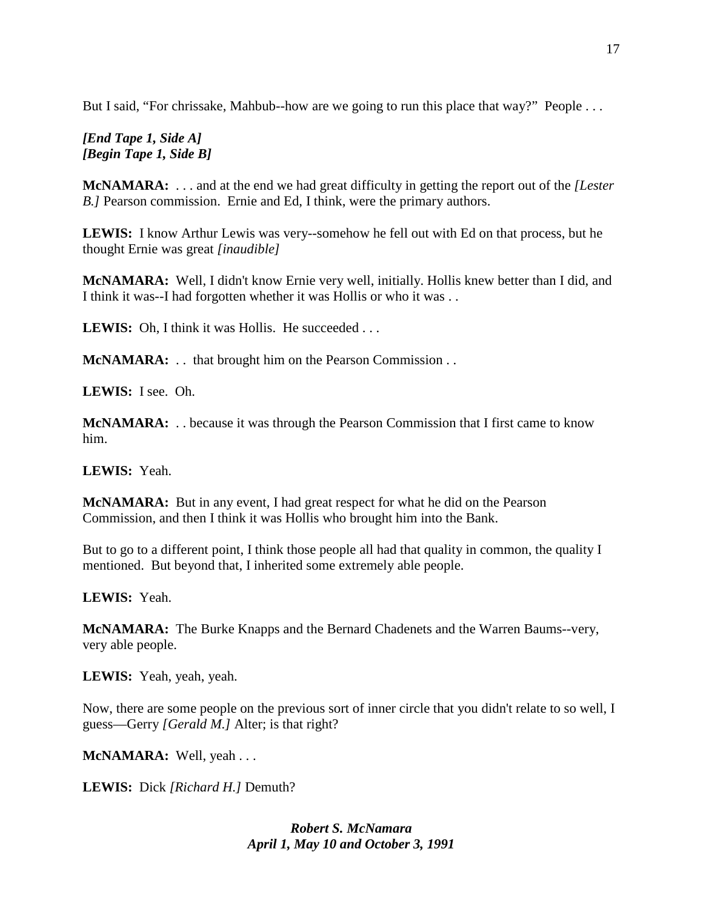But I said, "For chrissake, Mahbub--how are we going to run this place that way?" People ...

# *[End Tape 1, Side A] [Begin Tape 1, Side B]*

**McNAMARA:** . . . and at the end we had great difficulty in getting the report out of the *[Lester B.]* Pearson commission.Ernie and Ed, I think, were the primary authors.

**LEWIS:** I know Arthur Lewis was very--somehow he fell out with Ed on that process, but he thought Ernie was great *[inaudible]*

**McNAMARA:** Well, I didn't know Ernie very well, initially. Hollis knew better than I did, and I think it was--I had forgotten whether it was Hollis or who it was ...

LEWIS: Oh, I think it was Hollis. He succeeded . . .

**McNAMARA:** . . that brought him on the Pearson Commission . .

**LEWIS:** I see. Oh.

**McNAMARA:** . . because it was through the Pearson Commission that I first came to know him.

**LEWIS:** Yeah.

**McNAMARA:** But in any event, I had great respect for what he did on the Pearson Commission, and then I think it was Hollis who brought him into the Bank.

But to go to a different point, I think those people all had that quality in common, the quality I mentioned. But beyond that, I inherited some extremely able people.

**LEWIS:** Yeah.

**McNAMARA:** The Burke Knapps and the Bernard Chadenets and the Warren Baums--very, very able people.

**LEWIS:** Yeah, yeah, yeah.

Now, there are some people on the previous sort of inner circle that you didn't relate to so well, I guess—Gerry *[Gerald M.]* Alter; is that right?

**McNAMARA:** Well, yeah . . .

**LEWIS:** Dick *[Richard H.]* Demuth?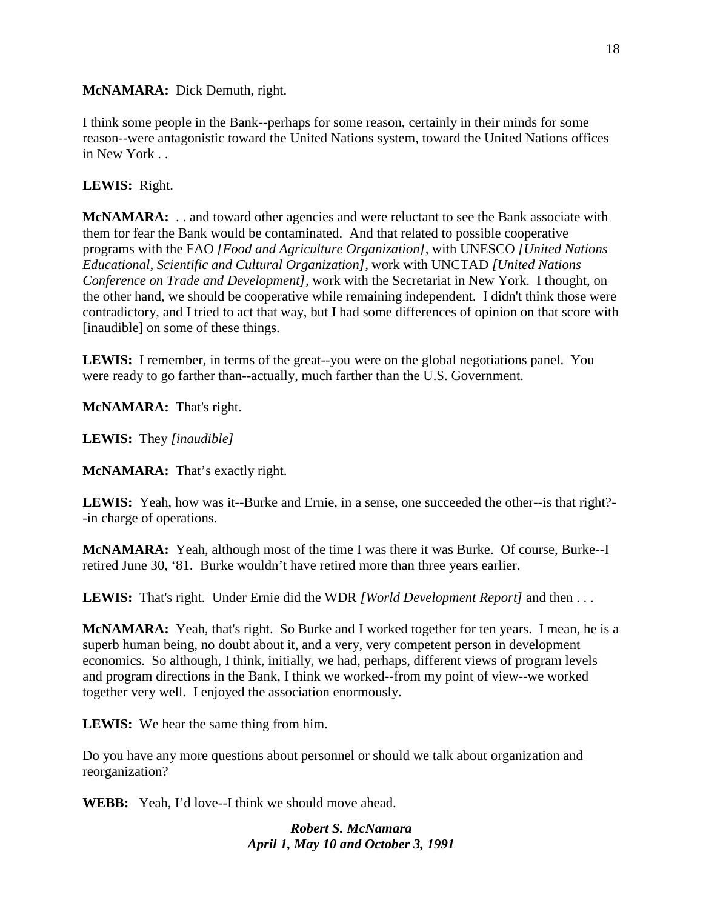## **McNAMARA:** Dick Demuth, right.

I think some people in the Bank--perhaps for some reason, certainly in their minds for some reason--were antagonistic toward the United Nations system, toward the United Nations offices in New York . .

## **LEWIS:** Right.

**McNAMARA:** . . and toward other agencies and were reluctant to see the Bank associate with them for fear the Bank would be contaminated. And that related to possible cooperative programs with the FAO *[Food and Agriculture Organization],* with UNESCO *[United Nations Educational, Scientific and Cultural Organization],* work with UNCTAD *[United Nations Conference on Trade and Development],* work with the Secretariat in New York. I thought, on the other hand, we should be cooperative while remaining independent. I didn't think those were contradictory, and I tried to act that way, but I had some differences of opinion on that score with [inaudible] on some of these things.

**LEWIS:** I remember, in terms of the great--you were on the global negotiations panel. You were ready to go farther than--actually, much farther than the U.S. Government.

**McNAMARA:** That's right.

**LEWIS:** They *[inaudible]*

**McNAMARA:** That's exactly right.

**LEWIS:** Yeah, how was it--Burke and Ernie, in a sense, one succeeded the other--is that right?- -in charge of operations.

**McNAMARA:** Yeah, although most of the time I was there it was Burke. Of course, Burke--I retired June 30, '81. Burke wouldn't have retired more than three years earlier.

**LEWIS:** That's right. Under Ernie did the WDR *[World Development Report]* and then . . .

**McNAMARA:** Yeah, that's right. So Burke and I worked together for ten years. I mean, he is a superb human being, no doubt about it, and a very, very competent person in development economics. So although, I think, initially, we had, perhaps, different views of program levels and program directions in the Bank, I think we worked--from my point of view--we worked together very well. I enjoyed the association enormously.

**LEWIS:** We hear the same thing from him.

Do you have any more questions about personnel or should we talk about organization and reorganization?

**WEBB:** Yeah, I'd love--I think we should move ahead.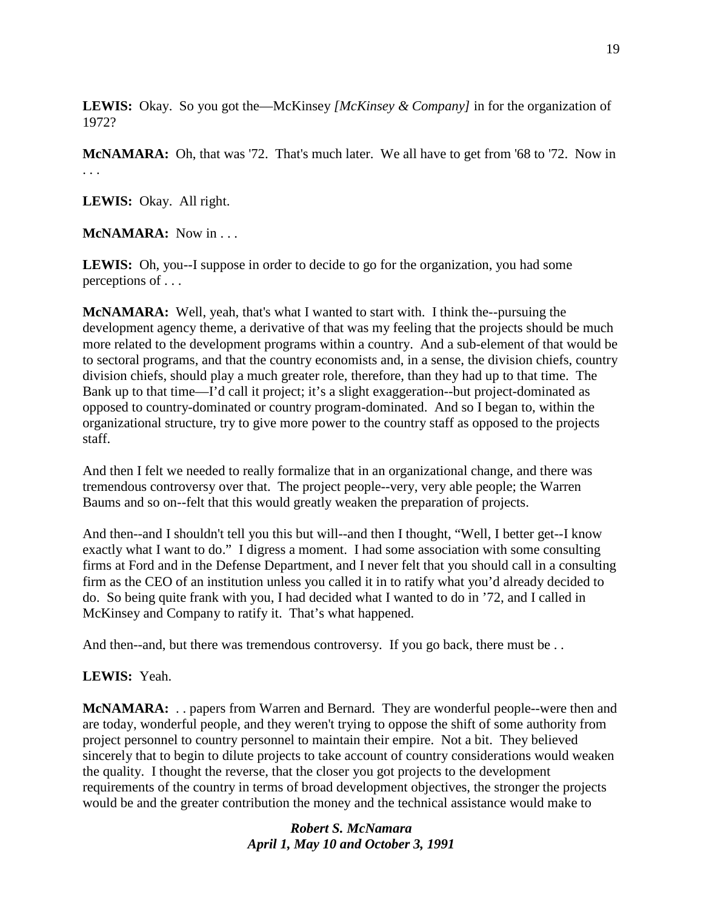**LEWIS:** Okay. So you got the—McKinsey *[McKinsey & Company]* in for the organization of 1972?

**McNAMARA:** Oh, that was '72. That's much later. We all have to get from '68 to '72. Now in . . .

**LEWIS:** Okay. All right.

**McNAMARA:** Now in . . .

LEWIS: Oh, you--I suppose in order to decide to go for the organization, you had some perceptions of . . .

**McNAMARA:** Well, yeah, that's what I wanted to start with. I think the--pursuing the development agency theme, a derivative of that was my feeling that the projects should be much more related to the development programs within a country. And a sub-element of that would be to sectoral programs, and that the country economists and, in a sense, the division chiefs, country division chiefs, should play a much greater role, therefore, than they had up to that time. The Bank up to that time—I'd call it project; it's a slight exaggeration--but project-dominated as opposed to country-dominated or country program-dominated. And so I began to, within the organizational structure, try to give more power to the country staff as opposed to the projects staff.

And then I felt we needed to really formalize that in an organizational change, and there was tremendous controversy over that. The project people--very, very able people; the Warren Baums and so on--felt that this would greatly weaken the preparation of projects.

And then--and I shouldn't tell you this but will--and then I thought, "Well, I better get--I know exactly what I want to do." I digress a moment. I had some association with some consulting firms at Ford and in the Defense Department, and I never felt that you should call in a consulting firm as the CEO of an institution unless you called it in to ratify what you'd already decided to do. So being quite frank with you, I had decided what I wanted to do in '72, and I called in McKinsey and Company to ratify it. That's what happened.

And then--and, but there was tremendous controversy. If you go back, there must be ...

## **LEWIS:** Yeah.

**McNAMARA:** . . papers from Warren and Bernard. They are wonderful people--were then and are today, wonderful people, and they weren't trying to oppose the shift of some authority from project personnel to country personnel to maintain their empire. Not a bit. They believed sincerely that to begin to dilute projects to take account of country considerations would weaken the quality. I thought the reverse, that the closer you got projects to the development requirements of the country in terms of broad development objectives, the stronger the projects would be and the greater contribution the money and the technical assistance would make to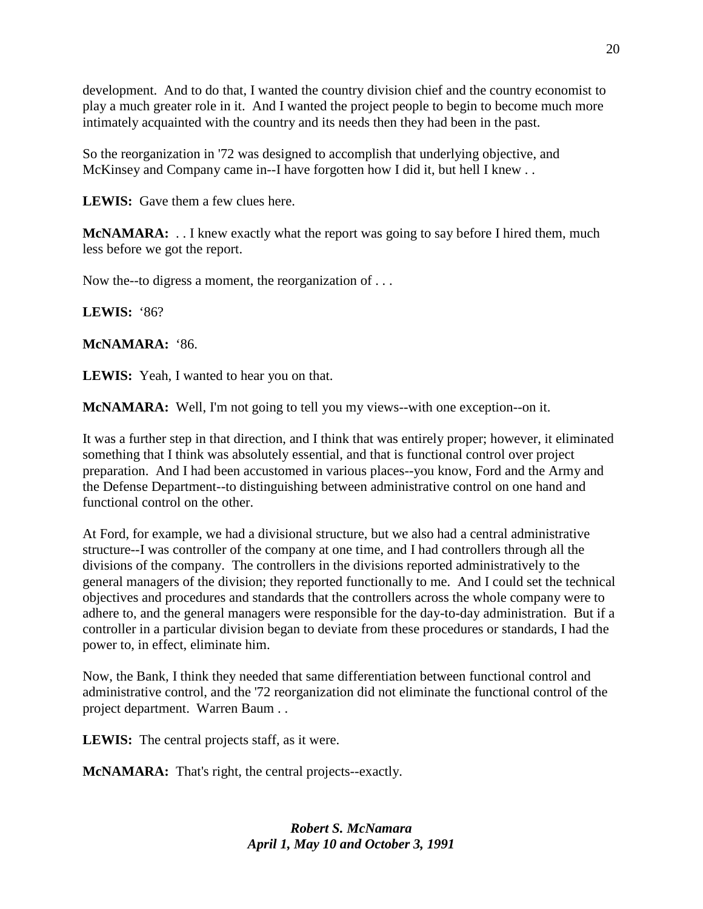development. And to do that, I wanted the country division chief and the country economist to play a much greater role in it. And I wanted the project people to begin to become much more intimately acquainted with the country and its needs then they had been in the past.

So the reorganization in '72 was designed to accomplish that underlying objective, and McKinsey and Company came in--I have forgotten how I did it, but hell I knew . .

**LEWIS:** Gave them a few clues here.

**McNAMARA:** . . I knew exactly what the report was going to say before I hired them, much less before we got the report.

Now the--to digress a moment, the reorganization of . . .

**LEWIS:** '86?

**McNAMARA:** '86.

**LEWIS:** Yeah, I wanted to hear you on that.

**McNAMARA:** Well, I'm not going to tell you my views--with one exception--on it.

It was a further step in that direction, and I think that was entirely proper; however, it eliminated something that I think was absolutely essential, and that is functional control over project preparation. And I had been accustomed in various places--you know, Ford and the Army and the Defense Department--to distinguishing between administrative control on one hand and functional control on the other.

At Ford, for example, we had a divisional structure, but we also had a central administrative structure--I was controller of the company at one time, and I had controllers through all the divisions of the company. The controllers in the divisions reported administratively to the general managers of the division; they reported functionally to me. And I could set the technical objectives and procedures and standards that the controllers across the whole company were to adhere to, and the general managers were responsible for the day-to-day administration. But if a controller in a particular division began to deviate from these procedures or standards, I had the power to, in effect, eliminate him.

Now, the Bank, I think they needed that same differentiation between functional control and administrative control, and the '72 reorganization did not eliminate the functional control of the project department. Warren Baum . .

**LEWIS:** The central projects staff, as it were.

**McNAMARA:** That's right, the central projects--exactly.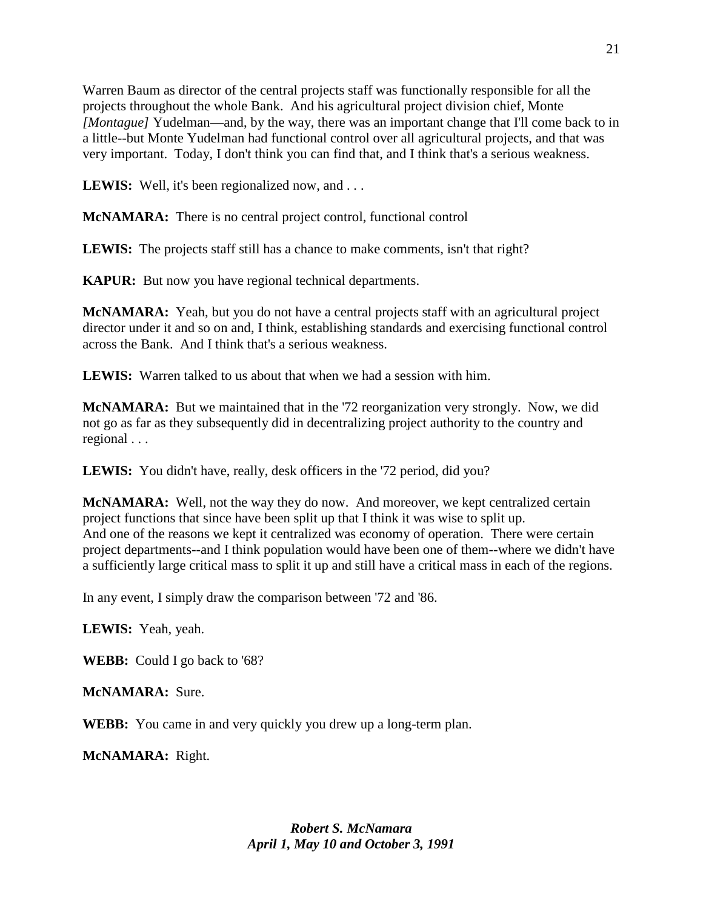Warren Baum as director of the central projects staff was functionally responsible for all the projects throughout the whole Bank. And his agricultural project division chief, Monte *[Montague]* Yudelman—and, by the way, there was an important change that I'll come back to in a little--but Monte Yudelman had functional control over all agricultural projects, and that was very important. Today, I don't think you can find that, and I think that's a serious weakness.

**LEWIS:** Well, it's been regionalized now, and ...

**McNAMARA:** There is no central project control, functional control

**LEWIS:** The projects staff still has a chance to make comments, isn't that right?

**KAPUR:** But now you have regional technical departments.

**McNAMARA:** Yeah, but you do not have a central projects staff with an agricultural project director under it and so on and, I think, establishing standards and exercising functional control across the Bank. And I think that's a serious weakness.

**LEWIS:** Warren talked to us about that when we had a session with him.

**McNAMARA:** But we maintained that in the '72 reorganization very strongly. Now, we did not go as far as they subsequently did in decentralizing project authority to the country and regional . . .

LEWIS: You didn't have, really, desk officers in the '72 period, did you?

**McNAMARA:** Well, not the way they do now. And moreover, we kept centralized certain project functions that since have been split up that I think it was wise to split up. And one of the reasons we kept it centralized was economy of operation. There were certain project departments--and I think population would have been one of them--where we didn't have a sufficiently large critical mass to split it up and still have a critical mass in each of the regions.

In any event, I simply draw the comparison between '72 and '86.

**LEWIS:** Yeah, yeah.

**WEBB:** Could I go back to '68?

**McNAMARA:** Sure.

**WEBB:** You came in and very quickly you drew up a long-term plan.

**McNAMARA:** Right.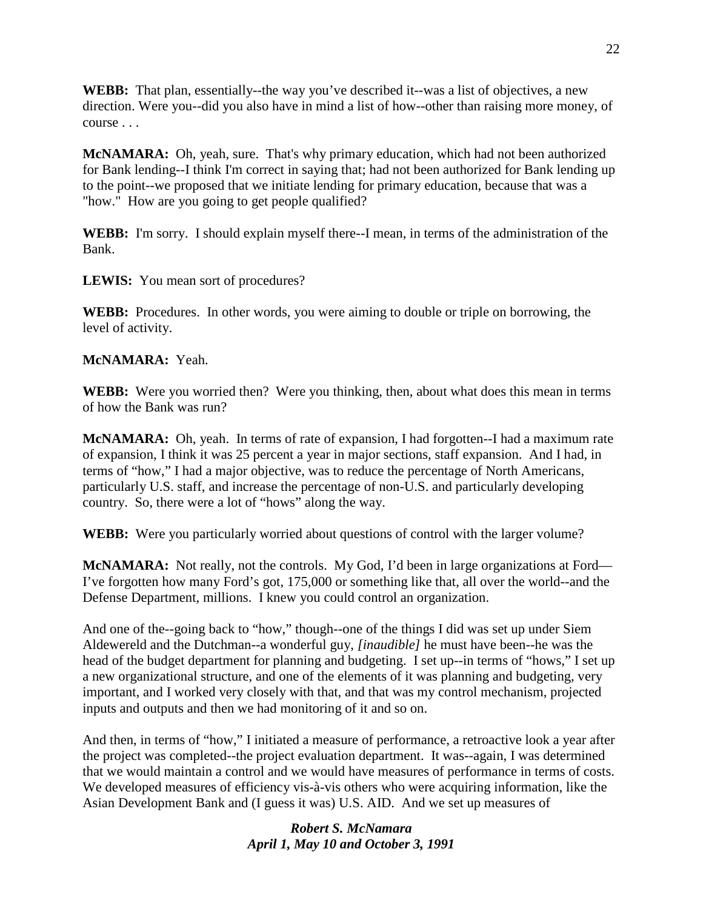**WEBB:** That plan, essentially--the way you've described it--was a list of objectives, a new direction. Were you--did you also have in mind a list of how--other than raising more money, of course . . .

**McNAMARA:** Oh, yeah, sure. That's why primary education, which had not been authorized for Bank lending--I think I'm correct in saying that; had not been authorized for Bank lending up to the point--we proposed that we initiate lending for primary education, because that was a "how." How are you going to get people qualified?

**WEBB:** I'm sorry. I should explain myself there--I mean, in terms of the administration of the Bank.

**LEWIS:** You mean sort of procedures?

**WEBB:** Procedures. In other words, you were aiming to double or triple on borrowing, the level of activity.

# **McNAMARA:** Yeah.

**WEBB:** Were you worried then? Were you thinking, then, about what does this mean in terms of how the Bank was run?

**McNAMARA:** Oh, yeah. In terms of rate of expansion, I had forgotten--I had a maximum rate of expansion, I think it was 25 percent a year in major sections, staff expansion. And I had, in terms of "how," I had a major objective, was to reduce the percentage of North Americans, particularly U.S. staff, and increase the percentage of non-U.S. and particularly developing country. So, there were a lot of "hows" along the way.

**WEBB:** Were you particularly worried about questions of control with the larger volume?

**McNAMARA:** Not really, not the controls. My God, I'd been in large organizations at Ford— I've forgotten how many Ford's got, 175,000 or something like that, all over the world--and the Defense Department, millions. I knew you could control an organization.

And one of the--going back to "how," though--one of the things I did was set up under Siem Aldewereld and the Dutchman--a wonderful guy, *[inaudible]* he must have been--he was the head of the budget department for planning and budgeting. I set up--in terms of "hows," I set up a new organizational structure, and one of the elements of it was planning and budgeting, very important, and I worked very closely with that, and that was my control mechanism, projected inputs and outputs and then we had monitoring of it and so on.

And then, in terms of "how," I initiated a measure of performance, a retroactive look a year after the project was completed--the project evaluation department. It was--again, I was determined that we would maintain a control and we would have measures of performance in terms of costs. We developed measures of efficiency vis-à-vis others who were acquiring information, like the Asian Development Bank and (I guess it was) U.S. AID. And we set up measures of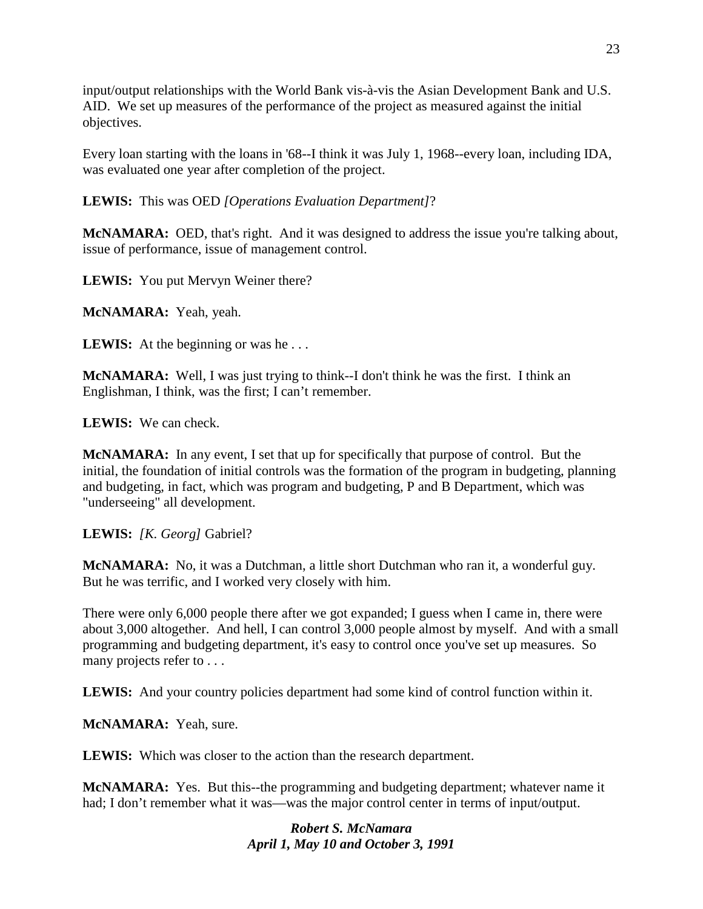input/output relationships with the World Bank vis-à-vis the Asian Development Bank and U.S. AID. We set up measures of the performance of the project as measured against the initial objectives.

Every loan starting with the loans in '68--I think it was July 1, 1968--every loan, including IDA, was evaluated one year after completion of the project.

**LEWIS:** This was OED *[Operations Evaluation Department]*?

McNAMARA: OED, that's right. And it was designed to address the issue you're talking about, issue of performance, issue of management control.

**LEWIS:** You put Mervyn Weiner there?

**McNAMARA:** Yeah, yeah.

**LEWIS:** At the beginning or was he...

**McNAMARA:** Well, I was just trying to think--I don't think he was the first. I think an Englishman, I think, was the first; I can't remember.

**LEWIS:** We can check.

**McNAMARA:** In any event, I set that up for specifically that purpose of control. But the initial, the foundation of initial controls was the formation of the program in budgeting, planning and budgeting, in fact, which was program and budgeting, P and B Department, which was "underseeing" all development.

**LEWIS:** *[K. Georg]* Gabriel?

**McNAMARA:** No, it was a Dutchman, a little short Dutchman who ran it, a wonderful guy. But he was terrific, and I worked very closely with him.

There were only 6,000 people there after we got expanded; I guess when I came in, there were about 3,000 altogether. And hell, I can control 3,000 people almost by myself. And with a small programming and budgeting department, it's easy to control once you've set up measures. So many projects refer to . . .

**LEWIS:** And your country policies department had some kind of control function within it.

**McNAMARA:** Yeah, sure.

**LEWIS:** Which was closer to the action than the research department.

**McNAMARA:** Yes. But this--the programming and budgeting department; whatever name it had; I don't remember what it was—was the major control center in terms of input/output.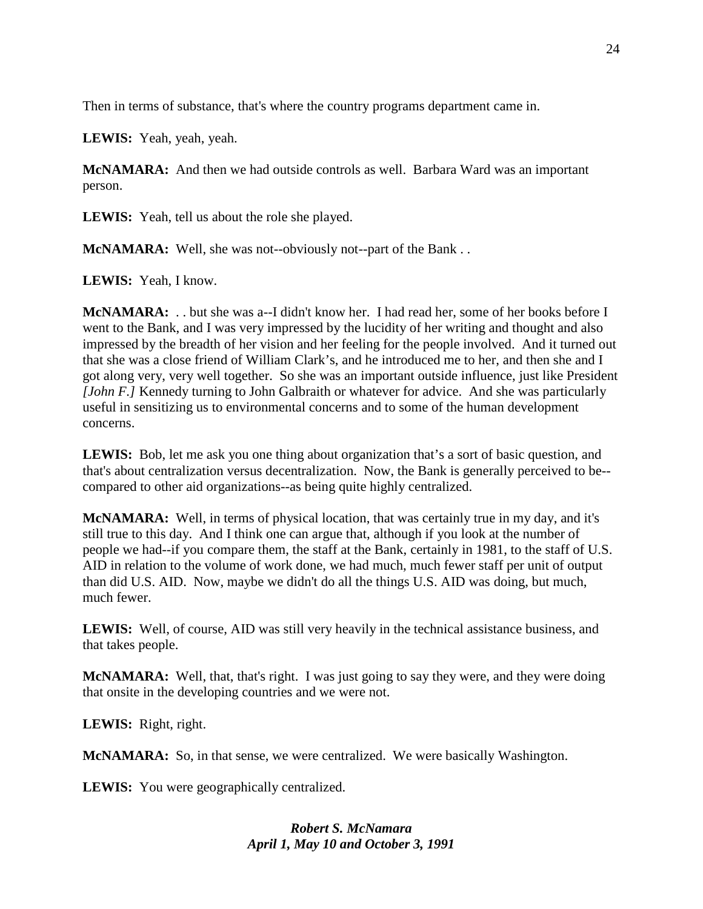Then in terms of substance, that's where the country programs department came in.

**LEWIS:** Yeah, yeah, yeah.

**McNAMARA:** And then we had outside controls as well. Barbara Ward was an important person.

**LEWIS:** Yeah, tell us about the role she played.

**McNAMARA:** Well, she was not--obviously not--part of the Bank...

**LEWIS:** Yeah, I know.

**McNAMARA:** . . but she was a--I didn't know her. I had read her, some of her books before I went to the Bank, and I was very impressed by the lucidity of her writing and thought and also impressed by the breadth of her vision and her feeling for the people involved. And it turned out that she was a close friend of William Clark's, and he introduced me to her, and then she and I got along very, very well together. So she was an important outside influence, just like President *[John F.]* Kennedy turning to John Galbraith or whatever for advice. And she was particularly useful in sensitizing us to environmental concerns and to some of the human development concerns.

**LEWIS:** Bob, let me ask you one thing about organization that's a sort of basic question, and that's about centralization versus decentralization. Now, the Bank is generally perceived to be- compared to other aid organizations--as being quite highly centralized.

**McNAMARA:** Well, in terms of physical location, that was certainly true in my day, and it's still true to this day. And I think one can argue that, although if you look at the number of people we had--if you compare them, the staff at the Bank, certainly in 1981, to the staff of U.S. AID in relation to the volume of work done, we had much, much fewer staff per unit of output than did U.S. AID. Now, maybe we didn't do all the things U.S. AID was doing, but much, much fewer.

**LEWIS:** Well, of course, AID was still very heavily in the technical assistance business, and that takes people.

**McNAMARA:** Well, that, that's right. I was just going to say they were, and they were doing that onsite in the developing countries and we were not.

**LEWIS:** Right, right.

**McNAMARA:** So, in that sense, we were centralized. We were basically Washington.

**LEWIS:** You were geographically centralized.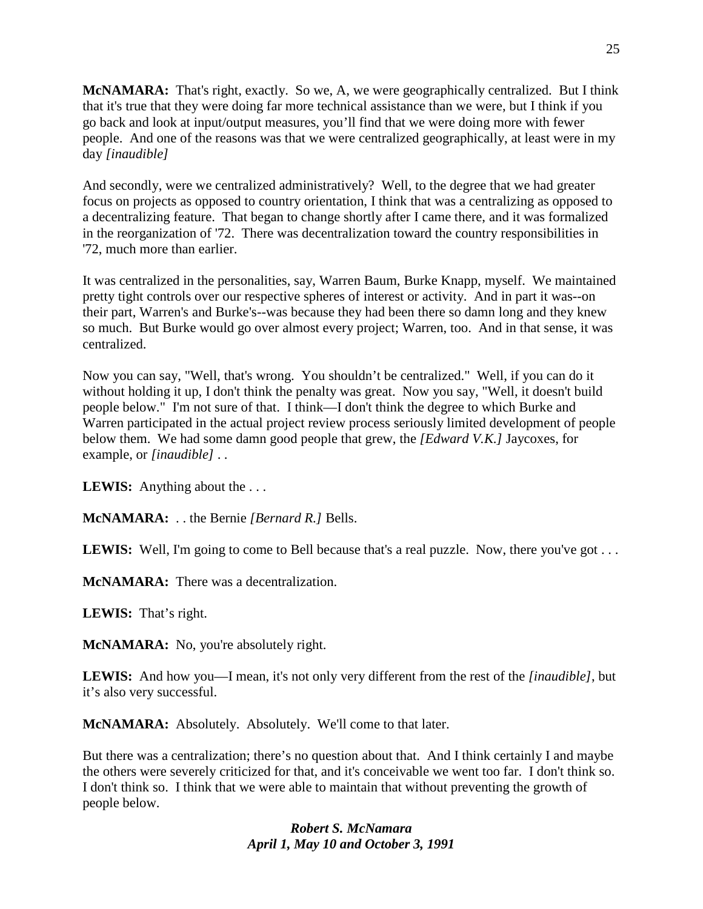**McNAMARA:** That's right, exactly. So we, A, we were geographically centralized. But I think that it's true that they were doing far more technical assistance than we were, but I think if you go back and look at input/output measures, you'll find that we were doing more with fewer people. And one of the reasons was that we were centralized geographically, at least were in my day *[inaudible]*

And secondly, were we centralized administratively? Well, to the degree that we had greater focus on projects as opposed to country orientation, I think that was a centralizing as opposed to a decentralizing feature. That began to change shortly after I came there, and it was formalized in the reorganization of '72. There was decentralization toward the country responsibilities in '72, much more than earlier.

It was centralized in the personalities, say, Warren Baum, Burke Knapp, myself. We maintained pretty tight controls over our respective spheres of interest or activity. And in part it was--on their part, Warren's and Burke's--was because they had been there so damn long and they knew so much. But Burke would go over almost every project; Warren, too. And in that sense, it was centralized.

Now you can say, "Well, that's wrong. You shouldn't be centralized." Well, if you can do it without holding it up, I don't think the penalty was great. Now you say, "Well, it doesn't build people below." I'm not sure of that. I think—I don't think the degree to which Burke and Warren participated in the actual project review process seriously limited development of people below them. We had some damn good people that grew, the *[Edward V.K.]* Jaycoxes, for example, or *[inaudible]* . .

**LEWIS:** Anything about the . . .

**McNAMARA:** . . the Bernie *[Bernard R.]* Bells.

**LEWIS:** Well, I'm going to come to Bell because that's a real puzzle. Now, there you've got . . .

**McNAMARA:** There was a decentralization.

**LEWIS:** That's right.

**McNAMARA:** No, you're absolutely right.

**LEWIS:** And how you—I mean, it's not only very different from the rest of the *[inaudible]*, but it's also very successful.

**McNAMARA:** Absolutely. Absolutely. We'll come to that later.

But there was a centralization; there's no question about that. And I think certainly I and maybe the others were severely criticized for that, and it's conceivable we went too far. I don't think so. I don't think so. I think that we were able to maintain that without preventing the growth of people below.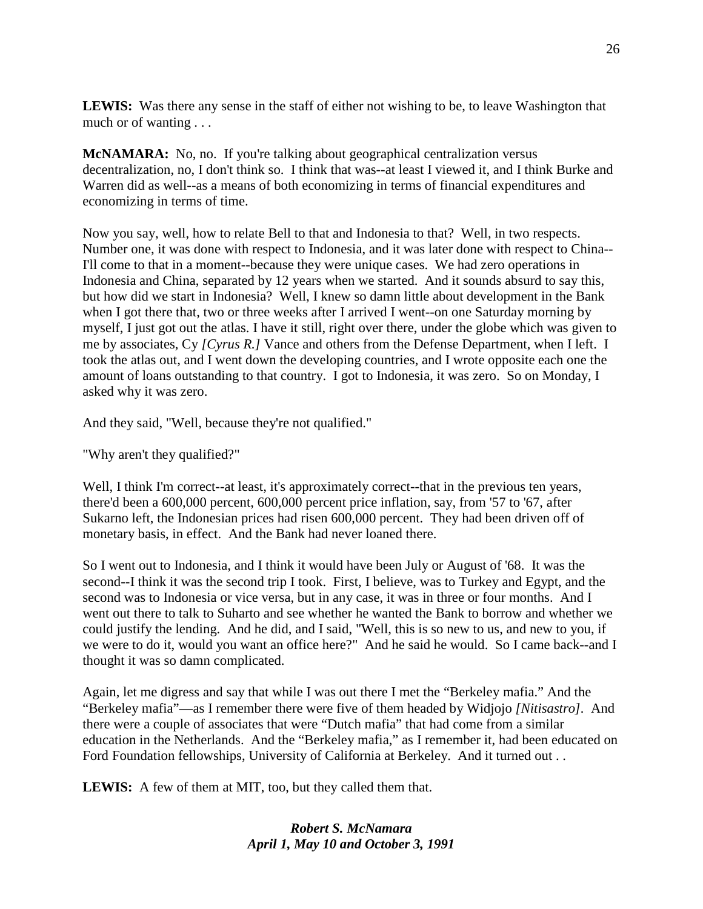**LEWIS:** Was there any sense in the staff of either not wishing to be, to leave Washington that much or of wanting . . .

**McNAMARA:** No, no. If you're talking about geographical centralization versus decentralization, no, I don't think so. I think that was--at least I viewed it, and I think Burke and Warren did as well--as a means of both economizing in terms of financial expenditures and economizing in terms of time.

Now you say, well, how to relate Bell to that and Indonesia to that? Well, in two respects. Number one, it was done with respect to Indonesia, and it was later done with respect to China-- I'll come to that in a moment--because they were unique cases. We had zero operations in Indonesia and China, separated by 12 years when we started. And it sounds absurd to say this, but how did we start in Indonesia? Well, I knew so damn little about development in the Bank when I got there that, two or three weeks after I arrived I went--on one Saturday morning by myself, I just got out the atlas. I have it still, right over there, under the globe which was given to me by associates, Cy *[Cyrus R.]* Vance and others from the Defense Department, when I left. I took the atlas out, and I went down the developing countries, and I wrote opposite each one the amount of loans outstanding to that country. I got to Indonesia, it was zero. So on Monday, I asked why it was zero.

And they said, "Well, because they're not qualified."

"Why aren't they qualified?"

Well, I think I'm correct--at least, it's approximately correct--that in the previous ten years, there'd been a 600,000 percent, 600,000 percent price inflation, say, from '57 to '67, after Sukarno left, the Indonesian prices had risen 600,000 percent. They had been driven off of monetary basis, in effect. And the Bank had never loaned there.

So I went out to Indonesia, and I think it would have been July or August of '68. It was the second--I think it was the second trip I took. First, I believe, was to Turkey and Egypt, and the second was to Indonesia or vice versa, but in any case, it was in three or four months. And I went out there to talk to Suharto and see whether he wanted the Bank to borrow and whether we could justify the lending. And he did, and I said, "Well, this is so new to us, and new to you, if we were to do it, would you want an office here?" And he said he would. So I came back--and I thought it was so damn complicated.

Again, let me digress and say that while I was out there I met the "Berkeley mafia." And the "Berkeley mafia"—as I remember there were five of them headed by Widjojo *[Nitisastro].* And there were a couple of associates that were "Dutch mafia" that had come from a similar education in the Netherlands. And the "Berkeley mafia," as I remember it, had been educated on Ford Foundation fellowships, University of California at Berkeley. And it turned out . .

**LEWIS:** A few of them at MIT, too, but they called them that.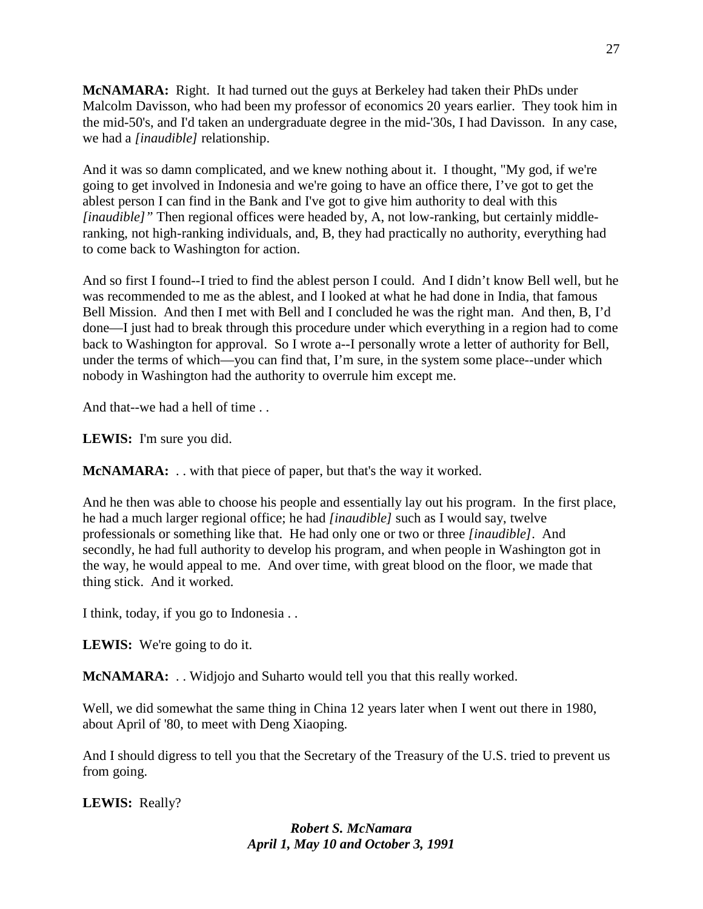**McNAMARA:** Right. It had turned out the guys at Berkeley had taken their PhDs under Malcolm Davisson, who had been my professor of economics 20 years earlier. They took him in the mid-50's, and I'd taken an undergraduate degree in the mid-'30s, I had Davisson. In any case, we had a *[inaudible]* relationship.

And it was so damn complicated, and we knew nothing about it. I thought, "My god, if we're going to get involved in Indonesia and we're going to have an office there, I've got to get the ablest person I can find in the Bank and I've got to give him authority to deal with this *[inaudible]*" Then regional offices were headed by, A, not low-ranking, but certainly middleranking, not high-ranking individuals, and, B, they had practically no authority, everything had to come back to Washington for action.

And so first I found--I tried to find the ablest person I could. And I didn't know Bell well, but he was recommended to me as the ablest, and I looked at what he had done in India, that famous Bell Mission. And then I met with Bell and I concluded he was the right man. And then, B, I'd done—I just had to break through this procedure under which everything in a region had to come back to Washington for approval. So I wrote a--I personally wrote a letter of authority for Bell, under the terms of which—you can find that, I'm sure, in the system some place--under which nobody in Washington had the authority to overrule him except me.

And that--we had a hell of time . .

**LEWIS:** I'm sure you did.

**McNAMARA:** . . with that piece of paper, but that's the way it worked.

And he then was able to choose his people and essentially lay out his program. In the first place, he had a much larger regional office; he had *[inaudible]* such as I would say, twelve professionals or something like that. He had only one or two or three *[inaudible]*. And secondly, he had full authority to develop his program, and when people in Washington got in the way, he would appeal to me. And over time, with great blood on the floor, we made that thing stick. And it worked.

I think, today, if you go to Indonesia . .

LEWIS: We're going to do it.

**McNAMARA:** . . Widjojo and Suharto would tell you that this really worked.

Well, we did somewhat the same thing in China 12 years later when I went out there in 1980, about April of '80, to meet with Deng Xiaoping.

And I should digress to tell you that the Secretary of the Treasury of the U.S. tried to prevent us from going.

**LEWIS:** Really?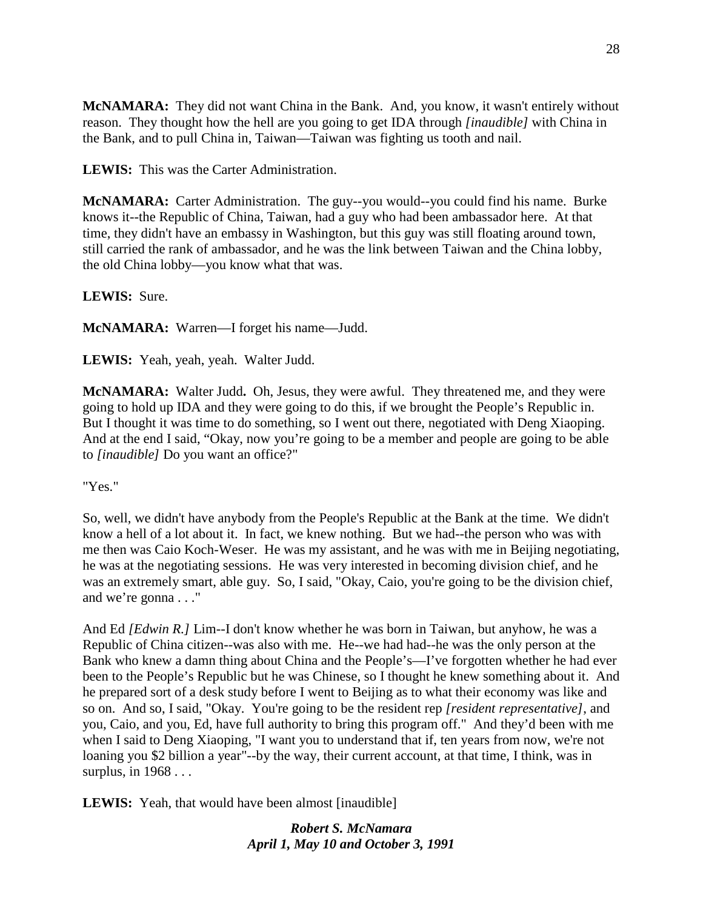**McNAMARA:** They did not want China in the Bank. And, you know, it wasn't entirely without reason. They thought how the hell are you going to get IDA through *[inaudible]* with China in the Bank, and to pull China in, Taiwan—Taiwan was fighting us tooth and nail.

**LEWIS:** This was the Carter Administration.

**McNAMARA:** Carter Administration. The guy--you would--you could find his name. Burke knows it--the Republic of China, Taiwan, had a guy who had been ambassador here. At that time, they didn't have an embassy in Washington, but this guy was still floating around town, still carried the rank of ambassador, and he was the link between Taiwan and the China lobby, the old China lobby—you know what that was.

**LEWIS:** Sure.

**McNAMARA:** Warren—I forget his name—Judd.

**LEWIS:** Yeah, yeah, yeah. Walter Judd.

**McNAMARA:** Walter Judd**.** Oh, Jesus, they were awful. They threatened me, and they were going to hold up IDA and they were going to do this, if we brought the People's Republic in. But I thought it was time to do something, so I went out there, negotiated with Deng Xiaoping. And at the end I said, "Okay, now you're going to be a member and people are going to be able to *[inaudible]* Do you want an office?"

"Yes."

So, well, we didn't have anybody from the People's Republic at the Bank at the time. We didn't know a hell of a lot about it. In fact, we knew nothing. But we had--the person who was with me then was Caio Koch-Weser. He was my assistant, and he was with me in Beijing negotiating, he was at the negotiating sessions. He was very interested in becoming division chief, and he was an extremely smart, able guy. So, I said, "Okay, Caio, you're going to be the division chief, and we're gonna . . ."

And Ed *[Edwin R.]* Lim--I don't know whether he was born in Taiwan, but anyhow, he was a Republic of China citizen--was also with me. He--we had had--he was the only person at the Bank who knew a damn thing about China and the People's—I've forgotten whether he had ever been to the People's Republic but he was Chinese, so I thought he knew something about it. And he prepared sort of a desk study before I went to Beijing as to what their economy was like and so on. And so, I said, "Okay. You're going to be the resident rep *[resident representative]*, and you, Caio, and you, Ed, have full authority to bring this program off." And they'd been with me when I said to Deng Xiaoping, "I want you to understand that if, ten years from now, we're not loaning you \$2 billion a year"--by the way, their current account, at that time, I think, was in surplus, in 1968 . . .

**LEWIS:** Yeah, that would have been almost [inaudible]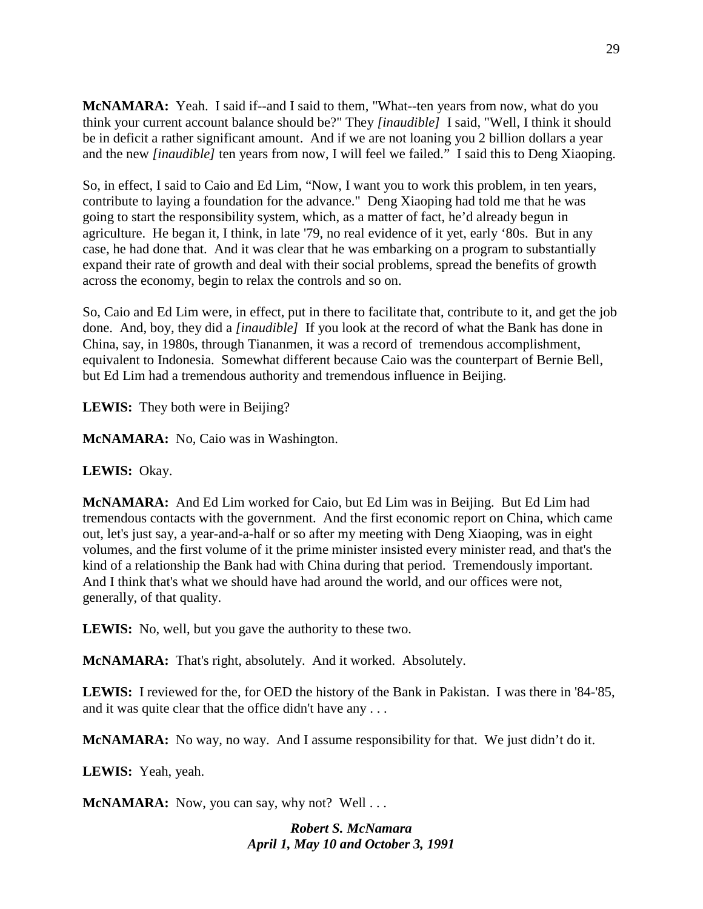**McNAMARA:** Yeah. I said if--and I said to them, "What--ten years from now, what do you think your current account balance should be?" They *[inaudible]* I said, "Well, I think it should be in deficit a rather significant amount. And if we are not loaning you 2 billion dollars a year and the new *[inaudible]* ten years from now, I will feel we failed." I said this to Deng Xiaoping.

So, in effect, I said to Caio and Ed Lim, "Now, I want you to work this problem, in ten years, contribute to laying a foundation for the advance." Deng Xiaoping had told me that he was going to start the responsibility system, which, as a matter of fact, he'd already begun in agriculture. He began it, I think, in late '79, no real evidence of it yet, early '80s. But in any case, he had done that. And it was clear that he was embarking on a program to substantially expand their rate of growth and deal with their social problems, spread the benefits of growth across the economy, begin to relax the controls and so on.

So, Caio and Ed Lim were, in effect, put in there to facilitate that, contribute to it, and get the job done. And, boy, they did a *[inaudible]* If you look at the record of what the Bank has done in China, say, in 1980s, through Tiananmen, it was a record of tremendous accomplishment, equivalent to Indonesia. Somewhat different because Caio was the counterpart of Bernie Bell, but Ed Lim had a tremendous authority and tremendous influence in Beijing.

**LEWIS:** They both were in Beijing?

**McNAMARA:** No, Caio was in Washington.

# **LEWIS:** Okay.

**McNAMARA:** And Ed Lim worked for Caio, but Ed Lim was in Beijing. But Ed Lim had tremendous contacts with the government. And the first economic report on China, which came out, let's just say, a year-and-a-half or so after my meeting with Deng Xiaoping, was in eight volumes, and the first volume of it the prime minister insisted every minister read, and that's the kind of a relationship the Bank had with China during that period. Tremendously important. And I think that's what we should have had around the world, and our offices were not, generally, of that quality.

**LEWIS:** No, well, but you gave the authority to these two.

**McNAMARA:** That's right, absolutely. And it worked. Absolutely.

**LEWIS:** I reviewed for the, for OED the history of the Bank in Pakistan. I was there in '84-'85, and it was quite clear that the office didn't have any . . .

**McNAMARA:** No way, no way. And I assume responsibility for that. We just didn't do it.

**LEWIS:** Yeah, yeah.

**McNAMARA:** Now, you can say, why not? Well . . .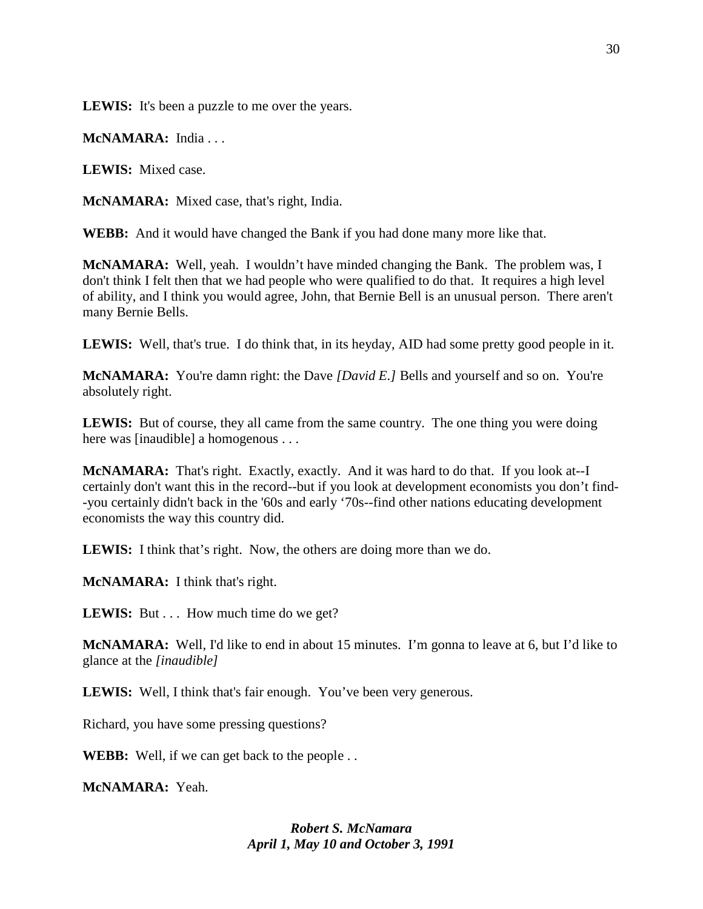**LEWIS:** It's been a puzzle to me over the years.

**McNAMARA:** India . . .

**LEWIS:** Mixed case.

**McNAMARA:** Mixed case, that's right, India.

**WEBB:** And it would have changed the Bank if you had done many more like that.

**McNAMARA:** Well, yeah. I wouldn't have minded changing the Bank. The problem was, I don't think I felt then that we had people who were qualified to do that. It requires a high level of ability, and I think you would agree, John, that Bernie Bell is an unusual person. There aren't many Bernie Bells.

**LEWIS:** Well, that's true. I do think that, in its heyday, AID had some pretty good people in it.

**McNAMARA:** You're damn right: the Dave *[David E.]* Bells and yourself and so on. You're absolutely right.

**LEWIS:** But of course, they all came from the same country. The one thing you were doing here was [inaudible] a homogenous . . .

**McNAMARA:** That's right. Exactly, exactly. And it was hard to do that. If you look at--I certainly don't want this in the record--but if you look at development economists you don't find- -you certainly didn't back in the '60s and early '70s--find other nations educating development economists the way this country did.

**LEWIS:** I think that's right. Now, the others are doing more than we do.

**McNAMARA:** I think that's right.

**LEWIS:** But . . . How much time do we get?

**McNAMARA:** Well, I'd like to end in about 15 minutes. I'm gonna to leave at 6, but I'd like to glance at the *[inaudible]*

**LEWIS:** Well, I think that's fair enough. You've been very generous.

Richard, you have some pressing questions?

**WEBB:** Well, if we can get back to the people . .

**McNAMARA:** Yeah.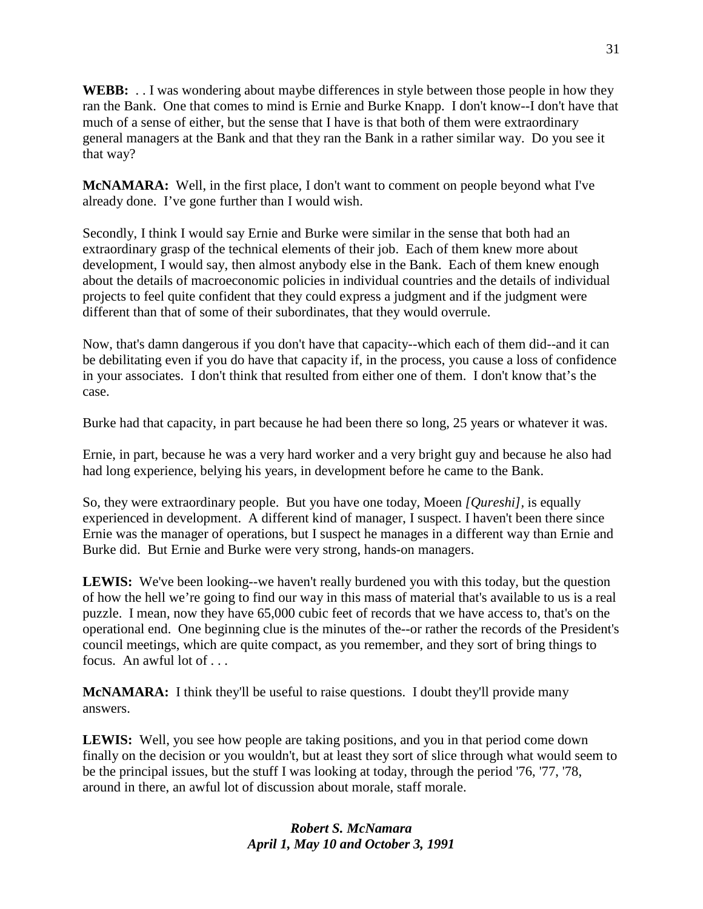**WEBB:** . . I was wondering about maybe differences in style between those people in how they ran the Bank. One that comes to mind is Ernie and Burke Knapp. I don't know--I don't have that much of a sense of either, but the sense that I have is that both of them were extraordinary general managers at the Bank and that they ran the Bank in a rather similar way. Do you see it that way?

**McNAMARA:** Well, in the first place, I don't want to comment on people beyond what I've already done. I've gone further than I would wish.

Secondly, I think I would say Ernie and Burke were similar in the sense that both had an extraordinary grasp of the technical elements of their job. Each of them knew more about development, I would say, then almost anybody else in the Bank. Each of them knew enough about the details of macroeconomic policies in individual countries and the details of individual projects to feel quite confident that they could express a judgment and if the judgment were different than that of some of their subordinates, that they would overrule.

Now, that's damn dangerous if you don't have that capacity--which each of them did--and it can be debilitating even if you do have that capacity if, in the process, you cause a loss of confidence in your associates. I don't think that resulted from either one of them. I don't know that's the case.

Burke had that capacity, in part because he had been there so long, 25 years or whatever it was.

Ernie, in part, because he was a very hard worker and a very bright guy and because he also had had long experience, belying his years, in development before he came to the Bank.

So, they were extraordinary people. But you have one today, Moeen *[Qureshi],* is equally experienced in development. A different kind of manager, I suspect. I haven't been there since Ernie was the manager of operations, but I suspect he manages in a different way than Ernie and Burke did. But Ernie and Burke were very strong, hands-on managers.

**LEWIS:** We've been looking--we haven't really burdened you with this today, but the question of how the hell we're going to find our way in this mass of material that's available to us is a real puzzle. I mean, now they have 65,000 cubic feet of records that we have access to, that's on the operational end. One beginning clue is the minutes of the--or rather the records of the President's council meetings, which are quite compact, as you remember, and they sort of bring things to focus. An awful lot of . . .

**McNAMARA:** I think they'll be useful to raise questions. I doubt they'll provide many answers.

**LEWIS:** Well, you see how people are taking positions, and you in that period come down finally on the decision or you wouldn't, but at least they sort of slice through what would seem to be the principal issues, but the stuff I was looking at today, through the period '76, '77, '78, around in there, an awful lot of discussion about morale, staff morale.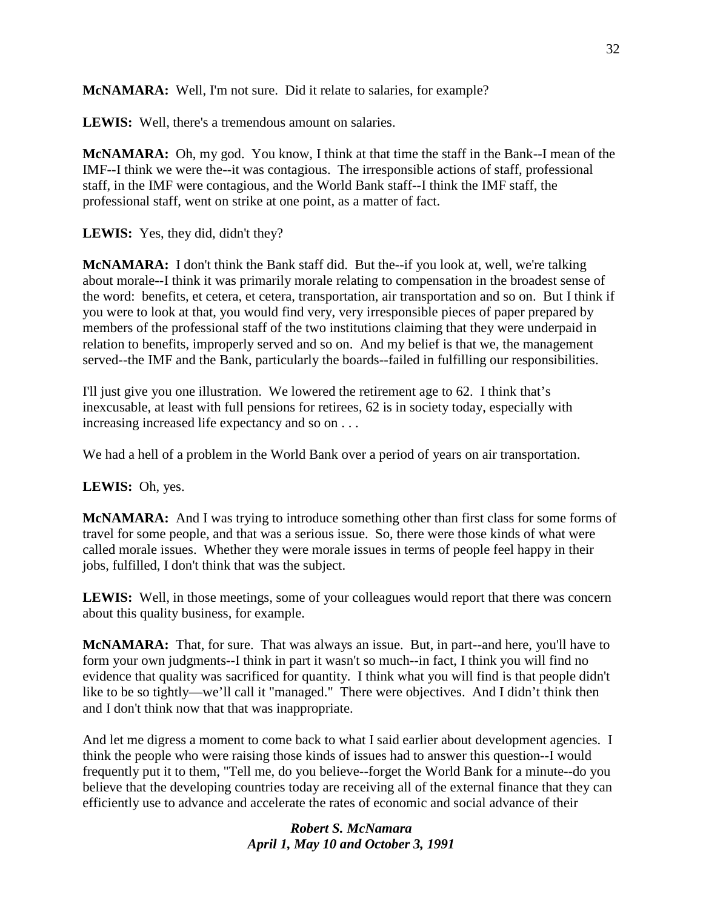**McNAMARA:** Well, I'm not sure. Did it relate to salaries, for example?

**LEWIS:** Well, there's a tremendous amount on salaries.

**McNAMARA:** Oh, my god. You know, I think at that time the staff in the Bank--I mean of the IMF--I think we were the--it was contagious. The irresponsible actions of staff, professional staff, in the IMF were contagious, and the World Bank staff--I think the IMF staff, the professional staff, went on strike at one point, as a matter of fact.

**LEWIS:** Yes, they did, didn't they?

**McNAMARA:** I don't think the Bank staff did. But the--if you look at, well, we're talking about morale--I think it was primarily morale relating to compensation in the broadest sense of the word: benefits, et cetera, et cetera, transportation, air transportation and so on. But I think if you were to look at that, you would find very, very irresponsible pieces of paper prepared by members of the professional staff of the two institutions claiming that they were underpaid in relation to benefits, improperly served and so on. And my belief is that we, the management served--the IMF and the Bank, particularly the boards--failed in fulfilling our responsibilities.

I'll just give you one illustration. We lowered the retirement age to 62. I think that's inexcusable, at least with full pensions for retirees, 62 is in society today, especially with increasing increased life expectancy and so on . . .

We had a hell of a problem in the World Bank over a period of years on air transportation.

**LEWIS:** Oh, yes.

**McNAMARA:** And I was trying to introduce something other than first class for some forms of travel for some people, and that was a serious issue. So, there were those kinds of what were called morale issues. Whether they were morale issues in terms of people feel happy in their jobs, fulfilled, I don't think that was the subject.

**LEWIS:** Well, in those meetings, some of your colleagues would report that there was concern about this quality business, for example.

**McNAMARA:** That, for sure. That was always an issue. But, in part--and here, you'll have to form your own judgments--I think in part it wasn't so much--in fact, I think you will find no evidence that quality was sacrificed for quantity. I think what you will find is that people didn't like to be so tightly—we'll call it "managed." There were objectives. And I didn't think then and I don't think now that that was inappropriate.

And let me digress a moment to come back to what I said earlier about development agencies. I think the people who were raising those kinds of issues had to answer this question--I would frequently put it to them, "Tell me, do you believe--forget the World Bank for a minute--do you believe that the developing countries today are receiving all of the external finance that they can efficiently use to advance and accelerate the rates of economic and social advance of their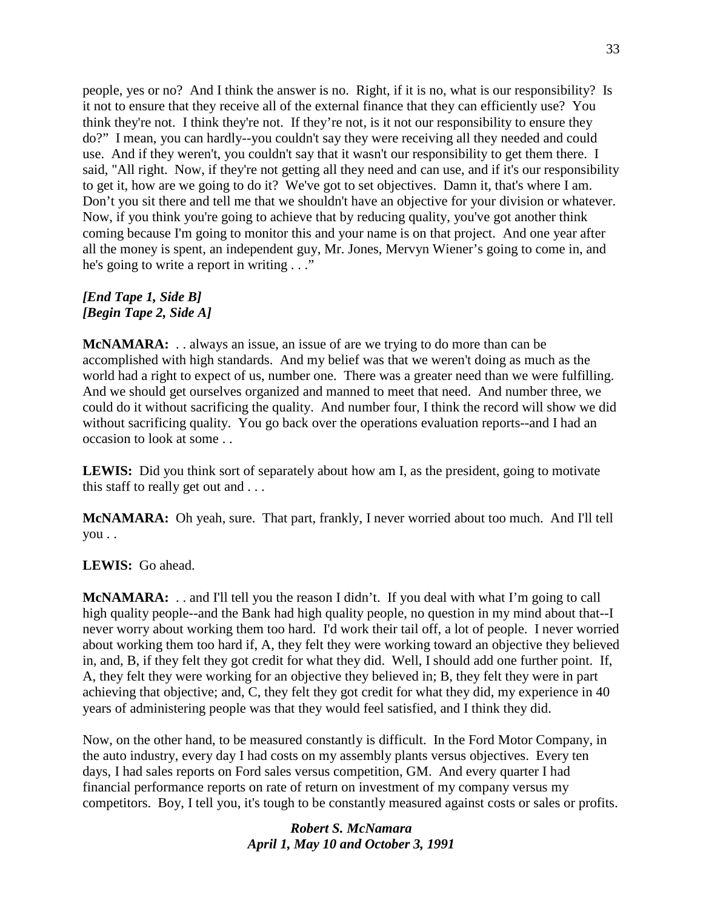people, yes or no? And I think the answer is no. Right, if it is no, what is our responsibility? Is it not to ensure that they receive all of the external finance that they can efficiently use? You think they're not. I think they're not. If they're not, is it not our responsibility to ensure they do?" I mean, you can hardly--you couldn't say they were receiving all they needed and could use. And if they weren't, you couldn't say that it wasn't our responsibility to get them there. I said, "All right. Now, if they're not getting all they need and can use, and if it's our responsibility to get it, how are we going to do it? We've got to set objectives. Damn it, that's where I am. Don't you sit there and tell me that we shouldn't have an objective for your division or whatever. Now, if you think you're going to achieve that by reducing quality, you've got another think coming because I'm going to monitor this and your name is on that project. And one year after all the money is spent, an independent guy, Mr. Jones, Mervyn Wiener's going to come in, and he's going to write a report in writing . . ."

## *[End Tape 1, Side B] [Begin Tape 2, Side A]*

**McNAMARA:** . . always an issue, an issue of are we trying to do more than can be accomplished with high standards. And my belief was that we weren't doing as much as the world had a right to expect of us, number one. There was a greater need than we were fulfilling. And we should get ourselves organized and manned to meet that need. And number three, we could do it without sacrificing the quality. And number four, I think the record will show we did without sacrificing quality. You go back over the operations evaluation reports--and I had an occasion to look at some . .

**LEWIS:** Did you think sort of separately about how am I, as the president, going to motivate this staff to really get out and . . .

**McNAMARA:** Oh yeah, sure. That part, frankly, I never worried about too much. And I'll tell you . .

# **LEWIS:** Go ahead.

**McNAMARA:** . . and I'll tell you the reason I didn't. If you deal with what I'm going to call high quality people--and the Bank had high quality people, no question in my mind about that--I never worry about working them too hard. I'd work their tail off, a lot of people. I never worried about working them too hard if, A, they felt they were working toward an objective they believed in, and, B, if they felt they got credit for what they did. Well, I should add one further point. If, A, they felt they were working for an objective they believed in; B, they felt they were in part achieving that objective; and, C, they felt they got credit for what they did, my experience in 40 years of administering people was that they would feel satisfied, and I think they did.

Now, on the other hand, to be measured constantly is difficult. In the Ford Motor Company, in the auto industry, every day I had costs on my assembly plants versus objectives. Every ten days, I had sales reports on Ford sales versus competition, GM. And every quarter I had financial performance reports on rate of return on investment of my company versus my competitors. Boy, I tell you, it's tough to be constantly measured against costs or sales or profits.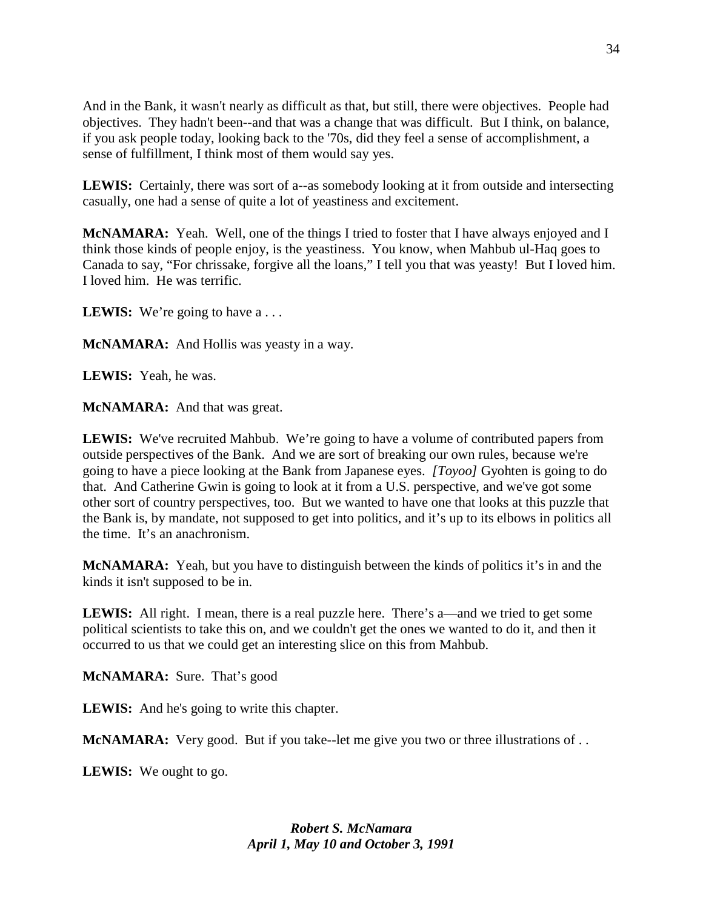And in the Bank, it wasn't nearly as difficult as that, but still, there were objectives. People had objectives. They hadn't been--and that was a change that was difficult. But I think, on balance, if you ask people today, looking back to the '70s, did they feel a sense of accomplishment, a sense of fulfillment, I think most of them would say yes.

**LEWIS:** Certainly, there was sort of a--as somebody looking at it from outside and intersecting casually, one had a sense of quite a lot of yeastiness and excitement.

**McNAMARA:** Yeah. Well, one of the things I tried to foster that I have always enjoyed and I think those kinds of people enjoy, is the yeastiness. You know, when Mahbub ul-Haq goes to Canada to say, "For chrissake, forgive all the loans," I tell you that was yeasty! But I loved him. I loved him. He was terrific.

LEWIS: We're going to have a ...

**McNAMARA:** And Hollis was yeasty in a way.

**LEWIS:** Yeah, he was.

**McNAMARA:** And that was great.

**LEWIS:** We've recruited Mahbub. We're going to have a volume of contributed papers from outside perspectives of the Bank. And we are sort of breaking our own rules, because we're going to have a piece looking at the Bank from Japanese eyes. *[Toyoo]* Gyohten is going to do that. And Catherine Gwin is going to look at it from a U.S. perspective, and we've got some other sort of country perspectives, too. But we wanted to have one that looks at this puzzle that the Bank is, by mandate, not supposed to get into politics, and it's up to its elbows in politics all the time. It's an anachronism.

**McNAMARA:** Yeah, but you have to distinguish between the kinds of politics it's in and the kinds it isn't supposed to be in.

**LEWIS:** All right. I mean, there is a real puzzle here. There's a—and we tried to get some political scientists to take this on, and we couldn't get the ones we wanted to do it, and then it occurred to us that we could get an interesting slice on this from Mahbub.

**McNAMARA:** Sure. That's good

**LEWIS:** And he's going to write this chapter.

**McNAMARA:** Very good. But if you take--let me give you two or three illustrations of ...

**LEWIS:** We ought to go.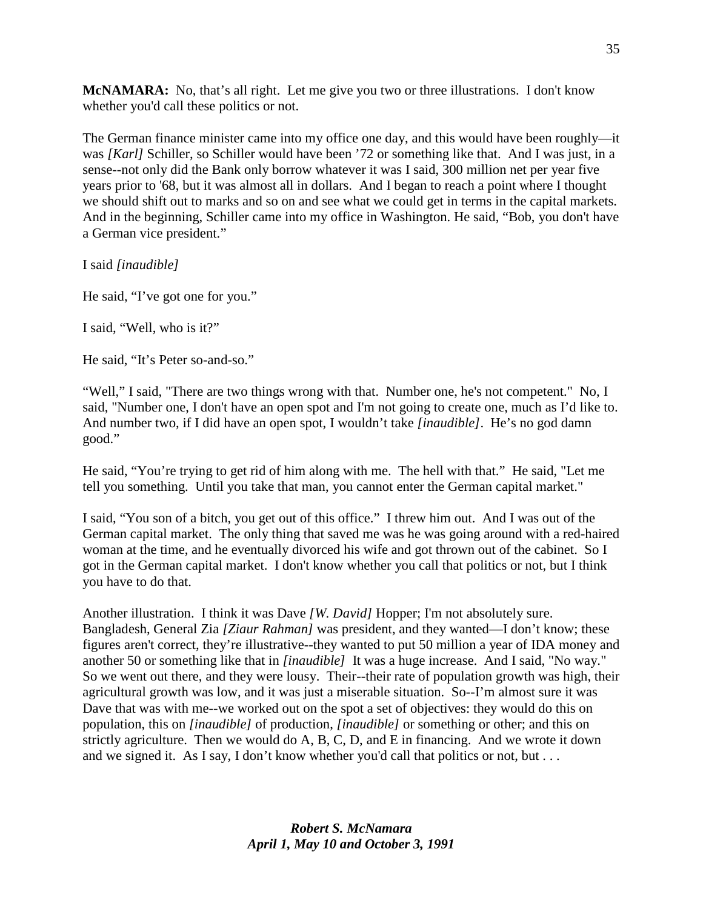**McNAMARA:** No, that's all right. Let me give you two or three illustrations. I don't know whether you'd call these politics or not.

The German finance minister came into my office one day, and this would have been roughly—it was *[Karl]* Schiller, so Schiller would have been '72 or something like that. And I was just, in a sense--not only did the Bank only borrow whatever it was I said, 300 million net per year five years prior to '68, but it was almost all in dollars. And I began to reach a point where I thought we should shift out to marks and so on and see what we could get in terms in the capital markets. And in the beginning, Schiller came into my office in Washington. He said, "Bob, you don't have a German vice president."

I said *[inaudible]*

He said, "I've got one for you."

I said, "Well, who is it?"

He said, "It's Peter so-and-so."

"Well," I said, "There are two things wrong with that. Number one, he's not competent." No, I said, "Number one, I don't have an open spot and I'm not going to create one, much as I'd like to. And number two, if I did have an open spot, I wouldn't take *[inaudible]*. He's no god damn good."

He said, "You're trying to get rid of him along with me. The hell with that." He said, "Let me tell you something. Until you take that man, you cannot enter the German capital market."

I said, "You son of a bitch, you get out of this office." I threw him out. And I was out of the German capital market. The only thing that saved me was he was going around with a red-haired woman at the time, and he eventually divorced his wife and got thrown out of the cabinet. So I got in the German capital market. I don't know whether you call that politics or not, but I think you have to do that.

Another illustration. I think it was Dave *[W. David]* Hopper; I'm not absolutely sure. Bangladesh, General Zia *[Ziaur Rahman]* was president, and they wanted—I don't know; these figures aren't correct, they're illustrative--they wanted to put 50 million a year of IDA money and another 50 or something like that in *[inaudible]* It was a huge increase. And I said, "No way." So we went out there, and they were lousy. Their--their rate of population growth was high, their agricultural growth was low, and it was just a miserable situation. So--I'm almost sure it was Dave that was with me--we worked out on the spot a set of objectives: they would do this on population, this on *[inaudible]* of production, *[inaudible]* or something or other; and this on strictly agriculture. Then we would do A, B, C, D, and E in financing. And we wrote it down and we signed it. As I say, I don't know whether you'd call that politics or not, but . . .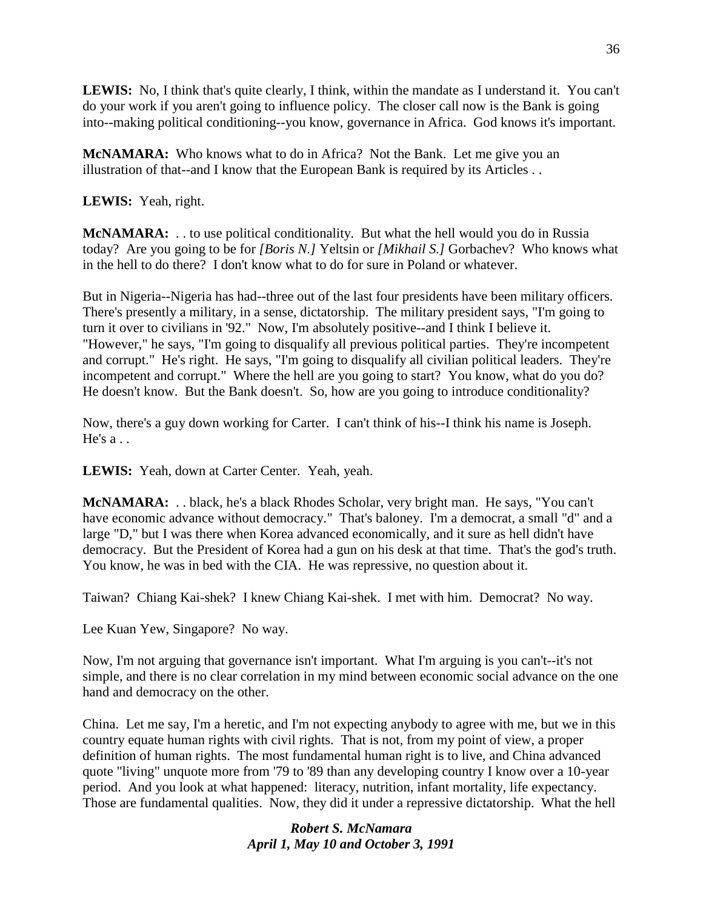**LEWIS:** No, I think that's quite clearly, I think, within the mandate as I understand it. You can't do your work if you aren't going to influence policy. The closer call now is the Bank is going into--making political conditioning--you know, governance in Africa. God knows it's important.

**McNAMARA:** Who knows what to do in Africa? Not the Bank. Let me give you an illustration of that--and I know that the European Bank is required by its Articles . .

**LEWIS:** Yeah, right.

**McNAMARA:** . . to use political conditionality. But what the hell would you do in Russia today? Are you going to be for *[Boris N.]* Yeltsin or *[Mikhail S.]* Gorbachev? Who knows what in the hell to do there? I don't know what to do for sure in Poland or whatever.

But in Nigeria--Nigeria has had--three out of the last four presidents have been military officers. There's presently a military, in a sense, dictatorship. The military president says, "I'm going to turn it over to civilians in '92." Now, I'm absolutely positive--and I think I believe it. "However," he says, "I'm going to disqualify all previous political parties. They're incompetent and corrupt." He's right. He says, "I'm going to disqualify all civilian political leaders. They're incompetent and corrupt." Where the hell are you going to start? You know, what do you do? He doesn't know. But the Bank doesn't. So, how are you going to introduce conditionality?

Now, there's a guy down working for Carter. I can't think of his--I think his name is Joseph. He's a . .

**LEWIS:** Yeah, down at Carter Center. Yeah, yeah.

**McNAMARA:** . . black, he's a black Rhodes Scholar, very bright man. He says, "You can't have economic advance without democracy." That's baloney. I'm a democrat, a small "d" and a large "D," but I was there when Korea advanced economically, and it sure as hell didn't have democracy. But the President of Korea had a gun on his desk at that time. That's the god's truth. You know, he was in bed with the CIA. He was repressive, no question about it.

Taiwan? Chiang Kai-shek? I knew Chiang Kai-shek. I met with him. Democrat? No way.

Lee Kuan Yew, Singapore? No way.

Now, I'm not arguing that governance isn't important. What I'm arguing is you can't--it's not simple, and there is no clear correlation in my mind between economic social advance on the one hand and democracy on the other.

China. Let me say, I'm a heretic, and I'm not expecting anybody to agree with me, but we in this country equate human rights with civil rights. That is not, from my point of view, a proper definition of human rights. The most fundamental human right is to live, and China advanced quote "living" unquote more from '79 to '89 than any developing country I know over a 10-year period. And you look at what happened: literacy, nutrition, infant mortality, life expectancy. Those are fundamental qualities. Now, they did it under a repressive dictatorship. What the hell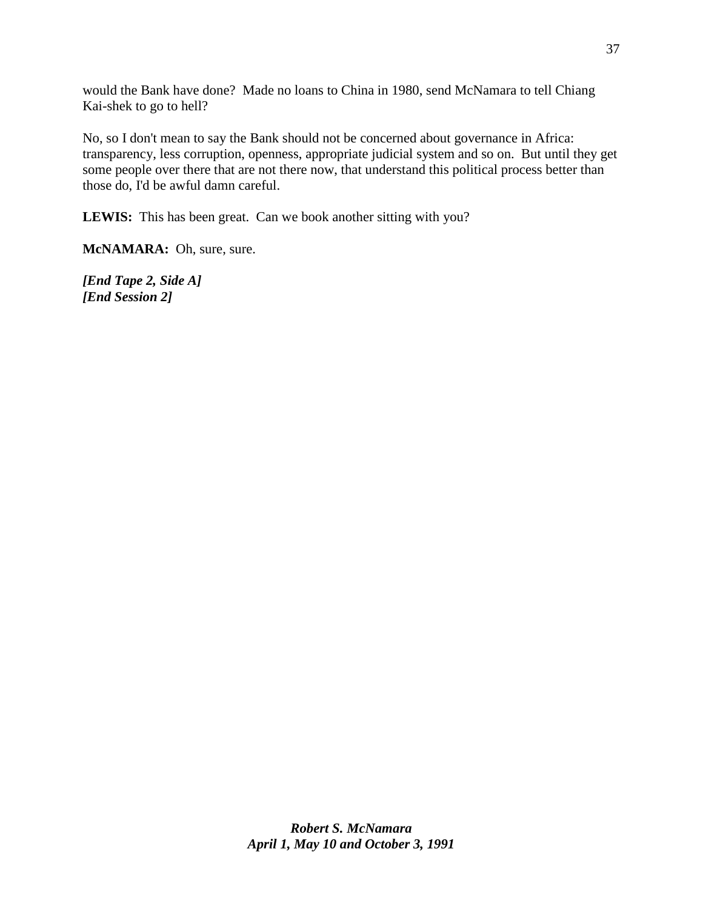would the Bank have done? Made no loans to China in 1980, send McNamara to tell Chiang Kai-shek to go to hell?

No, so I don't mean to say the Bank should not be concerned about governance in Africa: transparency, less corruption, openness, appropriate judicial system and so on. But until they get some people over there that are not there now, that understand this political process better than those do, I'd be awful damn careful.

**LEWIS:** This has been great. Can we book another sitting with you?

**McNAMARA:** Oh, sure, sure.

*[End Tape 2, Side A] [End Session 2]*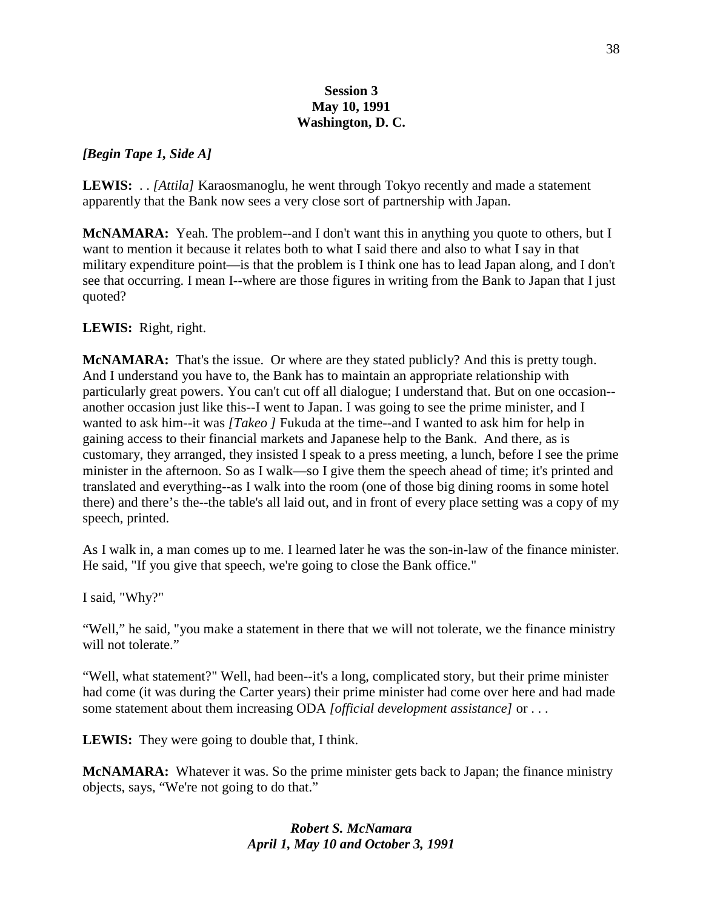### **Session 3 May 10, 1991 Washington, D. C.**

### *[Begin Tape 1, Side A]*

**LEWIS:** . . *[Attila]* Karaosmanoglu, he went through Tokyo recently and made a statement apparently that the Bank now sees a very close sort of partnership with Japan.

**McNAMARA:** Yeah. The problem--and I don't want this in anything you quote to others, but I want to mention it because it relates both to what I said there and also to what I say in that military expenditure point—is that the problem is I think one has to lead Japan along, and I don't see that occurring. I mean I--where are those figures in writing from the Bank to Japan that I just quoted?

### **LEWIS:** Right, right.

**McNAMARA:** That's the issue. Or where are they stated publicly? And this is pretty tough. And I understand you have to, the Bank has to maintain an appropriate relationship with particularly great powers. You can't cut off all dialogue; I understand that. But on one occasion- another occasion just like this--I went to Japan. I was going to see the prime minister, and I wanted to ask him--it was *[Takeo ]* Fukuda at the time--and I wanted to ask him for help in gaining access to their financial markets and Japanese help to the Bank. And there, as is customary, they arranged, they insisted I speak to a press meeting, a lunch, before I see the prime minister in the afternoon. So as I walk—so I give them the speech ahead of time; it's printed and translated and everything--as I walk into the room (one of those big dining rooms in some hotel there) and there's the--the table's all laid out, and in front of every place setting was a copy of my speech, printed.

As I walk in, a man comes up to me. I learned later he was the son-in-law of the finance minister. He said, "If you give that speech, we're going to close the Bank office."

I said, "Why?"

"Well," he said, "you make a statement in there that we will not tolerate, we the finance ministry will not tolerate."

"Well, what statement?" Well, had been--it's a long, complicated story, but their prime minister had come (it was during the Carter years) their prime minister had come over here and had made some statement about them increasing ODA *[official development assistance]* or . . .

**LEWIS:** They were going to double that, I think.

**McNAMARA:** Whatever it was. So the prime minister gets back to Japan; the finance ministry objects, says, "We're not going to do that."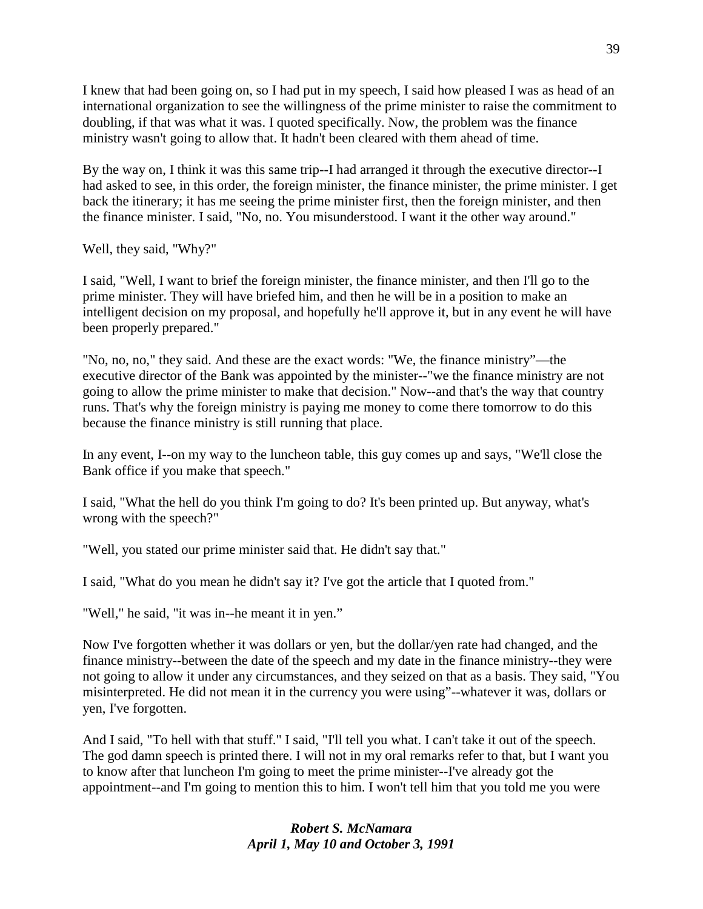I knew that had been going on, so I had put in my speech, I said how pleased I was as head of an international organization to see the willingness of the prime minister to raise the commitment to doubling, if that was what it was. I quoted specifically. Now, the problem was the finance ministry wasn't going to allow that. It hadn't been cleared with them ahead of time.

By the way on, I think it was this same trip--I had arranged it through the executive director--I had asked to see, in this order, the foreign minister, the finance minister, the prime minister. I get back the itinerary; it has me seeing the prime minister first, then the foreign minister, and then the finance minister. I said, "No, no. You misunderstood. I want it the other way around."

Well, they said, "Why?"

I said, "Well, I want to brief the foreign minister, the finance minister, and then I'll go to the prime minister. They will have briefed him, and then he will be in a position to make an intelligent decision on my proposal, and hopefully he'll approve it, but in any event he will have been properly prepared."

"No, no, no," they said. And these are the exact words: "We, the finance ministry"—the executive director of the Bank was appointed by the minister--"we the finance ministry are not going to allow the prime minister to make that decision." Now--and that's the way that country runs. That's why the foreign ministry is paying me money to come there tomorrow to do this because the finance ministry is still running that place.

In any event, I--on my way to the luncheon table, this guy comes up and says, "We'll close the Bank office if you make that speech."

I said, "What the hell do you think I'm going to do? It's been printed up. But anyway, what's wrong with the speech?"

"Well, you stated our prime minister said that. He didn't say that."

I said, "What do you mean he didn't say it? I've got the article that I quoted from."

"Well," he said, "it was in--he meant it in yen."

Now I've forgotten whether it was dollars or yen, but the dollar/yen rate had changed, and the finance ministry--between the date of the speech and my date in the finance ministry--they were not going to allow it under any circumstances, and they seized on that as a basis. They said, "You misinterpreted. He did not mean it in the currency you were using"--whatever it was, dollars or yen, I've forgotten.

And I said, "To hell with that stuff." I said, "I'll tell you what. I can't take it out of the speech. The god damn speech is printed there. I will not in my oral remarks refer to that, but I want you to know after that luncheon I'm going to meet the prime minister--I've already got the appointment--and I'm going to mention this to him. I won't tell him that you told me you were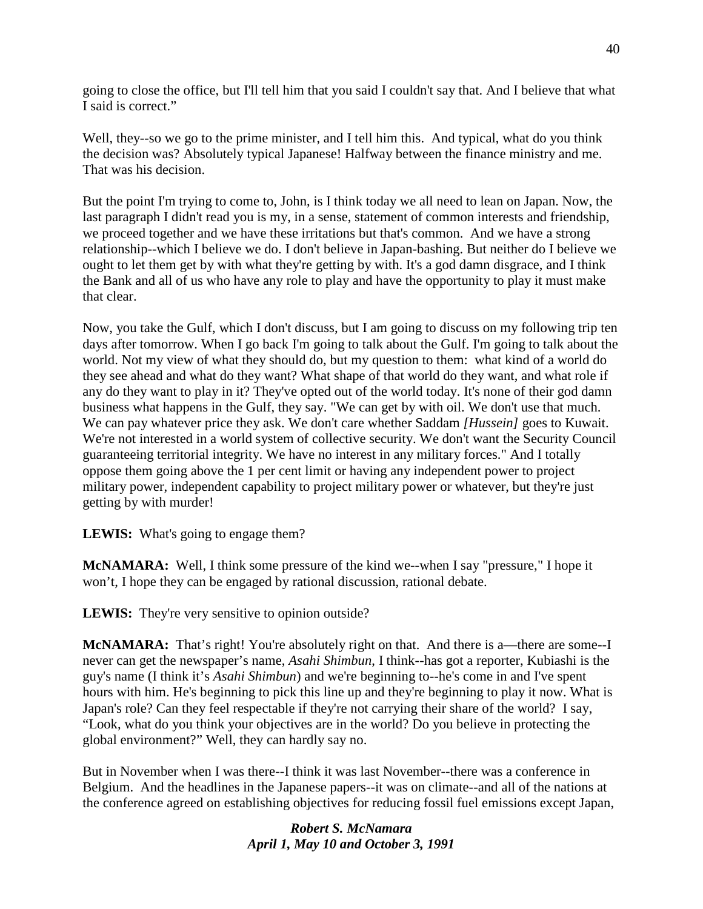going to close the office, but I'll tell him that you said I couldn't say that. And I believe that what I said is correct."

Well, they--so we go to the prime minister, and I tell him this. And typical, what do you think the decision was? Absolutely typical Japanese! Halfway between the finance ministry and me. That was his decision.

But the point I'm trying to come to, John, is I think today we all need to lean on Japan. Now, the last paragraph I didn't read you is my, in a sense, statement of common interests and friendship, we proceed together and we have these irritations but that's common. And we have a strong relationship--which I believe we do. I don't believe in Japan-bashing. But neither do I believe we ought to let them get by with what they're getting by with. It's a god damn disgrace, and I think the Bank and all of us who have any role to play and have the opportunity to play it must make that clear.

Now, you take the Gulf, which I don't discuss, but I am going to discuss on my following trip ten days after tomorrow. When I go back I'm going to talk about the Gulf. I'm going to talk about the world. Not my view of what they should do, but my question to them: what kind of a world do they see ahead and what do they want? What shape of that world do they want, and what role if any do they want to play in it? They've opted out of the world today. It's none of their god damn business what happens in the Gulf, they say. "We can get by with oil. We don't use that much. We can pay whatever price they ask. We don't care whether Saddam *[Hussein]* goes to Kuwait. We're not interested in a world system of collective security. We don't want the Security Council guaranteeing territorial integrity. We have no interest in any military forces." And I totally oppose them going above the 1 per cent limit or having any independent power to project military power, independent capability to project military power or whatever, but they're just getting by with murder!

LEWIS: What's going to engage them?

**McNAMARA:** Well, I think some pressure of the kind we--when I say "pressure," I hope it won't, I hope they can be engaged by rational discussion, rational debate.

**LEWIS:** They're very sensitive to opinion outside?

**McNAMARA:** That's right! You're absolutely right on that. And there is a—there are some--I never can get the newspaper's name, *Asahi Shimbun*, I think--has got a reporter, Kubiashi is the guy's name (I think it's *Asahi Shimbun*) and we're beginning to--he's come in and I've spent hours with him. He's beginning to pick this line up and they're beginning to play it now. What is Japan's role? Can they feel respectable if they're not carrying their share of the world? I say, "Look, what do you think your objectives are in the world? Do you believe in protecting the global environment?" Well, they can hardly say no.

But in November when I was there--I think it was last November--there was a conference in Belgium. And the headlines in the Japanese papers--it was on climate--and all of the nations at the conference agreed on establishing objectives for reducing fossil fuel emissions except Japan,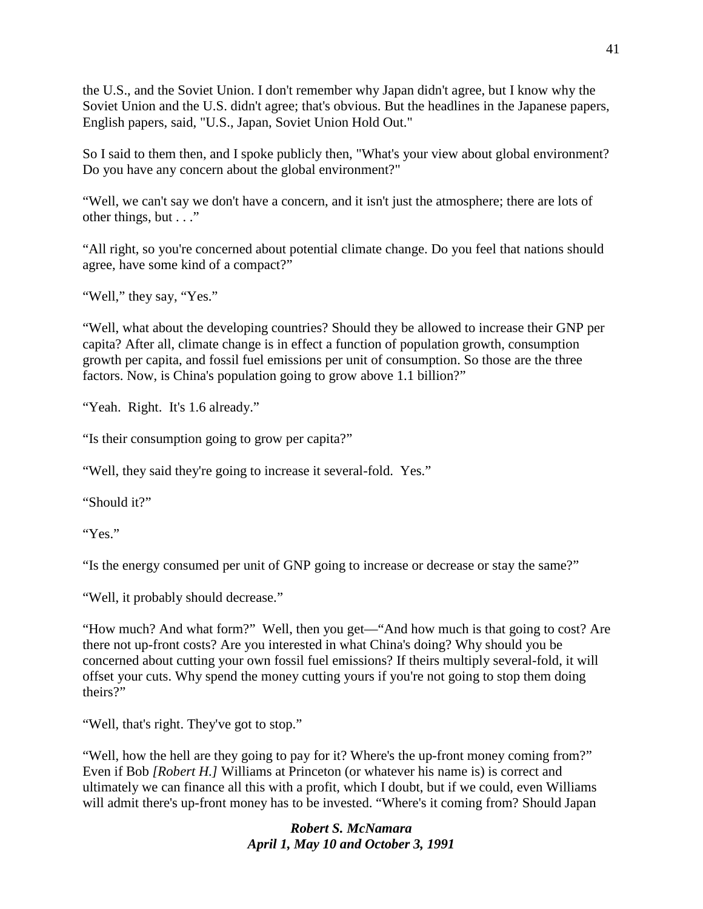the U.S., and the Soviet Union. I don't remember why Japan didn't agree, but I know why the Soviet Union and the U.S. didn't agree; that's obvious. But the headlines in the Japanese papers, English papers, said, "U.S., Japan, Soviet Union Hold Out."

So I said to them then, and I spoke publicly then, "What's your view about global environment? Do you have any concern about the global environment?"

"Well, we can't say we don't have a concern, and it isn't just the atmosphere; there are lots of other things, but . . ."

"All right, so you're concerned about potential climate change. Do you feel that nations should agree, have some kind of a compact?"

"Well," they say, "Yes."

"Well, what about the developing countries? Should they be allowed to increase their GNP per capita? After all, climate change is in effect a function of population growth, consumption growth per capita, and fossil fuel emissions per unit of consumption. So those are the three factors. Now, is China's population going to grow above 1.1 billion?"

"Yeah. Right. It's 1.6 already."

"Is their consumption going to grow per capita?"

"Well, they said they're going to increase it several-fold. Yes."

"Should it?"

"Yes."

"Is the energy consumed per unit of GNP going to increase or decrease or stay the same?"

"Well, it probably should decrease."

"How much? And what form?" Well, then you get—"And how much is that going to cost? Are there not up-front costs? Are you interested in what China's doing? Why should you be concerned about cutting your own fossil fuel emissions? If theirs multiply several-fold, it will offset your cuts. Why spend the money cutting yours if you're not going to stop them doing theirs?"

"Well, that's right. They've got to stop."

"Well, how the hell are they going to pay for it? Where's the up-front money coming from?" Even if Bob *[Robert H.]* Williams at Princeton (or whatever his name is) is correct and ultimately we can finance all this with a profit, which I doubt, but if we could, even Williams will admit there's up-front money has to be invested. "Where's it coming from? Should Japan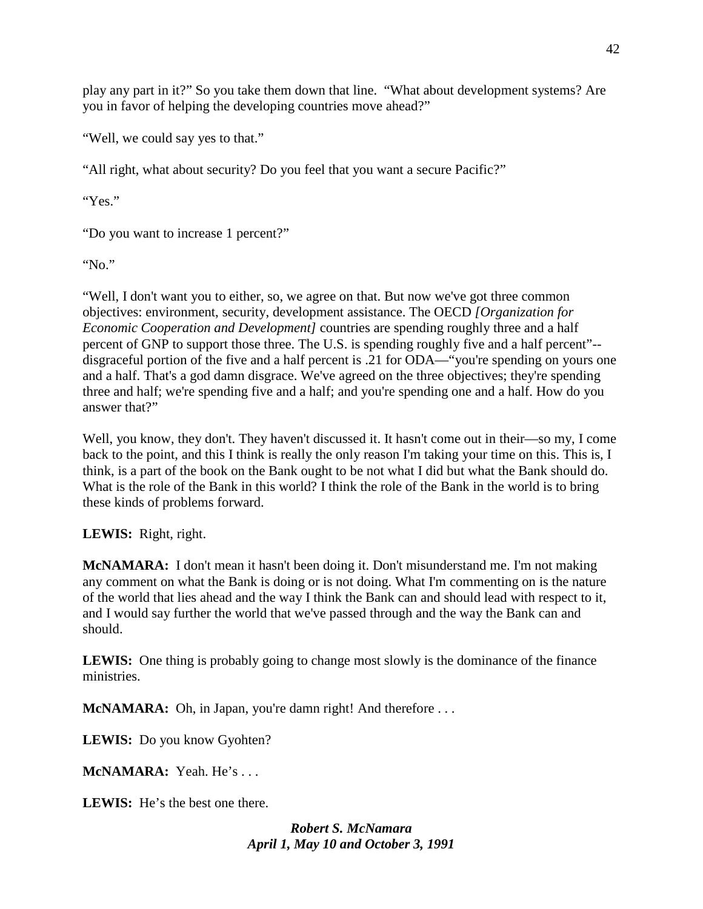play any part in it?" So you take them down that line. "What about development systems? Are you in favor of helping the developing countries move ahead?"

"Well, we could say yes to that."

"All right, what about security? Do you feel that you want a secure Pacific?"

"Yes."

"Do you want to increase 1 percent?"

"No."

"Well, I don't want you to either, so, we agree on that. But now we've got three common objectives: environment, security, development assistance. The OECD *[Organization for Economic Cooperation and Development]* countries are spending roughly three and a half percent of GNP to support those three. The U.S. is spending roughly five and a half percent"- disgraceful portion of the five and a half percent is .21 for ODA—"you're spending on yours one and a half. That's a god damn disgrace. We've agreed on the three objectives; they're spending three and half; we're spending five and a half; and you're spending one and a half. How do you answer that?"

Well, you know, they don't. They haven't discussed it. It hasn't come out in their—so my, I come back to the point, and this I think is really the only reason I'm taking your time on this. This is, I think, is a part of the book on the Bank ought to be not what I did but what the Bank should do. What is the role of the Bank in this world? I think the role of the Bank in the world is to bring these kinds of problems forward.

**LEWIS:** Right, right.

**McNAMARA:** I don't mean it hasn't been doing it. Don't misunderstand me. I'm not making any comment on what the Bank is doing or is not doing. What I'm commenting on is the nature of the world that lies ahead and the way I think the Bank can and should lead with respect to it, and I would say further the world that we've passed through and the way the Bank can and should.

**LEWIS:** One thing is probably going to change most slowly is the dominance of the finance ministries.

**McNAMARA:** Oh, in Japan, you're damn right! And therefore . . .

**LEWIS:** Do you know Gyohten?

**McNAMARA:** Yeah. He's . . .

**LEWIS:** He's the best one there.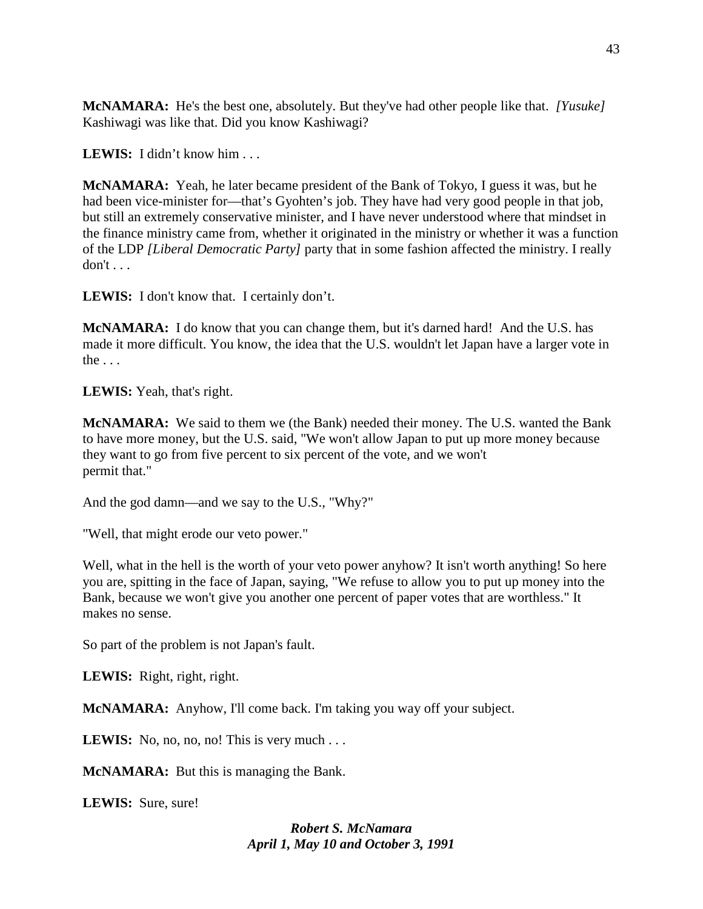**McNAMARA:** He's the best one, absolutely. But they've had other people like that. *[Yusuke]*  Kashiwagi was like that. Did you know Kashiwagi?

**LEWIS:** I didn't know him . . .

**McNAMARA:** Yeah, he later became president of the Bank of Tokyo, I guess it was, but he had been vice-minister for—that's Gyohten's job. They have had very good people in that job, but still an extremely conservative minister, and I have never understood where that mindset in the finance ministry came from, whether it originated in the ministry or whether it was a function of the LDP *[Liberal Democratic Party]* party that in some fashion affected the ministry. I really don't . . .

**LEWIS:** I don't know that. I certainly don't.

**McNAMARA:** I do know that you can change them, but it's darned hard! And the U.S. has made it more difficult. You know, the idea that the U.S. wouldn't let Japan have a larger vote in the  $\ldots$ 

**LEWIS:** Yeah, that's right.

**McNAMARA:** We said to them we (the Bank) needed their money. The U.S. wanted the Bank to have more money, but the U.S. said, "We won't allow Japan to put up more money because they want to go from five percent to six percent of the vote, and we won't permit that."

And the god damn—and we say to the U.S., "Why?"

"Well, that might erode our veto power."

Well, what in the hell is the worth of your veto power anyhow? It isn't worth anything! So here you are, spitting in the face of Japan, saying, "We refuse to allow you to put up money into the Bank, because we won't give you another one percent of paper votes that are worthless." It makes no sense.

So part of the problem is not Japan's fault.

**LEWIS:** Right, right, right.

**McNAMARA:** Anyhow, I'll come back. I'm taking you way off your subject.

**LEWIS:** No, no, no, no! This is very much  $\ldots$ 

**McNAMARA:** But this is managing the Bank.

**LEWIS:** Sure, sure!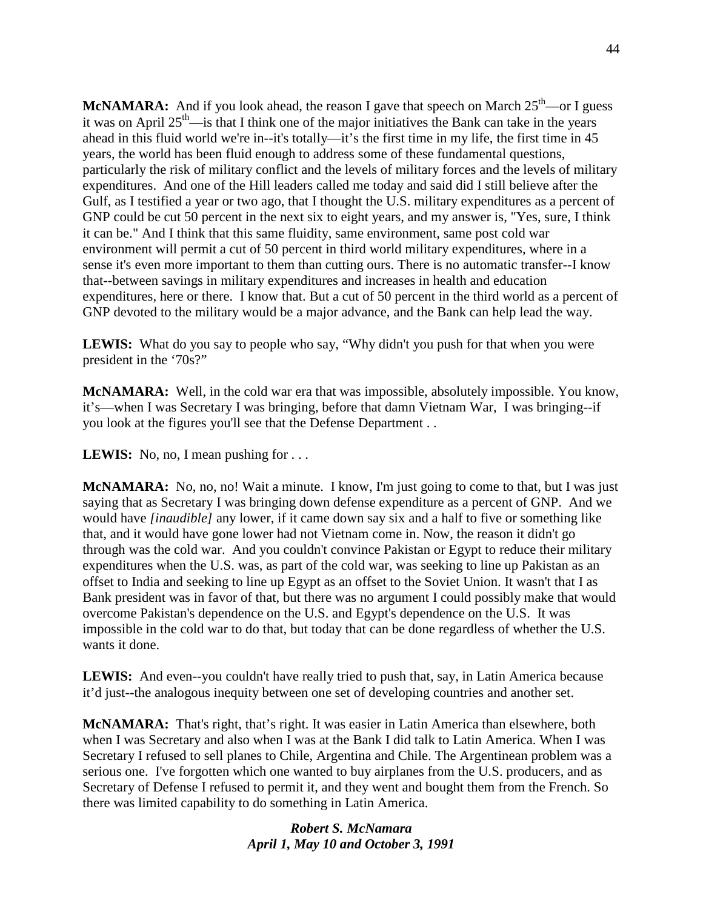**McNAMARA:** And if you look ahead, the reason I gave that speech on March  $25<sup>th</sup>$ —or I guess it was on April  $25<sup>th</sup>$ —is that I think one of the major initiatives the Bank can take in the years ahead in this fluid world we're in--it's totally—it's the first time in my life, the first time in 45 years, the world has been fluid enough to address some of these fundamental questions, particularly the risk of military conflict and the levels of military forces and the levels of military expenditures. And one of the Hill leaders called me today and said did I still believe after the Gulf, as I testified a year or two ago, that I thought the U.S. military expenditures as a percent of GNP could be cut 50 percent in the next six to eight years, and my answer is, "Yes, sure, I think it can be." And I think that this same fluidity, same environment, same post cold war environment will permit a cut of 50 percent in third world military expenditures, where in a sense it's even more important to them than cutting ours. There is no automatic transfer--I know that--between savings in military expenditures and increases in health and education expenditures, here or there. I know that. But a cut of 50 percent in the third world as a percent of GNP devoted to the military would be a major advance, and the Bank can help lead the way.

**LEWIS:** What do you say to people who say, "Why didn't you push for that when you were president in the '70s?"

**McNAMARA:** Well, in the cold war era that was impossible, absolutely impossible. You know, it's—when I was Secretary I was bringing, before that damn Vietnam War, I was bringing--if you look at the figures you'll see that the Defense Department . .

**LEWIS:** No, no, I mean pushing for . . .

**McNAMARA:** No, no, no! Wait a minute. I know, I'm just going to come to that, but I was just saying that as Secretary I was bringing down defense expenditure as a percent of GNP. And we would have *[inaudible]* any lower, if it came down say six and a half to five or something like that, and it would have gone lower had not Vietnam come in. Now, the reason it didn't go through was the cold war. And you couldn't convince Pakistan or Egypt to reduce their military expenditures when the U.S. was, as part of the cold war, was seeking to line up Pakistan as an offset to India and seeking to line up Egypt as an offset to the Soviet Union. It wasn't that I as Bank president was in favor of that, but there was no argument I could possibly make that would overcome Pakistan's dependence on the U.S. and Egypt's dependence on the U.S. It was impossible in the cold war to do that, but today that can be done regardless of whether the U.S. wants it done.

**LEWIS:** And even--you couldn't have really tried to push that, say, in Latin America because it'd just--the analogous inequity between one set of developing countries and another set.

**McNAMARA:** That's right, that's right. It was easier in Latin America than elsewhere, both when I was Secretary and also when I was at the Bank I did talk to Latin America. When I was Secretary I refused to sell planes to Chile, Argentina and Chile. The Argentinean problem was a serious one. I've forgotten which one wanted to buy airplanes from the U.S. producers, and as Secretary of Defense I refused to permit it, and they went and bought them from the French. So there was limited capability to do something in Latin America.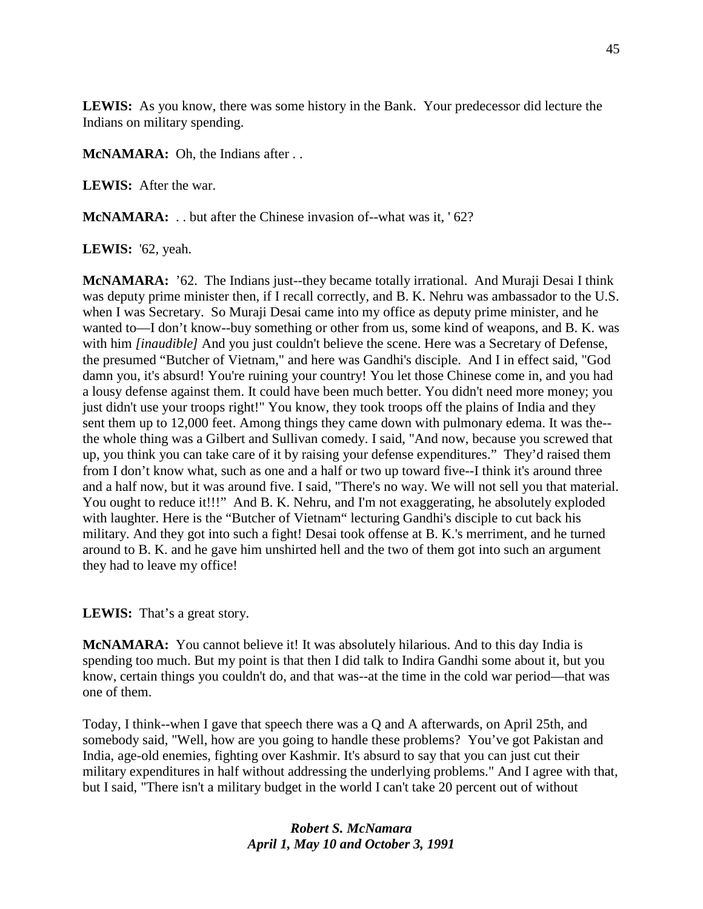**LEWIS:** As you know, there was some history in the Bank. Your predecessor did lecture the Indians on military spending.

**McNAMARA:** Oh, the Indians after . .

**LEWIS:** After the war.

**McNAMARA:** . . but after the Chinese invasion of--what was it, '62?

**LEWIS:** '62, yeah.

**McNAMARA:** '62. The Indians just--they became totally irrational. And Muraji Desai I think was deputy prime minister then, if I recall correctly, and B. K. Nehru was ambassador to the U.S. when I was Secretary. So Muraji Desai came into my office as deputy prime minister, and he wanted to—I don't know--buy something or other from us, some kind of weapons, and B. K. was with him *[inaudible]* And you just couldn't believe the scene. Here was a Secretary of Defense, the presumed "Butcher of Vietnam," and here was Gandhi's disciple. And I in effect said, "God damn you, it's absurd! You're ruining your country! You let those Chinese come in, and you had a lousy defense against them. It could have been much better. You didn't need more money; you just didn't use your troops right!" You know, they took troops off the plains of India and they sent them up to 12,000 feet. Among things they came down with pulmonary edema. It was the- the whole thing was a Gilbert and Sullivan comedy. I said, "And now, because you screwed that up, you think you can take care of it by raising your defense expenditures." They'd raised them from I don't know what, such as one and a half or two up toward five--I think it's around three and a half now, but it was around five. I said, "There's no way. We will not sell you that material. You ought to reduce it!!!" And B. K. Nehru, and I'm not exaggerating, he absolutely exploded with laughter. Here is the "Butcher of Vietnam" lecturing Gandhi's disciple to cut back his military. And they got into such a fight! Desai took offense at B. K.'s merriment, and he turned around to B. K. and he gave him unshirted hell and the two of them got into such an argument they had to leave my office!

**LEWIS:** That's a great story.

**McNAMARA:** You cannot believe it! It was absolutely hilarious. And to this day India is spending too much. But my point is that then I did talk to Indira Gandhi some about it, but you know, certain things you couldn't do, and that was--at the time in the cold war period—that was one of them.

Today, I think--when I gave that speech there was a Q and A afterwards, on April 25th, and somebody said, "Well, how are you going to handle these problems? You've got Pakistan and India, age-old enemies, fighting over Kashmir. It's absurd to say that you can just cut their military expenditures in half without addressing the underlying problems." And I agree with that, but I said, "There isn't a military budget in the world I can't take 20 percent out of without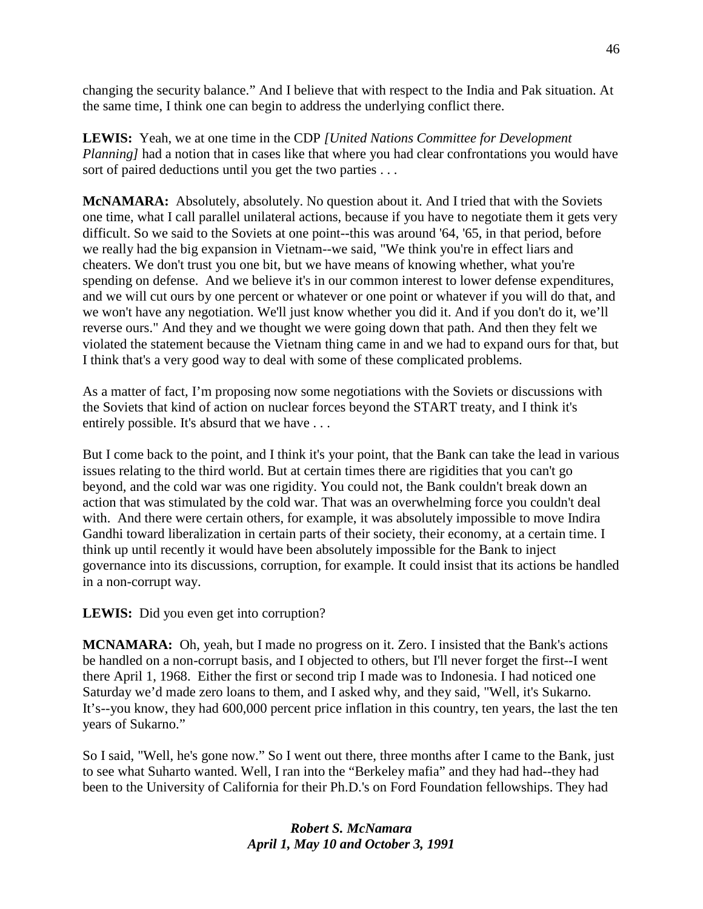changing the security balance." And I believe that with respect to the India and Pak situation. At the same time, I think one can begin to address the underlying conflict there.

**LEWIS:** Yeah, we at one time in the CDP *[United Nations Committee for Development Planning]* had a notion that in cases like that where you had clear confrontations you would have sort of paired deductions until you get the two parties . . .

**McNAMARA:** Absolutely, absolutely. No question about it. And I tried that with the Soviets one time, what I call parallel unilateral actions, because if you have to negotiate them it gets very difficult. So we said to the Soviets at one point--this was around '64, '65, in that period, before we really had the big expansion in Vietnam--we said, "We think you're in effect liars and cheaters. We don't trust you one bit, but we have means of knowing whether, what you're spending on defense. And we believe it's in our common interest to lower defense expenditures, and we will cut ours by one percent or whatever or one point or whatever if you will do that, and we won't have any negotiation. We'll just know whether you did it. And if you don't do it, we'll reverse ours." And they and we thought we were going down that path. And then they felt we violated the statement because the Vietnam thing came in and we had to expand ours for that, but I think that's a very good way to deal with some of these complicated problems.

As a matter of fact, I'm proposing now some negotiations with the Soviets or discussions with the Soviets that kind of action on nuclear forces beyond the START treaty, and I think it's entirely possible. It's absurd that we have . . .

But I come back to the point, and I think it's your point, that the Bank can take the lead in various issues relating to the third world. But at certain times there are rigidities that you can't go beyond, and the cold war was one rigidity. You could not, the Bank couldn't break down an action that was stimulated by the cold war. That was an overwhelming force you couldn't deal with. And there were certain others, for example, it was absolutely impossible to move Indira Gandhi toward liberalization in certain parts of their society, their economy, at a certain time. I think up until recently it would have been absolutely impossible for the Bank to inject governance into its discussions, corruption, for example. It could insist that its actions be handled in a non-corrupt way.

**LEWIS:** Did you even get into corruption?

**MCNAMARA:** Oh, yeah, but I made no progress on it. Zero. I insisted that the Bank's actions be handled on a non-corrupt basis, and I objected to others, but I'll never forget the first--I went there April 1, 1968. Either the first or second trip I made was to Indonesia. I had noticed one Saturday we'd made zero loans to them, and I asked why, and they said, "Well, it's Sukarno. It's--you know, they had 600,000 percent price inflation in this country, ten years, the last the ten years of Sukarno."

So I said, "Well, he's gone now." So I went out there, three months after I came to the Bank, just to see what Suharto wanted. Well, I ran into the "Berkeley mafia" and they had had--they had been to the University of California for their Ph.D.'s on Ford Foundation fellowships. They had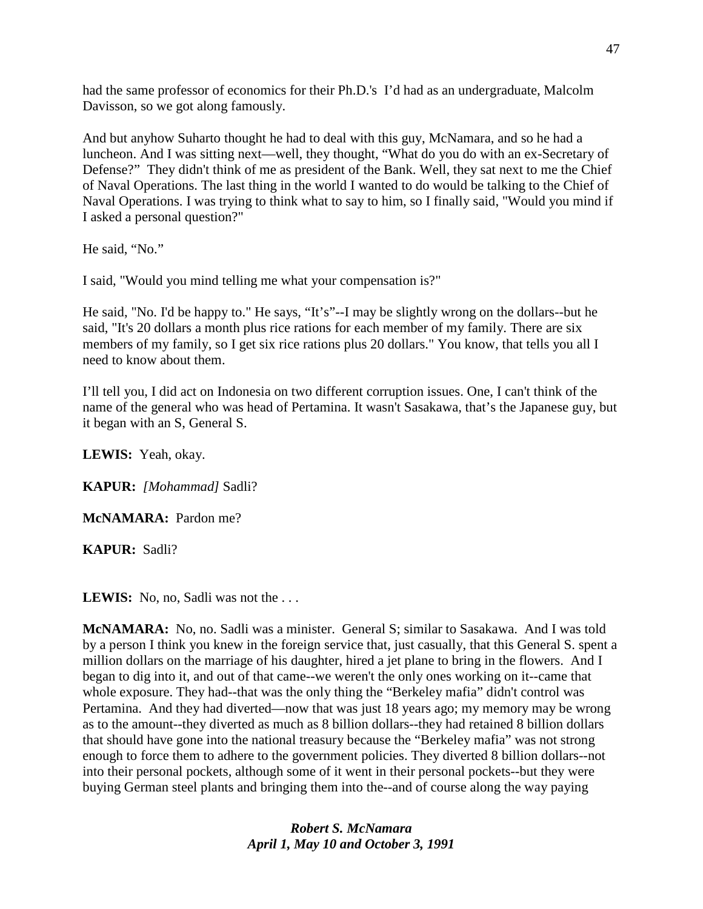had the same professor of economics for their Ph.D.'s I'd had as an undergraduate, Malcolm Davisson, so we got along famously.

And but anyhow Suharto thought he had to deal with this guy, McNamara, and so he had a luncheon. And I was sitting next—well, they thought, "What do you do with an ex-Secretary of Defense?" They didn't think of me as president of the Bank. Well, they sat next to me the Chief of Naval Operations. The last thing in the world I wanted to do would be talking to the Chief of Naval Operations. I was trying to think what to say to him, so I finally said, "Would you mind if I asked a personal question?"

He said, "No."

I said, "Would you mind telling me what your compensation is?"

He said, "No. I'd be happy to." He says, "It's"--I may be slightly wrong on the dollars--but he said, "It's 20 dollars a month plus rice rations for each member of my family. There are six members of my family, so I get six rice rations plus 20 dollars." You know, that tells you all I need to know about them.

I'll tell you, I did act on Indonesia on two different corruption issues. One, I can't think of the name of the general who was head of Pertamina. It wasn't Sasakawa, that's the Japanese guy, but it began with an S, General S.

**LEWIS:** Yeah, okay.

**KAPUR:** *[Mohammad]* Sadli?

**McNAMARA:** Pardon me?

**KAPUR:** Sadli?

LEWIS: No, no, Sadli was not the ...

**McNAMARA:** No, no. Sadli was a minister. General S; similar to Sasakawa. And I was told by a person I think you knew in the foreign service that, just casually, that this General S. spent a million dollars on the marriage of his daughter, hired a jet plane to bring in the flowers. And I began to dig into it, and out of that came--we weren't the only ones working on it--came that whole exposure. They had--that was the only thing the "Berkeley mafia" didn't control was Pertamina. And they had diverted—now that was just 18 years ago; my memory may be wrong as to the amount--they diverted as much as 8 billion dollars--they had retained 8 billion dollars that should have gone into the national treasury because the "Berkeley mafia" was not strong enough to force them to adhere to the government policies. They diverted 8 billion dollars--not into their personal pockets, although some of it went in their personal pockets--but they were buying German steel plants and bringing them into the--and of course along the way paying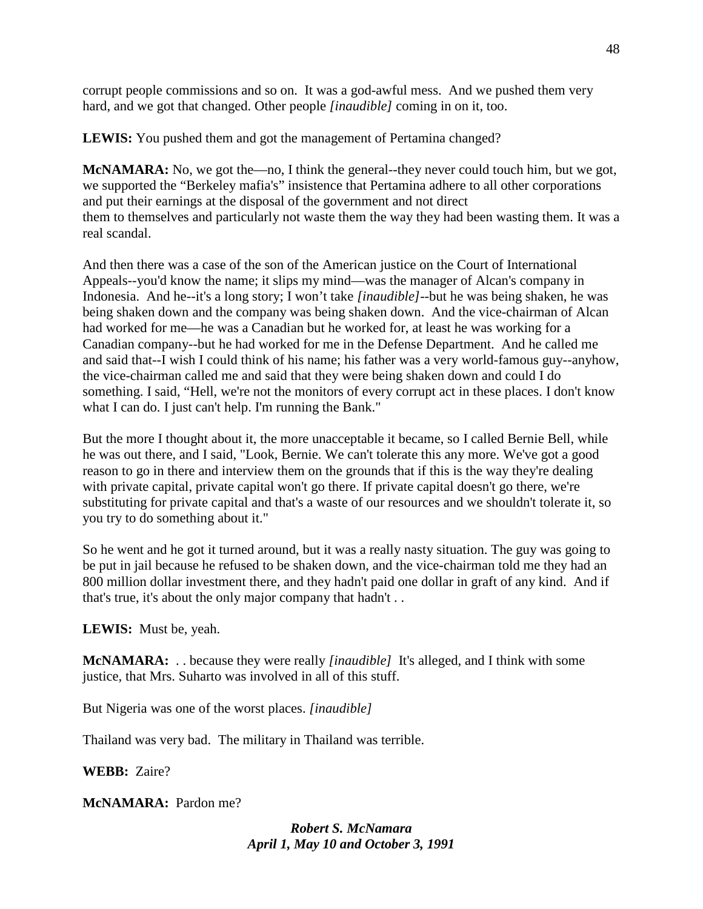corrupt people commissions and so on. It was a god-awful mess. And we pushed them very hard, and we got that changed. Other people *[inaudible]* coming in on it, too.

**LEWIS:** You pushed them and got the management of Pertamina changed?

**McNAMARA:** No, we got the—no, I think the general--they never could touch him, but we got, we supported the "Berkeley mafia's" insistence that Pertamina adhere to all other corporations and put their earnings at the disposal of the government and not direct them to themselves and particularly not waste them the way they had been wasting them. It was a real scandal.

And then there was a case of the son of the American justice on the Court of International Appeals--you'd know the name; it slips my mind—was the manager of Alcan's company in Indonesia. And he--it's a long story; I won't take *[inaudible]*--but he was being shaken, he was being shaken down and the company was being shaken down. And the vice-chairman of Alcan had worked for me—he was a Canadian but he worked for, at least he was working for a Canadian company--but he had worked for me in the Defense Department. And he called me and said that--I wish I could think of his name; his father was a very world-famous guy--anyhow, the vice-chairman called me and said that they were being shaken down and could I do something. I said, "Hell, we're not the monitors of every corrupt act in these places. I don't know what I can do. I just can't help. I'm running the Bank."

But the more I thought about it, the more unacceptable it became, so I called Bernie Bell, while he was out there, and I said, "Look, Bernie. We can't tolerate this any more. We've got a good reason to go in there and interview them on the grounds that if this is the way they're dealing with private capital, private capital won't go there. If private capital doesn't go there, we're substituting for private capital and that's a waste of our resources and we shouldn't tolerate it, so you try to do something about it."

So he went and he got it turned around, but it was a really nasty situation. The guy was going to be put in jail because he refused to be shaken down, and the vice-chairman told me they had an 800 million dollar investment there, and they hadn't paid one dollar in graft of any kind. And if that's true, it's about the only major company that hadn't . .

**LEWIS:** Must be, yeah.

**McNAMARA:** . . because they were really *[inaudible]* It's alleged, and I think with some justice, that Mrs. Suharto was involved in all of this stuff.

But Nigeria was one of the worst places. *[inaudible]*

Thailand was very bad. The military in Thailand was terrible.

**WEBB:** Zaire?

**McNAMARA:** Pardon me?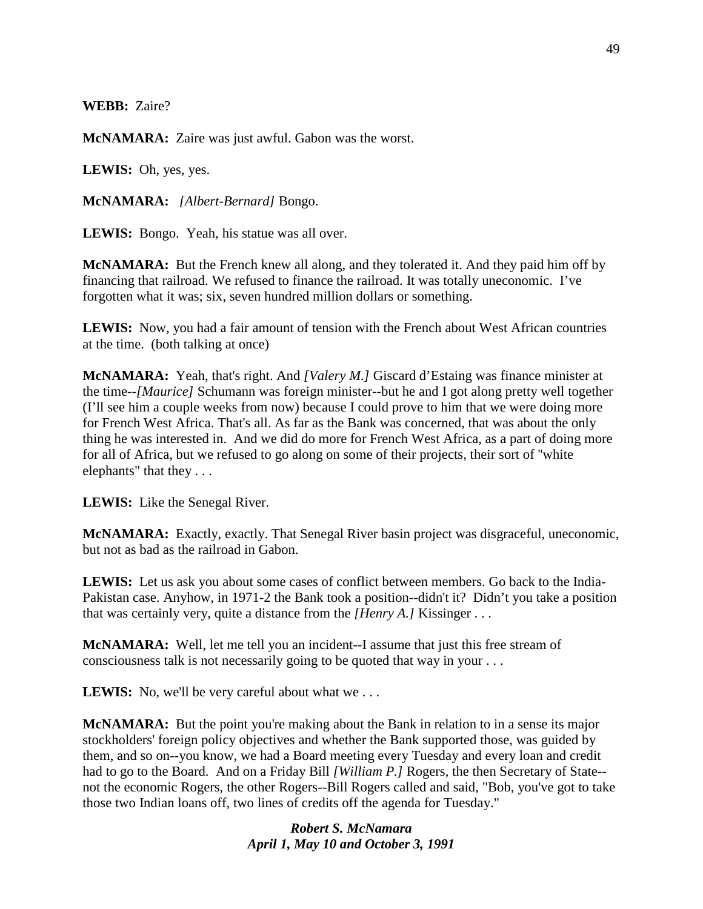**WEBB:** Zaire?

**McNAMARA:** Zaire was just awful. Gabon was the worst.

**LEWIS:** Oh, yes, yes.

**McNAMARA:** *[Albert-Bernard]* Bongo.

**LEWIS:** Bongo. Yeah, his statue was all over.

**McNAMARA:** But the French knew all along, and they tolerated it. And they paid him off by financing that railroad. We refused to finance the railroad. It was totally uneconomic. I've forgotten what it was; six, seven hundred million dollars or something.

**LEWIS:** Now, you had a fair amount of tension with the French about West African countries at the time. (both talking at once)

**McNAMARA:** Yeah, that's right. And *[Valery M.]* Giscard d'Estaing was finance minister at the time--*[Maurice]* Schumann was foreign minister--but he and I got along pretty well together (I'll see him a couple weeks from now) because I could prove to him that we were doing more for French West Africa. That's all. As far as the Bank was concerned, that was about the only thing he was interested in. And we did do more for French West Africa, as a part of doing more for all of Africa, but we refused to go along on some of their projects, their sort of ''white elephants" that they . . .

**LEWIS:** Like the Senegal River.

**McNAMARA:** Exactly, exactly. That Senegal River basin project was disgraceful, uneconomic, but not as bad as the railroad in Gabon.

**LEWIS:** Let us ask you about some cases of conflict between members. Go back to the India-Pakistan case. Anyhow, in 1971-2 the Bank took a position--didn't it? Didn't you take a position that was certainly very, quite a distance from the *[Henry A.]* Kissinger . . .

**McNAMARA:** Well, let me tell you an incident--I assume that just this free stream of consciousness talk is not necessarily going to be quoted that way in your . . .

**LEWIS:** No, we'll be very careful about what we...

**McNAMARA:** But the point you're making about the Bank in relation to in a sense its major stockholders' foreign policy objectives and whether the Bank supported those, was guided by them, and so on--you know, we had a Board meeting every Tuesday and every loan and credit had to go to the Board. And on a Friday Bill *[William P.]* Rogers, the then Secretary of State- not the economic Rogers, the other Rogers--Bill Rogers called and said, "Bob, you've got to take those two Indian loans off, two lines of credits off the agenda for Tuesday."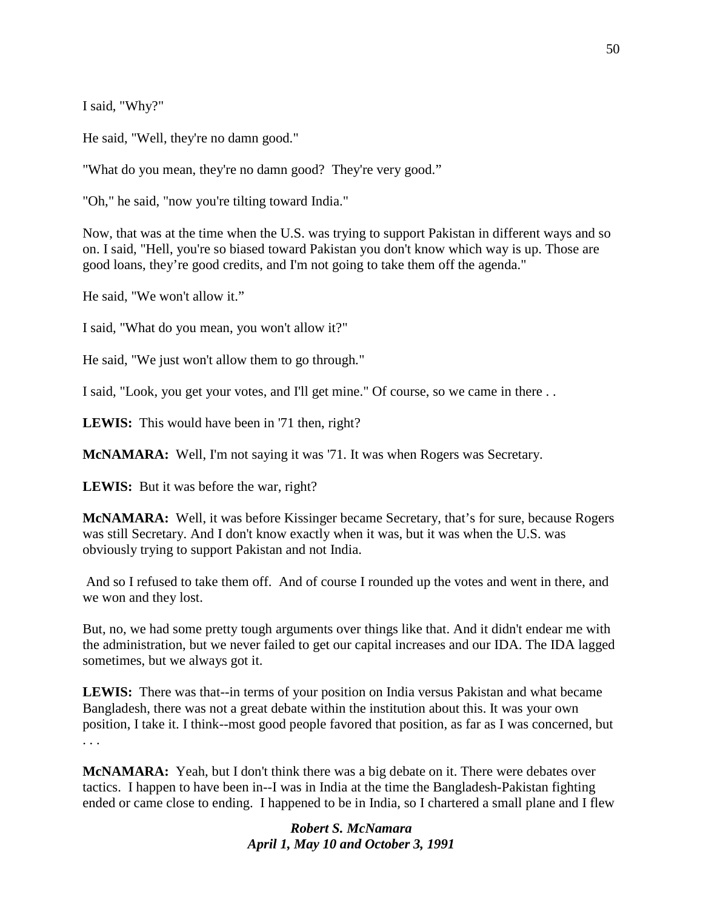I said, "Why?"

He said, "Well, they're no damn good."

"What do you mean, they're no damn good? They're very good."

"Oh," he said, "now you're tilting toward India."

Now, that was at the time when the U.S. was trying to support Pakistan in different ways and so on. I said, "Hell, you're so biased toward Pakistan you don't know which way is up. Those are good loans, they're good credits, and I'm not going to take them off the agenda."

He said, "We won't allow it."

I said, "What do you mean, you won't allow it?"

He said, "We just won't allow them to go through."

I said, "Look, you get your votes, and I'll get mine." Of course, so we came in there . .

**LEWIS:** This would have been in '71 then, right?

**McNAMARA:** Well, I'm not saying it was '71. It was when Rogers was Secretary.

**LEWIS:** But it was before the war, right?

**McNAMARA:** Well, it was before Kissinger became Secretary, that's for sure, because Rogers was still Secretary. And I don't know exactly when it was, but it was when the U.S. was obviously trying to support Pakistan and not India.

And so I refused to take them off. And of course I rounded up the votes and went in there, and we won and they lost.

But, no, we had some pretty tough arguments over things like that. And it didn't endear me with the administration, but we never failed to get our capital increases and our IDA. The IDA lagged sometimes, but we always got it.

**LEWIS:** There was that--in terms of your position on India versus Pakistan and what became Bangladesh, there was not a great debate within the institution about this. It was your own position, I take it. I think--most good people favored that position, as far as I was concerned, but . . .

**McNAMARA:** Yeah, but I don't think there was a big debate on it. There were debates over tactics. I happen to have been in--I was in India at the time the Bangladesh-Pakistan fighting ended or came close to ending. I happened to be in India, so I chartered a small plane and I flew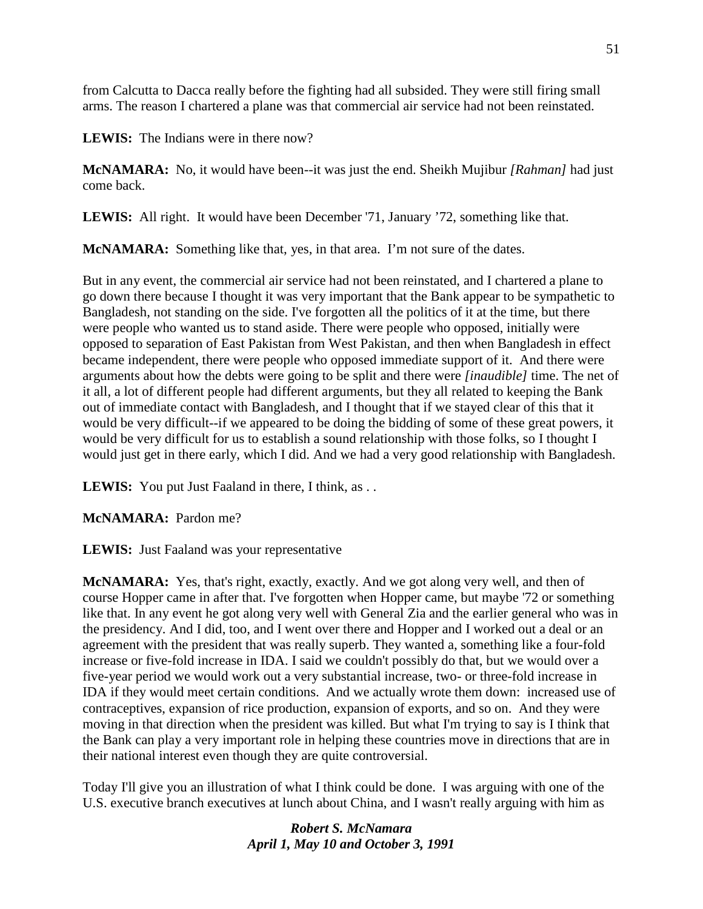from Calcutta to Dacca really before the fighting had all subsided. They were still firing small arms. The reason I chartered a plane was that commercial air service had not been reinstated.

**LEWIS:** The Indians were in there now?

**McNAMARA:** No, it would have been--it was just the end. Sheikh Mujibur *[Rahman]* had just come back.

**LEWIS:** All right. It would have been December '71, January '72, something like that.

**McNAMARA:** Something like that, yes, in that area. I'm not sure of the dates.

But in any event, the commercial air service had not been reinstated, and I chartered a plane to go down there because I thought it was very important that the Bank appear to be sympathetic to Bangladesh, not standing on the side. I've forgotten all the politics of it at the time, but there were people who wanted us to stand aside. There were people who opposed, initially were opposed to separation of East Pakistan from West Pakistan, and then when Bangladesh in effect became independent, there were people who opposed immediate support of it. And there were arguments about how the debts were going to be split and there were *[inaudible]* time. The net of it all, a lot of different people had different arguments, but they all related to keeping the Bank out of immediate contact with Bangladesh, and I thought that if we stayed clear of this that it would be very difficult--if we appeared to be doing the bidding of some of these great powers, it would be very difficult for us to establish a sound relationship with those folks, so I thought I would just get in there early, which I did. And we had a very good relationship with Bangladesh.

LEWIS: You put Just Faaland in there, I think, as . .

**McNAMARA:** Pardon me?

**LEWIS:** Just Faaland was your representative

**McNAMARA:** Yes, that's right, exactly, exactly. And we got along very well, and then of course Hopper came in after that. I've forgotten when Hopper came, but maybe '72 or something like that. In any event he got along very well with General Zia and the earlier general who was in the presidency. And I did, too, and I went over there and Hopper and I worked out a deal or an agreement with the president that was really superb. They wanted a, something like a four-fold increase or five-fold increase in IDA. I said we couldn't possibly do that, but we would over a five-year period we would work out a very substantial increase, two- or three-fold increase in IDA if they would meet certain conditions. And we actually wrote them down: increased use of contraceptives, expansion of rice production, expansion of exports, and so on. And they were moving in that direction when the president was killed. But what I'm trying to say is I think that the Bank can play a very important role in helping these countries move in directions that are in their national interest even though they are quite controversial.

Today I'll give you an illustration of what I think could be done. I was arguing with one of the U.S. executive branch executives at lunch about China, and I wasn't really arguing with him as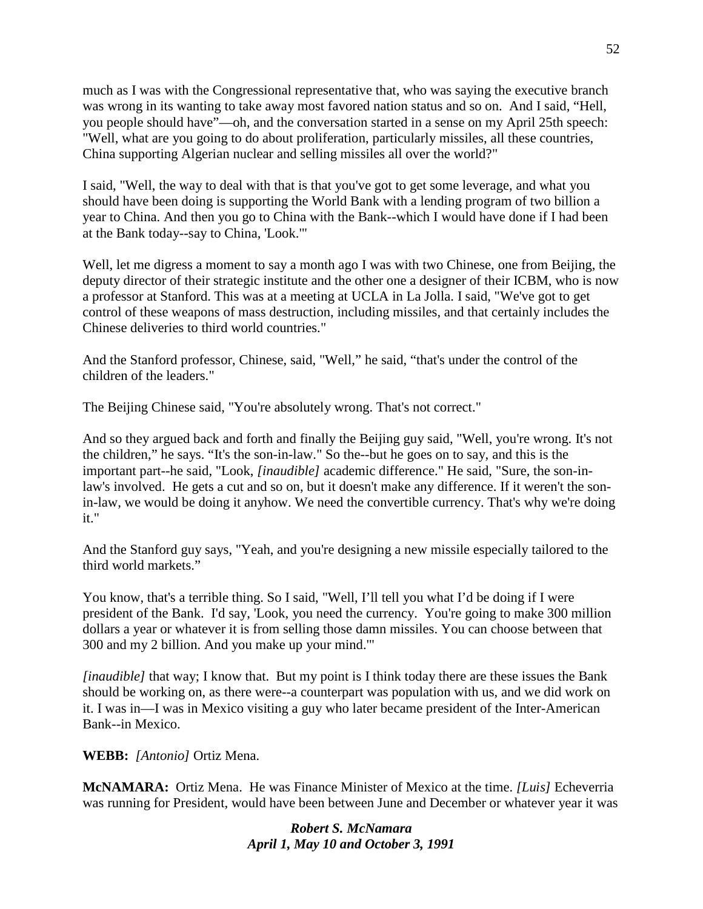much as I was with the Congressional representative that, who was saying the executive branch was wrong in its wanting to take away most favored nation status and so on. And I said, "Hell, you people should have"—oh, and the conversation started in a sense on my April 25th speech: "Well, what are you going to do about proliferation, particularly missiles, all these countries, China supporting Algerian nuclear and selling missiles all over the world?"

I said, "Well, the way to deal with that is that you've got to get some leverage, and what you should have been doing is supporting the World Bank with a lending program of two billion a year to China. And then you go to China with the Bank--which I would have done if I had been at the Bank today--say to China, 'Look.'"

Well, let me digress a moment to say a month ago I was with two Chinese, one from Beijing, the deputy director of their strategic institute and the other one a designer of their ICBM, who is now a professor at Stanford. This was at a meeting at UCLA in La Jolla. I said, "We've got to get control of these weapons of mass destruction, including missiles, and that certainly includes the Chinese deliveries to third world countries."

And the Stanford professor, Chinese, said, "Well," he said, "that's under the control of the children of the leaders."

The Beijing Chinese said, "You're absolutely wrong. That's not correct."

And so they argued back and forth and finally the Beijing guy said, "Well, you're wrong. It's not the children," he says. "It's the son-in-law." So the--but he goes on to say, and this is the important part--he said, "Look, *[inaudible]* academic difference." He said, "Sure, the son-inlaw's involved. He gets a cut and so on, but it doesn't make any difference. If it weren't the sonin-law, we would be doing it anyhow. We need the convertible currency. That's why we're doing it."

And the Stanford guy says, "Yeah, and you're designing a new missile especially tailored to the third world markets."

You know, that's a terrible thing. So I said, "Well, I'll tell you what I'd be doing if I were president of the Bank. I'd say, 'Look, you need the currency. You're going to make 300 million dollars a year or whatever it is from selling those damn missiles. You can choose between that 300 and my 2 billion. And you make up your mind.'"

*[inaudible]* that way; I know that. But my point is I think today there are these issues the Bank should be working on, as there were--a counterpart was population with us, and we did work on it. I was in—I was in Mexico visiting a guy who later became president of the Inter-American Bank--in Mexico.

**WEBB:** *[Antonio]* Ortiz Mena.

**McNAMARA:** Ortiz Mena. He was Finance Minister of Mexico at the time. *[Luis]* Echeverria was running for President, would have been between June and December or whatever year it was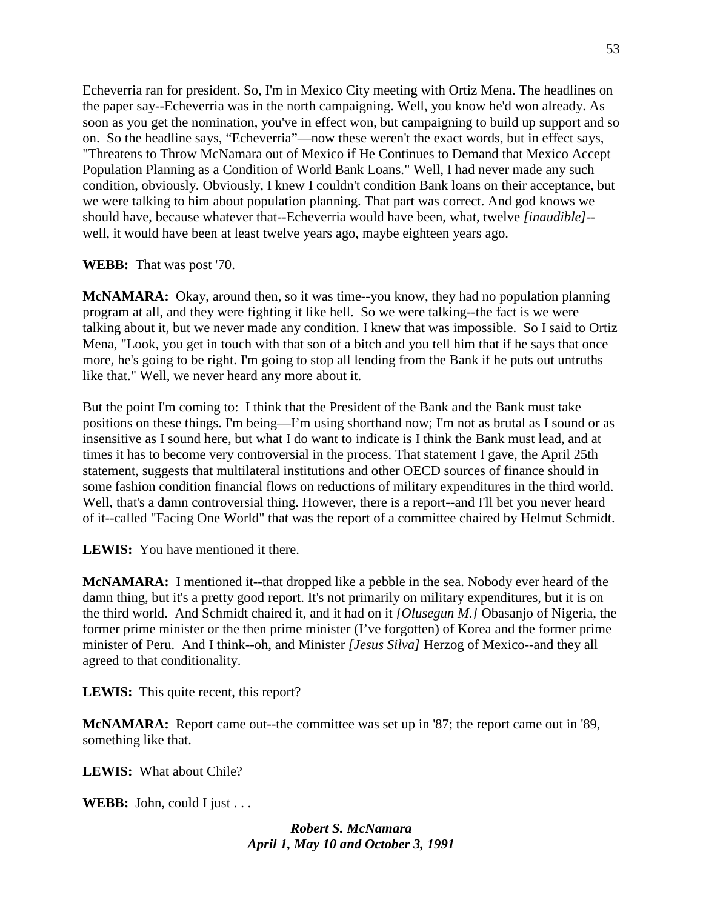Echeverria ran for president. So, I'm in Mexico City meeting with Ortiz Mena. The headlines on the paper say--Echeverria was in the north campaigning. Well, you know he'd won already. As soon as you get the nomination, you've in effect won, but campaigning to build up support and so on. So the headline says, "Echeverria"—now these weren't the exact words, but in effect says, "Threatens to Throw McNamara out of Mexico if He Continues to Demand that Mexico Accept Population Planning as a Condition of World Bank Loans." Well, I had never made any such condition, obviously. Obviously, I knew I couldn't condition Bank loans on their acceptance, but we were talking to him about population planning. That part was correct. And god knows we should have, because whatever that--Echeverria would have been, what, twelve *[inaudible]*- well, it would have been at least twelve years ago, maybe eighteen years ago.

### **WEBB:** That was post '70.

**McNAMARA:** Okay, around then, so it was time--you know, they had no population planning program at all, and they were fighting it like hell. So we were talking--the fact is we were talking about it, but we never made any condition. I knew that was impossible. So I said to Ortiz Mena, "Look, you get in touch with that son of a bitch and you tell him that if he says that once more, he's going to be right. I'm going to stop all lending from the Bank if he puts out untruths like that." Well, we never heard any more about it.

But the point I'm coming to: I think that the President of the Bank and the Bank must take positions on these things. I'm being—I'm using shorthand now; I'm not as brutal as I sound or as insensitive as I sound here, but what I do want to indicate is I think the Bank must lead, and at times it has to become very controversial in the process. That statement I gave, the April 25th statement, suggests that multilateral institutions and other OECD sources of finance should in some fashion condition financial flows on reductions of military expenditures in the third world. Well, that's a damn controversial thing. However, there is a report--and I'll bet you never heard of it--called "Facing One World" that was the report of a committee chaired by Helmut Schmidt.

**LEWIS:** You have mentioned it there.

**McNAMARA:** I mentioned it--that dropped like a pebble in the sea. Nobody ever heard of the damn thing, but it's a pretty good report. It's not primarily on military expenditures, but it is on the third world. And Schmidt chaired it, and it had on it *[Olusegun M.]* Obasanjo of Nigeria, the former prime minister or the then prime minister (I've forgotten) of Korea and the former prime minister of Peru. And I think--oh, and Minister *[Jesus Silva]* Herzog of Mexico--and they all agreed to that conditionality.

**LEWIS:** This quite recent, this report?

**McNAMARA:** Report came out--the committee was set up in '87; the report came out in '89, something like that.

**LEWIS:** What about Chile?

**WEBB:** John, could I just . . .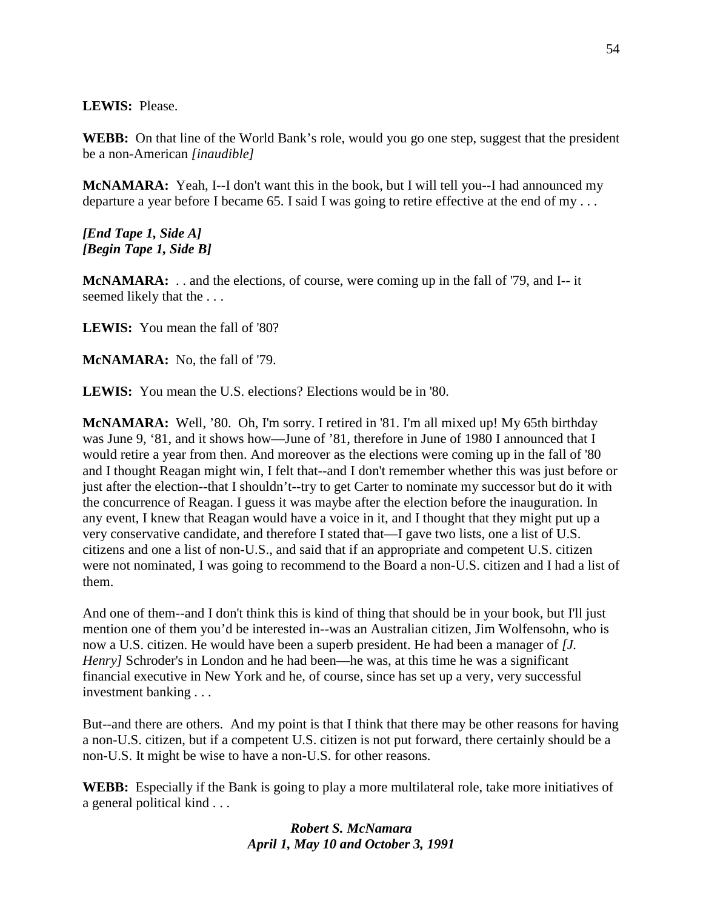**LEWIS:** Please.

**WEBB:** On that line of the World Bank's role, would you go one step, suggest that the president be a non-American *[inaudible]*

**McNAMARA:** Yeah, I--I don't want this in the book, but I will tell you--I had announced my departure a year before I became 65. I said I was going to retire effective at the end of my . . .

*[End Tape 1, Side A] [Begin Tape 1, Side B]*

**McNAMARA:** . . and the elections, of course, were coming up in the fall of '79, and I-- it seemed likely that the . . .

**LEWIS:** You mean the fall of '80?

**McNAMARA:** No, the fall of '79.

**LEWIS:** You mean the U.S. elections? Elections would be in '80.

**McNAMARA:** Well, '80. Oh, I'm sorry. I retired in '81. I'm all mixed up! My 65th birthday was June 9, '81, and it shows how—June of '81, therefore in June of 1980 I announced that I would retire a year from then. And moreover as the elections were coming up in the fall of '80 and I thought Reagan might win, I felt that--and I don't remember whether this was just before or just after the election--that I shouldn't--try to get Carter to nominate my successor but do it with the concurrence of Reagan. I guess it was maybe after the election before the inauguration. In any event, I knew that Reagan would have a voice in it, and I thought that they might put up a very conservative candidate, and therefore I stated that—I gave two lists, one a list of U.S. citizens and one a list of non-U.S., and said that if an appropriate and competent U.S. citizen were not nominated, I was going to recommend to the Board a non-U.S. citizen and I had a list of them.

And one of them--and I don't think this is kind of thing that should be in your book, but I'll just mention one of them you'd be interested in--was an Australian citizen, Jim Wolfensohn, who is now a U.S. citizen. He would have been a superb president. He had been a manager of *[J. Henry]* Schroder's in London and he had been—he was, at this time he was a significant financial executive in New York and he, of course, since has set up a very, very successful investment banking . . .

But--and there are others. And my point is that I think that there may be other reasons for having a non-U.S. citizen, but if a competent U.S. citizen is not put forward, there certainly should be a non-U.S. It might be wise to have a non-U.S. for other reasons.

**WEBB:** Especially if the Bank is going to play a more multilateral role, take more initiatives of a general political kind . . .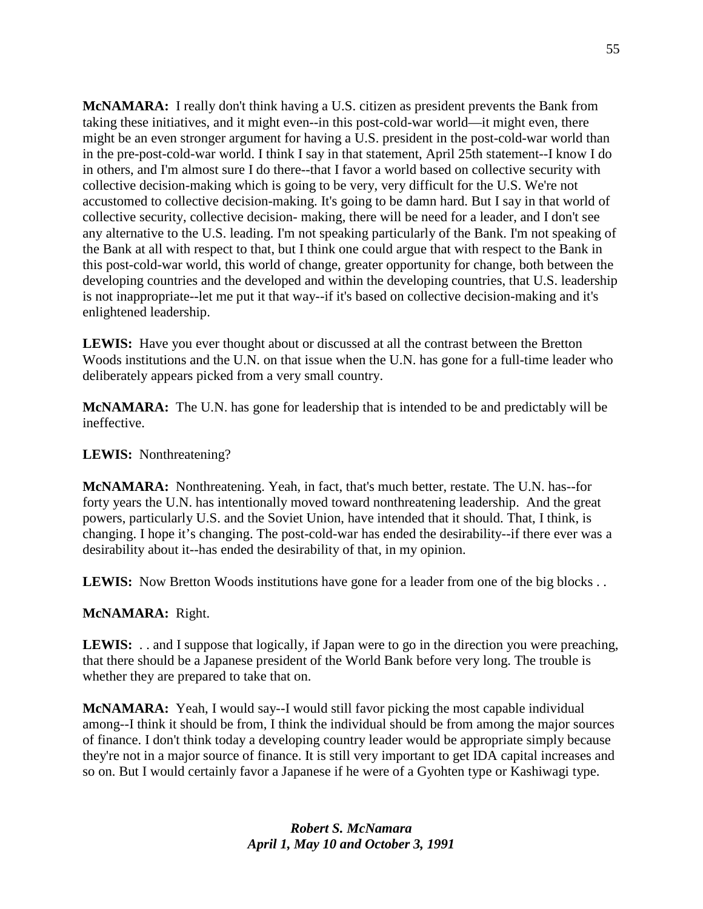**McNAMARA:** I really don't think having a U.S. citizen as president prevents the Bank from taking these initiatives, and it might even--in this post-cold-war world—it might even, there might be an even stronger argument for having a U.S. president in the post-cold-war world than in the pre-post-cold-war world. I think I say in that statement, April 25th statement--I know I do in others, and I'm almost sure I do there--that I favor a world based on collective security with collective decision-making which is going to be very, very difficult for the U.S. We're not accustomed to collective decision-making. It's going to be damn hard. But I say in that world of collective security, collective decision- making, there will be need for a leader, and I don't see any alternative to the U.S. leading. I'm not speaking particularly of the Bank. I'm not speaking of the Bank at all with respect to that, but I think one could argue that with respect to the Bank in this post-cold-war world, this world of change, greater opportunity for change, both between the developing countries and the developed and within the developing countries, that U.S. leadership is not inappropriate--let me put it that way--if it's based on collective decision-making and it's enlightened leadership.

**LEWIS:** Have you ever thought about or discussed at all the contrast between the Bretton Woods institutions and the U.N. on that issue when the U.N. has gone for a full-time leader who deliberately appears picked from a very small country.

**McNAMARA:** The U.N. has gone for leadership that is intended to be and predictably will be ineffective.

**LEWIS:** Nonthreatening?

**McNAMARA:** Nonthreatening. Yeah, in fact, that's much better, restate. The U.N. has--for forty years the U.N. has intentionally moved toward nonthreatening leadership. And the great powers, particularly U.S. and the Soviet Union, have intended that it should. That, I think, is changing. I hope it's changing. The post-cold-war has ended the desirability--if there ever was a desirability about it--has ended the desirability of that, in my opinion.

**LEWIS:** Now Bretton Woods institutions have gone for a leader from one of the big blocks . .

#### **McNAMARA:** Right.

**LEWIS:** . . and I suppose that logically, if Japan were to go in the direction you were preaching, that there should be a Japanese president of the World Bank before very long. The trouble is whether they are prepared to take that on.

**McNAMARA:** Yeah, I would say--I would still favor picking the most capable individual among--I think it should be from, I think the individual should be from among the major sources of finance. I don't think today a developing country leader would be appropriate simply because they're not in a major source of finance. It is still very important to get IDA capital increases and so on. But I would certainly favor a Japanese if he were of a Gyohten type or Kashiwagi type.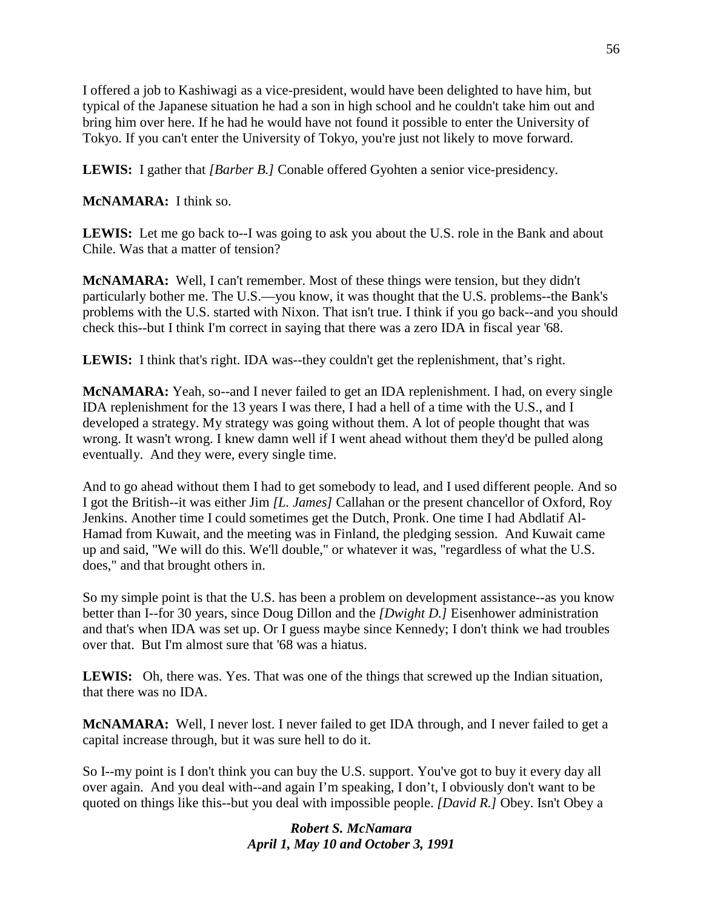I offered a job to Kashiwagi as a vice-president, would have been delighted to have him, but typical of the Japanese situation he had a son in high school and he couldn't take him out and bring him over here. If he had he would have not found it possible to enter the University of Tokyo. If you can't enter the University of Tokyo, you're just not likely to move forward.

**LEWIS:** I gather that *[Barber B.]* Conable offered Gyohten a senior vice-presidency.

# **McNAMARA:** I think so.

**LEWIS:** Let me go back to--I was going to ask you about the U.S. role in the Bank and about Chile. Was that a matter of tension?

**McNAMARA:** Well, I can't remember. Most of these things were tension, but they didn't particularly bother me. The U.S.—you know, it was thought that the U.S. problems--the Bank's problems with the U.S. started with Nixon. That isn't true. I think if you go back--and you should check this--but I think I'm correct in saying that there was a zero IDA in fiscal year '68.

**LEWIS:** I think that's right. IDA was--they couldn't get the replenishment, that's right.

**McNAMARA:** Yeah, so--and I never failed to get an IDA replenishment. I had, on every single IDA replenishment for the 13 years I was there, I had a hell of a time with the U.S., and I developed a strategy. My strategy was going without them. A lot of people thought that was wrong. It wasn't wrong. I knew damn well if I went ahead without them they'd be pulled along eventually. And they were, every single time.

And to go ahead without them I had to get somebody to lead, and I used different people. And so I got the British--it was either Jim *[L. James]* Callahan or the present chancellor of Oxford, Roy Jenkins. Another time I could sometimes get the Dutch, Pronk. One time I had Abdlatif Al-Hamad from Kuwait, and the meeting was in Finland, the pledging session. And Kuwait came up and said, "We will do this. We'll double," or whatever it was, "regardless of what the U.S. does," and that brought others in.

So my simple point is that the U.S. has been a problem on development assistance--as you know better than I--for 30 years, since Doug Dillon and the *[Dwight D.]* Eisenhower administration and that's when IDA was set up. Or I guess maybe since Kennedy; I don't think we had troubles over that. But I'm almost sure that '68 was a hiatus.

LEWIS: Oh, there was. Yes. That was one of the things that screwed up the Indian situation, that there was no IDA.

**McNAMARA:** Well, I never lost. I never failed to get IDA through, and I never failed to get a capital increase through, but it was sure hell to do it.

So I--my point is I don't think you can buy the U.S. support. You've got to buy it every day all over again. And you deal with--and again I'm speaking, I don't, I obviously don't want to be quoted on things like this--but you deal with impossible people. *[David R.]* Obey. Isn't Obey a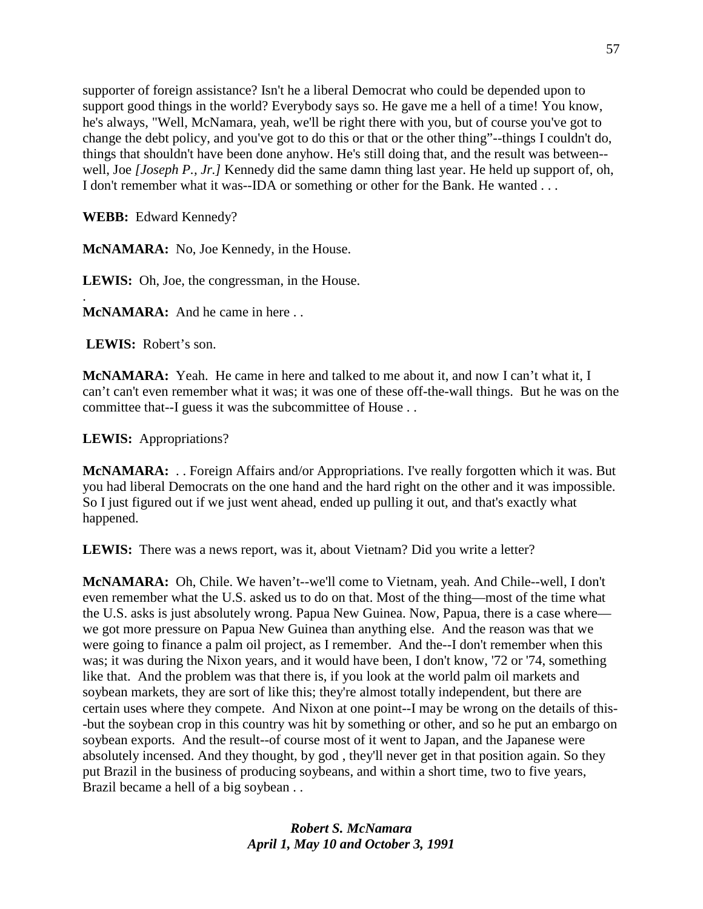supporter of foreign assistance? Isn't he a liberal Democrat who could be depended upon to support good things in the world? Everybody says so. He gave me a hell of a time! You know, he's always, "Well, McNamara, yeah, we'll be right there with you, but of course you've got to change the debt policy, and you've got to do this or that or the other thing"--things I couldn't do, things that shouldn't have been done anyhow. He's still doing that, and the result was between- well, Joe *[Joseph P., Jr.]* Kennedy did the same damn thing last year. He held up support of, oh, I don't remember what it was--IDA or something or other for the Bank. He wanted . . .

**WEBB:** Edward Kennedy?

**McNAMARA:** No, Joe Kennedy, in the House.

**LEWIS:** Oh, Joe, the congressman, in the House.

. **McNAMARA:** And he came in here . .

**LEWIS:** Robert's son.

**McNAMARA:** Yeah. He came in here and talked to me about it, and now I can't what it, I can't can't even remember what it was; it was one of these off-the-wall things. But he was on the committee that--I guess it was the subcommittee of House . .

**LEWIS:** Appropriations?

**McNAMARA:** . . Foreign Affairs and/or Appropriations. I've really forgotten which it was. But you had liberal Democrats on the one hand and the hard right on the other and it was impossible. So I just figured out if we just went ahead, ended up pulling it out, and that's exactly what happened.

**LEWIS:** There was a news report, was it, about Vietnam? Did you write a letter?

**McNAMARA:** Oh, Chile. We haven't--we'll come to Vietnam, yeah. And Chile--well, I don't even remember what the U.S. asked us to do on that. Most of the thing—most of the time what the U.S. asks is just absolutely wrong. Papua New Guinea. Now, Papua, there is a case where we got more pressure on Papua New Guinea than anything else. And the reason was that we were going to finance a palm oil project, as I remember. And the--I don't remember when this was; it was during the Nixon years, and it would have been, I don't know, '72 or '74, something like that. And the problem was that there is, if you look at the world palm oil markets and soybean markets, they are sort of like this; they're almost totally independent, but there are certain uses where they compete. And Nixon at one point--I may be wrong on the details of this- -but the soybean crop in this country was hit by something or other, and so he put an embargo on soybean exports. And the result--of course most of it went to Japan, and the Japanese were absolutely incensed. And they thought, by god , they'll never get in that position again. So they put Brazil in the business of producing soybeans, and within a short time, two to five years, Brazil became a hell of a big soybean . .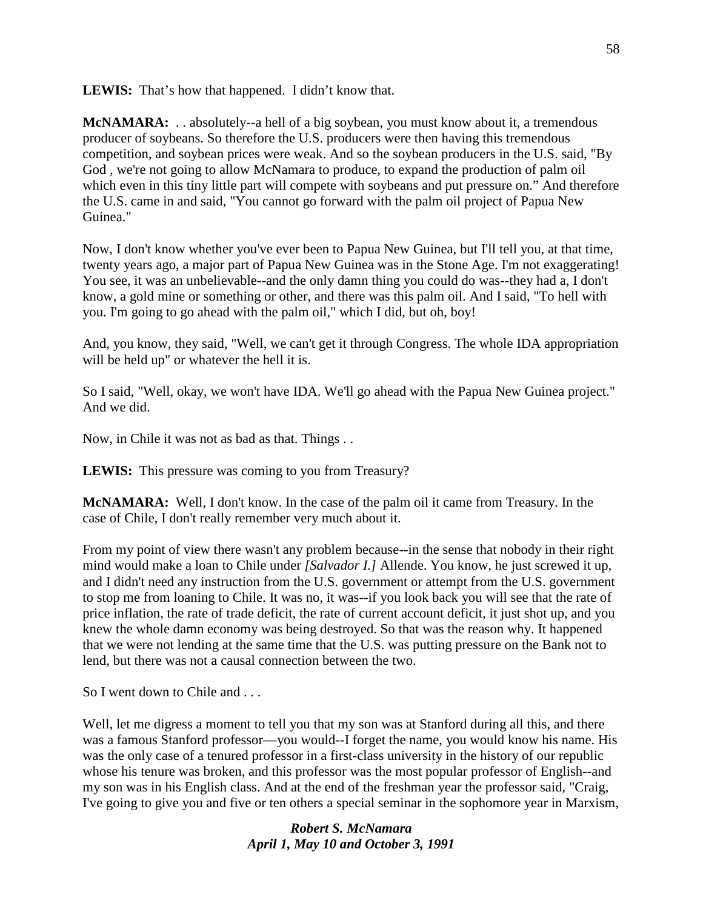**LEWIS:** That's how that happened. I didn't know that.

**McNAMARA:** . . absolutely--a hell of a big soybean, you must know about it, a tremendous producer of soybeans. So therefore the U.S. producers were then having this tremendous competition, and soybean prices were weak. And so the soybean producers in the U.S. said, "By God , we're not going to allow McNamara to produce, to expand the production of palm oil which even in this tiny little part will compete with soybeans and put pressure on." And therefore the U.S. came in and said, "You cannot go forward with the palm oil project of Papua New Guinea."

Now, I don't know whether you've ever been to Papua New Guinea, but I'll tell you, at that time, twenty years ago, a major part of Papua New Guinea was in the Stone Age. I'm not exaggerating! You see, it was an unbelievable--and the only damn thing you could do was--they had a, I don't know, a gold mine or something or other, and there was this palm oil. And I said, "To hell with you. I'm going to go ahead with the palm oil," which I did, but oh, boy!

And, you know, they said, "Well, we can't get it through Congress. The whole IDA appropriation will be held up" or whatever the hell it is.

So I said, "Well, okay, we won't have IDA. We'll go ahead with the Papua New Guinea project." And we did.

Now, in Chile it was not as bad as that. Things . .

**LEWIS:** This pressure was coming to you from Treasury?

**McNAMARA:** Well, I don't know. In the case of the palm oil it came from Treasury. In the case of Chile, I don't really remember very much about it.

From my point of view there wasn't any problem because--in the sense that nobody in their right mind would make a loan to Chile under *[Salvador I.]* Allende. You know, he just screwed it up, and I didn't need any instruction from the U.S. government or attempt from the U.S. government to stop me from loaning to Chile. It was no, it was--if you look back you will see that the rate of price inflation, the rate of trade deficit, the rate of current account deficit, it just shot up, and you knew the whole damn economy was being destroyed. So that was the reason why. It happened that we were not lending at the same time that the U.S. was putting pressure on the Bank not to lend, but there was not a causal connection between the two.

So I went down to Chile and . . .

Well, let me digress a moment to tell you that my son was at Stanford during all this, and there was a famous Stanford professor—you would--I forget the name, you would know his name. His was the only case of a tenured professor in a first-class university in the history of our republic whose his tenure was broken, and this professor was the most popular professor of English--and my son was in his English class. And at the end of the freshman year the professor said, "Craig, I've going to give you and five or ten others a special seminar in the sophomore year in Marxism,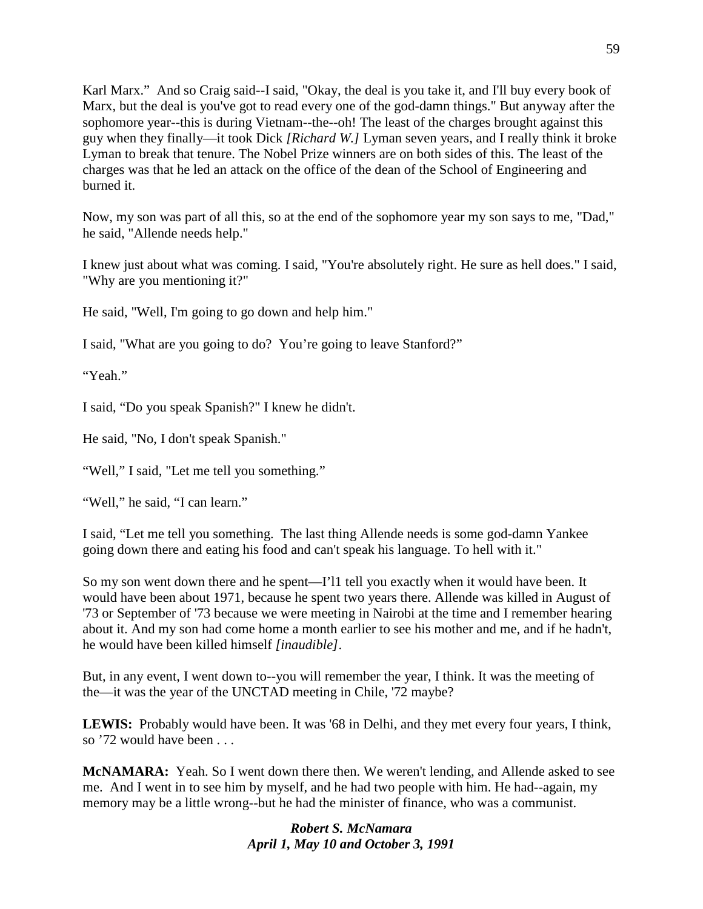Karl Marx." And so Craig said--I said, "Okay, the deal is you take it, and I'll buy every book of Marx, but the deal is you've got to read every one of the god-damn things." But anyway after the sophomore year--this is during Vietnam--the--oh! The least of the charges brought against this guy when they finally—it took Dick *[Richard W.]* Lyman seven years, and I really think it broke Lyman to break that tenure. The Nobel Prize winners are on both sides of this. The least of the charges was that he led an attack on the office of the dean of the School of Engineering and burned it.

Now, my son was part of all this, so at the end of the sophomore year my son says to me, "Dad," he said, "Allende needs help."

I knew just about what was coming. I said, "You're absolutely right. He sure as hell does." I said, "Why are you mentioning it?"

He said, "Well, I'm going to go down and help him."

I said, "What are you going to do? You're going to leave Stanford?"

"Yeah."

I said, "Do you speak Spanish?" I knew he didn't.

He said, "No, I don't speak Spanish."

"Well," I said, "Let me tell you something."

"Well," he said, "I can learn."

I said, "Let me tell you something. The last thing Allende needs is some god-damn Yankee going down there and eating his food and can't speak his language. To hell with it."

So my son went down there and he spent—I'l1 tell you exactly when it would have been. It would have been about 1971, because he spent two years there. Allende was killed in August of '73 or September of '73 because we were meeting in Nairobi at the time and I remember hearing about it. And my son had come home a month earlier to see his mother and me, and if he hadn't, he would have been killed himself *[inaudible]*.

But, in any event, I went down to--you will remember the year, I think. It was the meeting of the—it was the year of the UNCTAD meeting in Chile, '72 maybe?

**LEWIS:** Probably would have been. It was '68 in Delhi, and they met every four years, I think, so '72 would have been . . .

**McNAMARA:** Yeah. So I went down there then. We weren't lending, and Allende asked to see me. And I went in to see him by myself, and he had two people with him. He had--again, my memory may be a little wrong--but he had the minister of finance, who was a communist.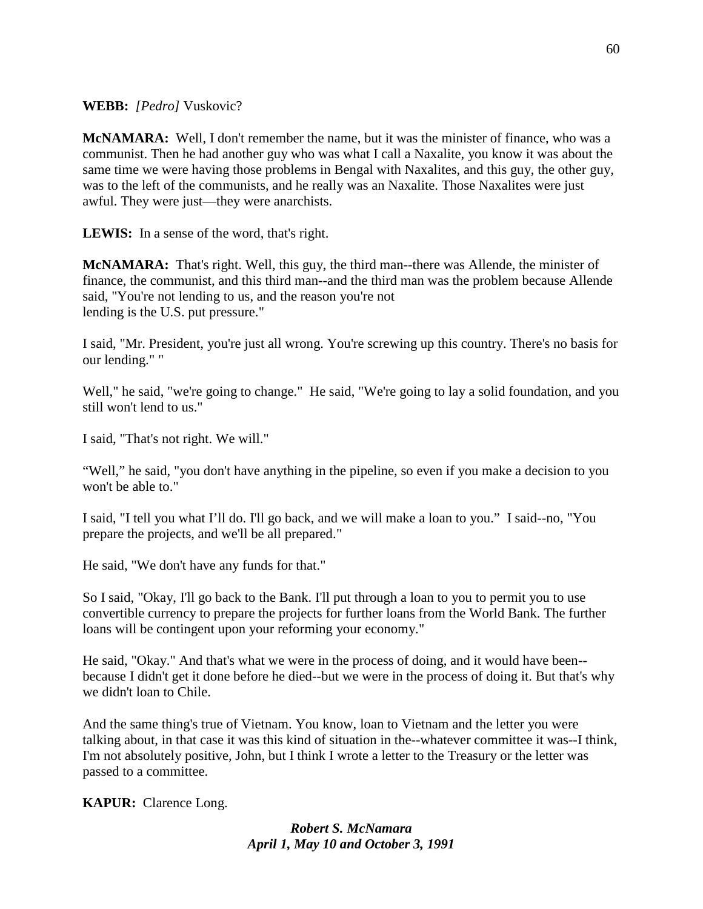# **WEBB:** *[Pedro]* Vuskovic?

**McNAMARA:** Well, I don't remember the name, but it was the minister of finance, who was a communist. Then he had another guy who was what I call a Naxalite, you know it was about the same time we were having those problems in Bengal with Naxalites, and this guy, the other guy, was to the left of the communists, and he really was an Naxalite. Those Naxalites were just awful. They were just—they were anarchists.

**LEWIS:** In a sense of the word, that's right.

**McNAMARA:** That's right. Well, this guy, the third man--there was Allende, the minister of finance, the communist, and this third man--and the third man was the problem because Allende said, "You're not lending to us, and the reason you're not lending is the U.S. put pressure."

I said, "Mr. President, you're just all wrong. You're screwing up this country. There's no basis for our lending." "

Well," he said, "we're going to change." He said, "We're going to lay a solid foundation, and you still won't lend to us."

I said, "That's not right. We will."

"Well," he said, "you don't have anything in the pipeline, so even if you make a decision to you won't be able to."

I said, "I tell you what I'll do. I'll go back, and we will make a loan to you." I said--no, "You prepare the projects, and we'll be all prepared."

He said, "We don't have any funds for that."

So I said, "Okay, I'll go back to the Bank. I'll put through a loan to you to permit you to use convertible currency to prepare the projects for further loans from the World Bank. The further loans will be contingent upon your reforming your economy."

He said, "Okay." And that's what we were in the process of doing, and it would have been- because I didn't get it done before he died--but we were in the process of doing it. But that's why we didn't loan to Chile.

And the same thing's true of Vietnam. You know, loan to Vietnam and the letter you were talking about, in that case it was this kind of situation in the--whatever committee it was--I think, I'm not absolutely positive, John, but I think I wrote a letter to the Treasury or the letter was passed to a committee.

**KAPUR:** Clarence Long.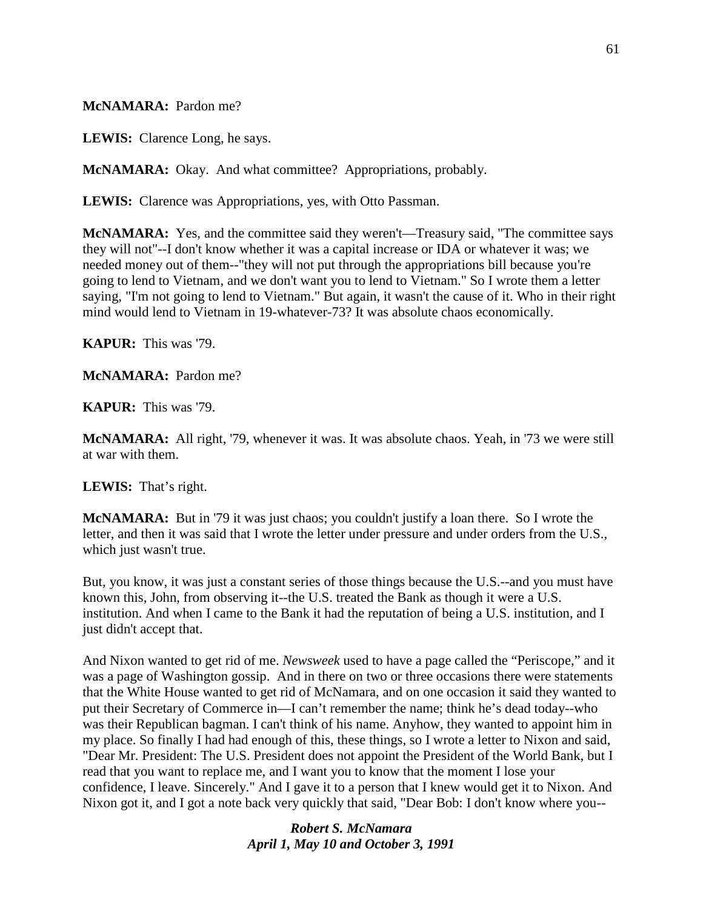### **McNAMARA:** Pardon me?

**LEWIS:** Clarence Long, he says.

**McNAMARA:** Okay. And what committee? Appropriations, probably.

**LEWIS:** Clarence was Appropriations, yes, with Otto Passman.

**McNAMARA:** Yes, and the committee said they weren't—Treasury said, "The committee says they will not"--I don't know whether it was a capital increase or IDA or whatever it was; we needed money out of them--"they will not put through the appropriations bill because you're going to lend to Vietnam, and we don't want you to lend to Vietnam." So I wrote them a letter saying, "I'm not going to lend to Vietnam." But again, it wasn't the cause of it. Who in their right mind would lend to Vietnam in 19-whatever-73? It was absolute chaos economically.

**KAPUR:** This was '79.

**McNAMARA:** Pardon me?

**KAPUR:** This was '79.

**McNAMARA:** All right, '79, whenever it was. It was absolute chaos. Yeah, in '73 we were still at war with them.

**LEWIS:** That's right.

**McNAMARA:** But in '79 it was just chaos; you couldn't justify a loan there. So I wrote the letter, and then it was said that I wrote the letter under pressure and under orders from the U.S., which just wasn't true.

But, you know, it was just a constant series of those things because the U.S.--and you must have known this, John, from observing it--the U.S. treated the Bank as though it were a U.S. institution. And when I came to the Bank it had the reputation of being a U.S. institution, and I just didn't accept that.

And Nixon wanted to get rid of me. *Newsweek* used to have a page called the "Periscope," and it was a page of Washington gossip. And in there on two or three occasions there were statements that the White House wanted to get rid of McNamara, and on one occasion it said they wanted to put their Secretary of Commerce in—I can't remember the name; think he's dead today--who was their Republican bagman. I can't think of his name. Anyhow, they wanted to appoint him in my place. So finally I had had enough of this, these things, so I wrote a letter to Nixon and said, "Dear Mr. President: The U.S. President does not appoint the President of the World Bank, but I read that you want to replace me, and I want you to know that the moment I lose your confidence, I leave. Sincerely." And I gave it to a person that I knew would get it to Nixon. And Nixon got it, and I got a note back very quickly that said, "Dear Bob: I don't know where you--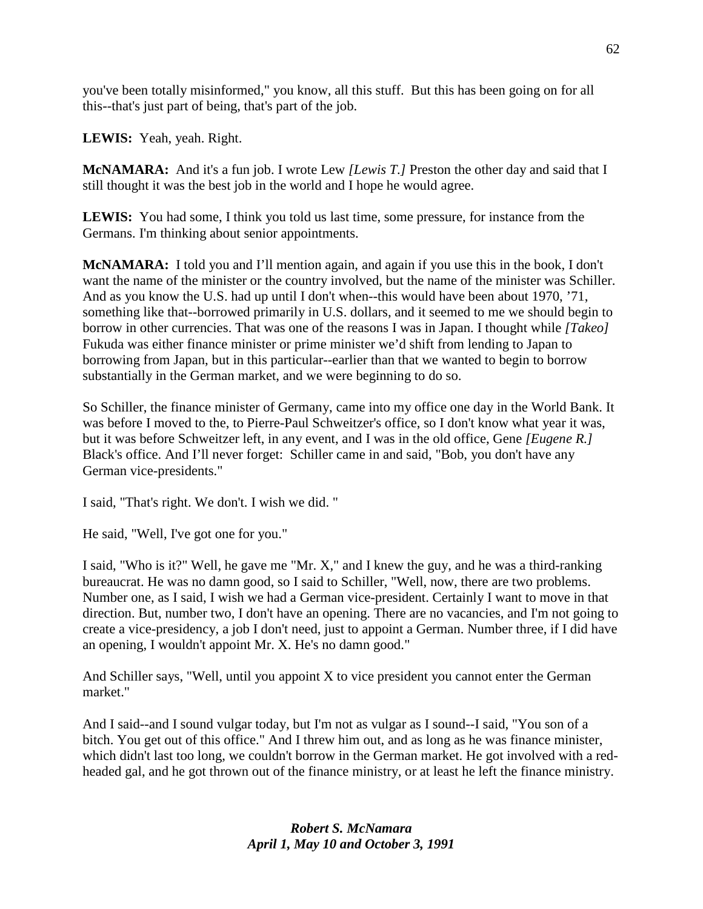you've been totally misinformed," you know, all this stuff. But this has been going on for all this--that's just part of being, that's part of the job.

**LEWIS:** Yeah, yeah. Right.

**McNAMARA:** And it's a fun job. I wrote Lew *[Lewis T.]* Preston the other day and said that I still thought it was the best job in the world and I hope he would agree.

**LEWIS:** You had some, I think you told us last time, some pressure, for instance from the Germans. I'm thinking about senior appointments.

**McNAMARA:** I told you and I'll mention again, and again if you use this in the book, I don't want the name of the minister or the country involved, but the name of the minister was Schiller. And as you know the U.S. had up until I don't when--this would have been about 1970, '71, something like that--borrowed primarily in U.S. dollars, and it seemed to me we should begin to borrow in other currencies. That was one of the reasons I was in Japan. I thought while *[Takeo]*  Fukuda was either finance minister or prime minister we'd shift from lending to Japan to borrowing from Japan, but in this particular--earlier than that we wanted to begin to borrow substantially in the German market, and we were beginning to do so.

So Schiller, the finance minister of Germany, came into my office one day in the World Bank. It was before I moved to the, to Pierre-Paul Schweitzer's office, so I don't know what year it was, but it was before Schweitzer left, in any event, and I was in the old office, Gene *[Eugene R.]*  Black's office. And I'll never forget: Schiller came in and said, "Bob, you don't have any German vice-presidents."

I said, "That's right. We don't. I wish we did. "

He said, "Well, I've got one for you."

I said, "Who is it?" Well, he gave me "Mr. X," and I knew the guy, and he was a third-ranking bureaucrat. He was no damn good, so I said to Schiller, "Well, now, there are two problems. Number one, as I said, I wish we had a German vice-president. Certainly I want to move in that direction. But, number two, I don't have an opening. There are no vacancies, and I'm not going to create a vice-presidency, a job I don't need, just to appoint a German. Number three, if I did have an opening, I wouldn't appoint Mr. X. He's no damn good."

And Schiller says, "Well, until you appoint X to vice president you cannot enter the German market."

And I said--and I sound vulgar today, but I'm not as vulgar as I sound--I said, "You son of a bitch. You get out of this office." And I threw him out, and as long as he was finance minister, which didn't last too long, we couldn't borrow in the German market. He got involved with a redheaded gal, and he got thrown out of the finance ministry, or at least he left the finance ministry.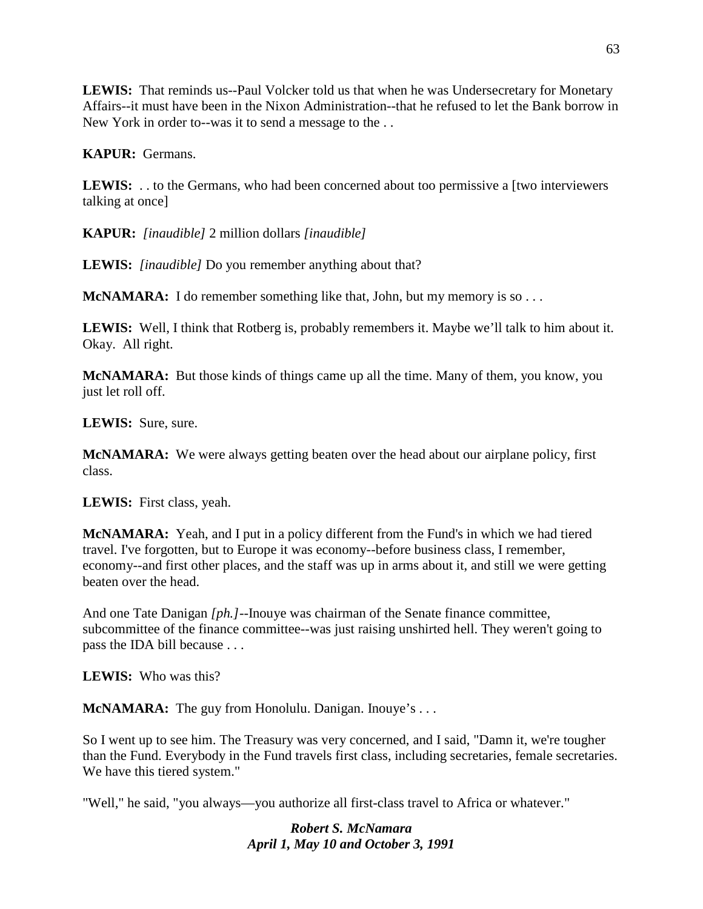**LEWIS:** That reminds us--Paul Volcker told us that when he was Undersecretary for Monetary Affairs--it must have been in the Nixon Administration--that he refused to let the Bank borrow in New York in order to--was it to send a message to the . .

**KAPUR:** Germans.

LEWIS: . . to the Germans, who had been concerned about too permissive a [two interviewers] talking at once]

**KAPUR:** *[inaudible]* 2 million dollars *[inaudible]*

**LEWIS:** *[inaudible]* Do you remember anything about that?

**McNAMARA:** I do remember something like that, John, but my memory is so . . .

**LEWIS:** Well, I think that Rotberg is, probably remembers it. Maybe we'll talk to him about it. Okay. All right.

**McNAMARA:** But those kinds of things came up all the time. Many of them, you know, you just let roll off.

**LEWIS:** Sure, sure.

**McNAMARA:** We were always getting beaten over the head about our airplane policy, first class.

**LEWIS:** First class, yeah.

**McNAMARA:** Yeah, and I put in a policy different from the Fund's in which we had tiered travel. I've forgotten, but to Europe it was economy--before business class, I remember, economy--and first other places, and the staff was up in arms about it, and still we were getting beaten over the head.

And one Tate Danigan *[ph.]*--Inouye was chairman of the Senate finance committee, subcommittee of the finance committee--was just raising unshirted hell. They weren't going to pass the IDA bill because . . .

**LEWIS:** Who was this?

**McNAMARA:** The guy from Honolulu. Danigan. Inouye's ...

So I went up to see him. The Treasury was very concerned, and I said, "Damn it, we're tougher than the Fund. Everybody in the Fund travels first class, including secretaries, female secretaries. We have this tiered system."

"Well," he said, "you always—you authorize all first-class travel to Africa or whatever."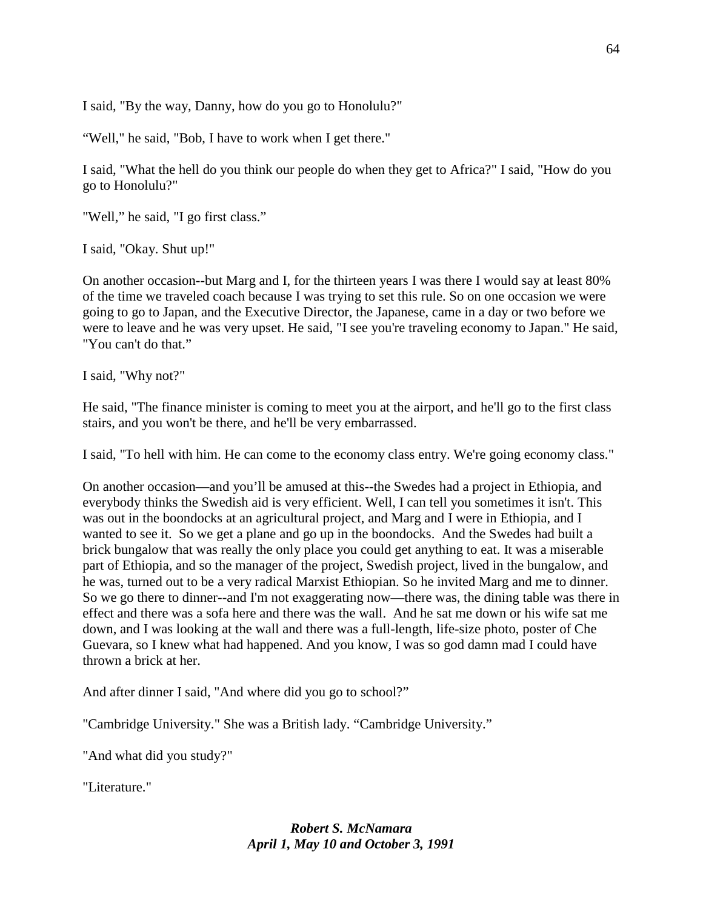I said, "By the way, Danny, how do you go to Honolulu?"

"Well," he said, "Bob, I have to work when I get there."

I said, "What the hell do you think our people do when they get to Africa?" I said, "How do you go to Honolulu?"

"Well," he said, "I go first class."

I said, "Okay. Shut up!"

On another occasion--but Marg and I, for the thirteen years I was there I would say at least 80% of the time we traveled coach because I was trying to set this rule. So on one occasion we were going to go to Japan, and the Executive Director, the Japanese, came in a day or two before we were to leave and he was very upset. He said, "I see you're traveling economy to Japan." He said, "You can't do that."

I said, "Why not?"

He said, "The finance minister is coming to meet you at the airport, and he'll go to the first class stairs, and you won't be there, and he'll be very embarrassed.

I said, "To hell with him. He can come to the economy class entry. We're going economy class."

On another occasion—and you'll be amused at this--the Swedes had a project in Ethiopia, and everybody thinks the Swedish aid is very efficient. Well, I can tell you sometimes it isn't. This was out in the boondocks at an agricultural project, and Marg and I were in Ethiopia, and I wanted to see it. So we get a plane and go up in the boondocks. And the Swedes had built a brick bungalow that was really the only place you could get anything to eat. It was a miserable part of Ethiopia, and so the manager of the project, Swedish project, lived in the bungalow, and he was, turned out to be a very radical Marxist Ethiopian. So he invited Marg and me to dinner. So we go there to dinner--and I'm not exaggerating now—there was, the dining table was there in effect and there was a sofa here and there was the wall. And he sat me down or his wife sat me down, and I was looking at the wall and there was a full-length, life-size photo, poster of Che Guevara, so I knew what had happened. And you know, I was so god damn mad I could have thrown a brick at her.

And after dinner I said, "And where did you go to school?"

"Cambridge University." She was a British lady. "Cambridge University."

"And what did you study?"

"Literature."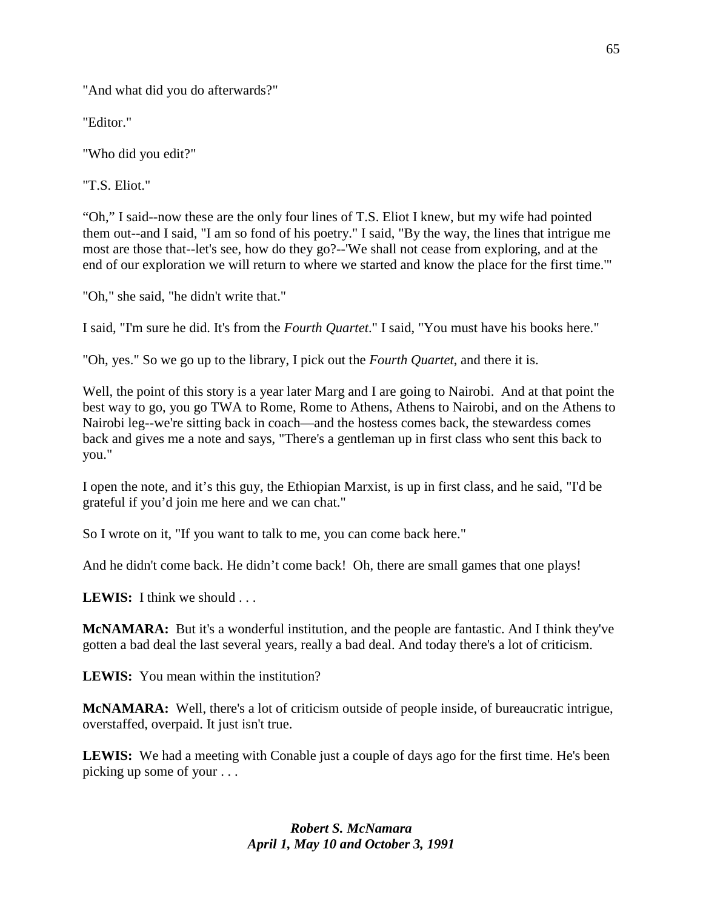"And what did you do afterwards?"

"Editor."

"Who did you edit?"

"T.S. Eliot."

"Oh," I said--now these are the only four lines of T.S. Eliot I knew, but my wife had pointed them out--and I said, "I am so fond of his poetry." I said, "By the way, the lines that intrigue me most are those that--let's see, how do they go?--'We shall not cease from exploring, and at the end of our exploration we will return to where we started and know the place for the first time.'"

"Oh," she said, "he didn't write that."

I said, "I'm sure he did. It's from the *Fourth Quartet*." I said, "You must have his books here."

"Oh, yes." So we go up to the library, I pick out the *Fourth Quartet*, and there it is.

Well, the point of this story is a year later Marg and I are going to Nairobi. And at that point the best way to go, you go TWA to Rome, Rome to Athens, Athens to Nairobi, and on the Athens to Nairobi leg--we're sitting back in coach—and the hostess comes back, the stewardess comes back and gives me a note and says, "There's a gentleman up in first class who sent this back to you."

I open the note, and it's this guy, the Ethiopian Marxist, is up in first class, and he said, "I'd be grateful if you'd join me here and we can chat."

So I wrote on it, "If you want to talk to me, you can come back here."

And he didn't come back. He didn't come back! Oh, there are small games that one plays!

**LEWIS:** I think we should . . .

**McNAMARA:** But it's a wonderful institution, and the people are fantastic. And I think they've gotten a bad deal the last several years, really a bad deal. And today there's a lot of criticism.

**LEWIS:** You mean within the institution?

**McNAMARA:** Well, there's a lot of criticism outside of people inside, of bureaucratic intrigue, overstaffed, overpaid. It just isn't true.

**LEWIS:** We had a meeting with Conable just a couple of days ago for the first time. He's been picking up some of your . . .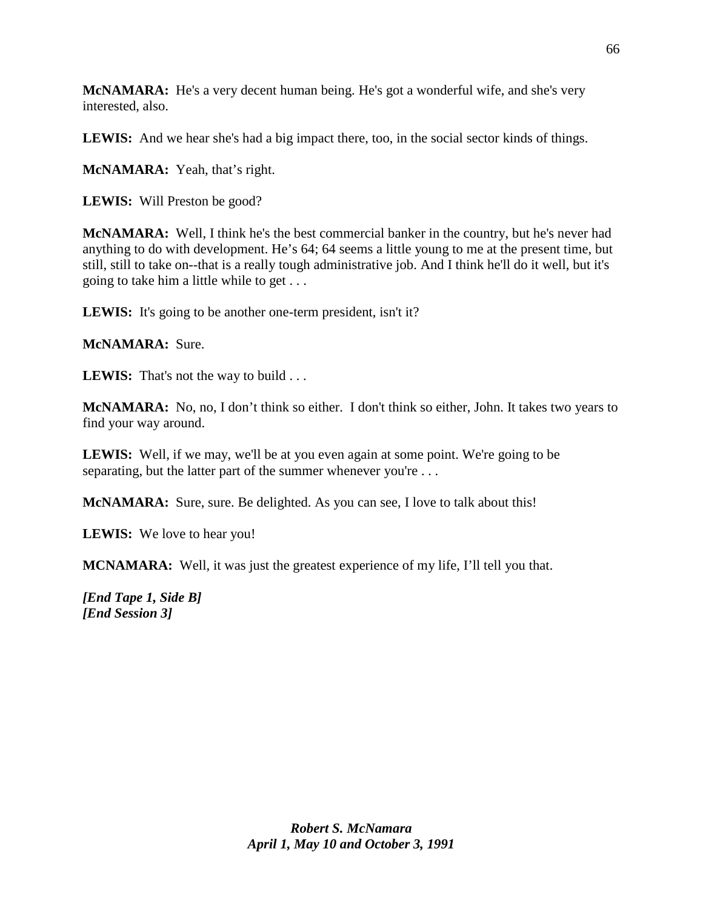**McNAMARA:** He's a very decent human being. He's got a wonderful wife, and she's very interested, also.

**LEWIS:** And we hear she's had a big impact there, too, in the social sector kinds of things.

**McNAMARA:** Yeah, that's right.

**LEWIS:** Will Preston be good?

**McNAMARA:** Well, I think he's the best commercial banker in the country, but he's never had anything to do with development. He's 64; 64 seems a little young to me at the present time, but still, still to take on--that is a really tough administrative job. And I think he'll do it well, but it's going to take him a little while to get . . .

LEWIS: It's going to be another one-term president, isn't it?

**McNAMARA:** Sure.

**LEWIS:** That's not the way to build . . .

**McNAMARA:** No, no, I don't think so either. I don't think so either, John. It takes two years to find your way around.

**LEWIS:** Well, if we may, we'll be at you even again at some point. We're going to be separating, but the latter part of the summer whenever you're ...

**McNAMARA:** Sure, sure. Be delighted. As you can see, I love to talk about this!

**LEWIS:** We love to hear you!

**MCNAMARA:** Well, it was just the greatest experience of my life, I'll tell you that.

*[End Tape 1, Side B] [End Session 3]*

66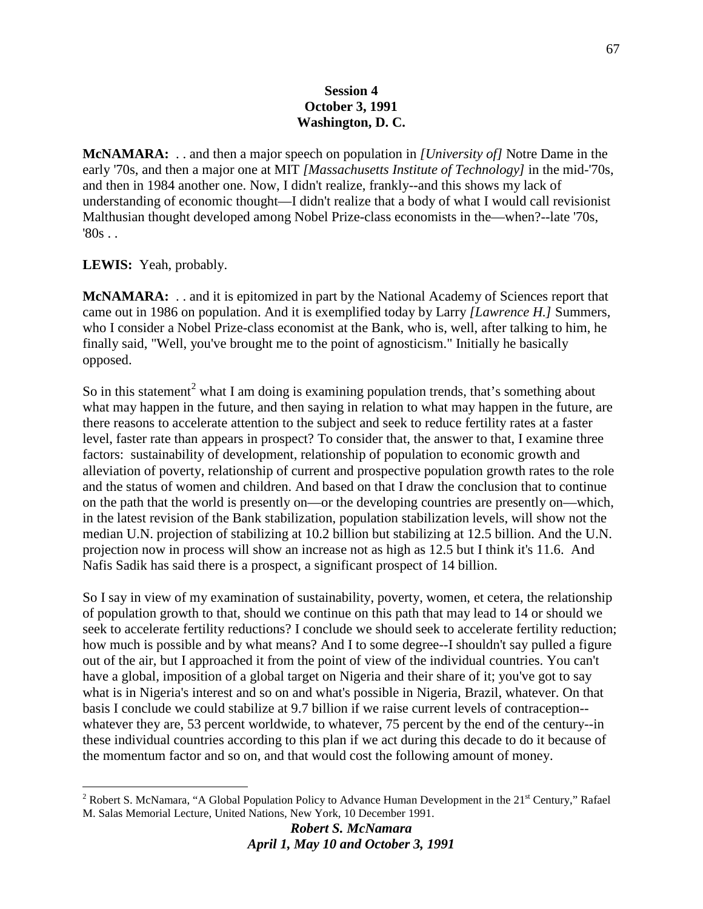### **Session 4 October 3, 1991 Washington, D. C.**

**McNAMARA:** . . and then a major speech on population in *[University of]* Notre Dame in the early '70s, and then a major one at MIT *[Massachusetts Institute of Technology]* in the mid-'70s, and then in 1984 another one. Now, I didn't realize, frankly--and this shows my lack of understanding of economic thought—I didn't realize that a body of what I would call revisionist Malthusian thought developed among Nobel Prize-class economists in the—when?--late '70s,  $'80s$ .

**LEWIS:** Yeah, probably.

**McNAMARA:** . . and it is epitomized in part by the National Academy of Sciences report that came out in 1986 on population. And it is exemplified today by Larry *[Lawrence H.]* Summers, who I consider a Nobel Prize-class economist at the Bank, who is, well, after talking to him, he finally said, "Well, you've brought me to the point of agnosticism." Initially he basically opposed.

So in this statement<sup>[2](#page-67-0)</sup> what I am doing is examining population trends, that's something about what may happen in the future, and then saying in relation to what may happen in the future, are there reasons to accelerate attention to the subject and seek to reduce fertility rates at a faster level, faster rate than appears in prospect? To consider that, the answer to that, I examine three factors: sustainability of development, relationship of population to economic growth and alleviation of poverty, relationship of current and prospective population growth rates to the role and the status of women and children. And based on that I draw the conclusion that to continue on the path that the world is presently on—or the developing countries are presently on—which, in the latest revision of the Bank stabilization, population stabilization levels, will show not the median U.N. projection of stabilizing at 10.2 billion but stabilizing at 12.5 billion. And the U.N. projection now in process will show an increase not as high as 12.5 but I think it's 11.6. And Nafis Sadik has said there is a prospect, a significant prospect of 14 billion.

So I say in view of my examination of sustainability, poverty, women, et cetera, the relationship of population growth to that, should we continue on this path that may lead to 14 or should we seek to accelerate fertility reductions? I conclude we should seek to accelerate fertility reduction; how much is possible and by what means? And I to some degree--I shouldn't say pulled a figure out of the air, but I approached it from the point of view of the individual countries. You can't have a global, imposition of a global target on Nigeria and their share of it; you've got to say what is in Nigeria's interest and so on and what's possible in Nigeria, Brazil, whatever. On that basis I conclude we could stabilize at 9.7 billion if we raise current levels of contraception- whatever they are, 53 percent worldwide, to whatever, 75 percent by the end of the century--in these individual countries according to this plan if we act during this decade to do it because of the momentum factor and so on, and that would cost the following amount of money.

<span id="page-67-0"></span><sup>&</sup>lt;sup>2</sup> Robert S. McNamara, "A Global Population Policy to Advance Human Development in the  $21<sup>st</sup>$  Century," Rafael M. Salas Memorial Lecture, United Nations, New York, 10 December 1991.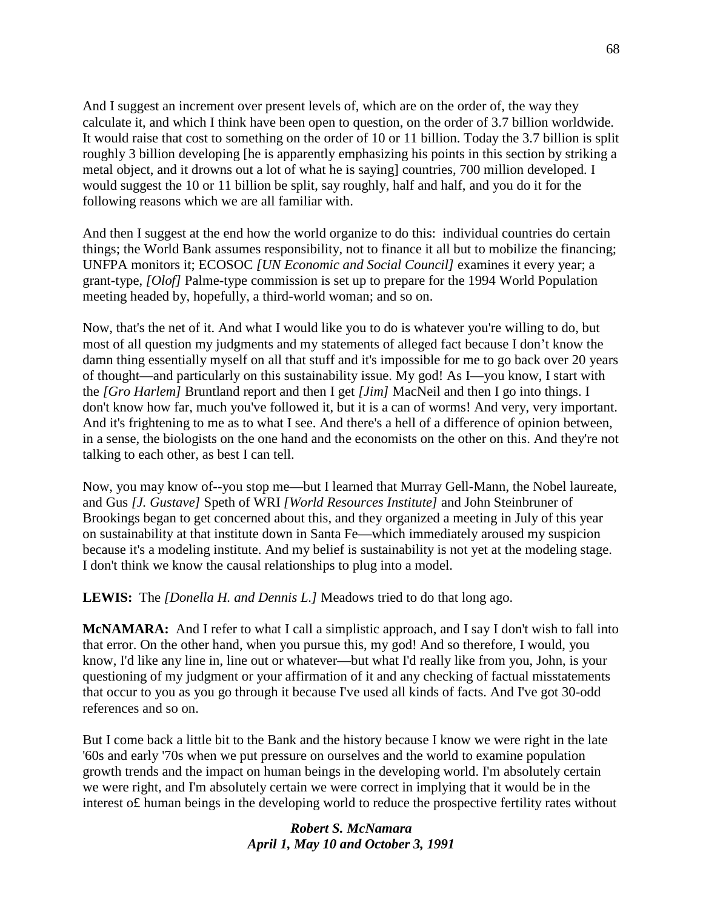And I suggest an increment over present levels of, which are on the order of, the way they calculate it, and which I think have been open to question, on the order of 3.7 billion worldwide. It would raise that cost to something on the order of 10 or 11 billion. Today the 3.7 billion is split roughly 3 billion developing [he is apparently emphasizing his points in this section by striking a metal object, and it drowns out a lot of what he is saying] countries, 700 million developed. I would suggest the 10 or 11 billion be split, say roughly, half and half, and you do it for the following reasons which we are all familiar with.

And then I suggest at the end how the world organize to do this: individual countries do certain things; the World Bank assumes responsibility, not to finance it all but to mobilize the financing; UNFPA monitors it; ECOSOC *[UN Economic and Social Council]* examines it every year; a grant-type, *[Olof]* Palme-type commission is set up to prepare for the 1994 World Population meeting headed by, hopefully, a third-world woman; and so on.

Now, that's the net of it. And what I would like you to do is whatever you're willing to do, but most of all question my judgments and my statements of alleged fact because I don't know the damn thing essentially myself on all that stuff and it's impossible for me to go back over 20 years of thought—and particularly on this sustainability issue. My god! As I—you know, I start with the *[Gro Harlem]* Bruntland report and then I get *[Jim]* MacNeil and then I go into things. I don't know how far, much you've followed it, but it is a can of worms! And very, very important. And it's frightening to me as to what I see. And there's a hell of a difference of opinion between, in a sense, the biologists on the one hand and the economists on the other on this. And they're not talking to each other, as best I can tell.

Now, you may know of--you stop me—but I learned that Murray Gell-Mann, the Nobel laureate, and Gus *[J. Gustave]* Speth of WRI *[World Resources Institute]* and John Steinbruner of Brookings began to get concerned about this, and they organized a meeting in July of this year on sustainability at that institute down in Santa Fe—which immediately aroused my suspicion because it's a modeling institute. And my belief is sustainability is not yet at the modeling stage. I don't think we know the causal relationships to plug into a model.

**LEWIS:** The *[Donella H. and Dennis L.]* Meadows tried to do that long ago.

**McNAMARA:** And I refer to what I call a simplistic approach, and I say I don't wish to fall into that error. On the other hand, when you pursue this, my god! And so therefore, I would, you know, I'd like any line in, line out or whatever—but what I'd really like from you, John, is your questioning of my judgment or your affirmation of it and any checking of factual misstatements that occur to you as you go through it because I've used all kinds of facts. And I've got 30-odd references and so on.

But I come back a little bit to the Bank and the history because I know we were right in the late '60s and early '70s when we put pressure on ourselves and the world to examine population growth trends and the impact on human beings in the developing world. I'm absolutely certain we were right, and I'm absolutely certain we were correct in implying that it would be in the interest o£ human beings in the developing world to reduce the prospective fertility rates without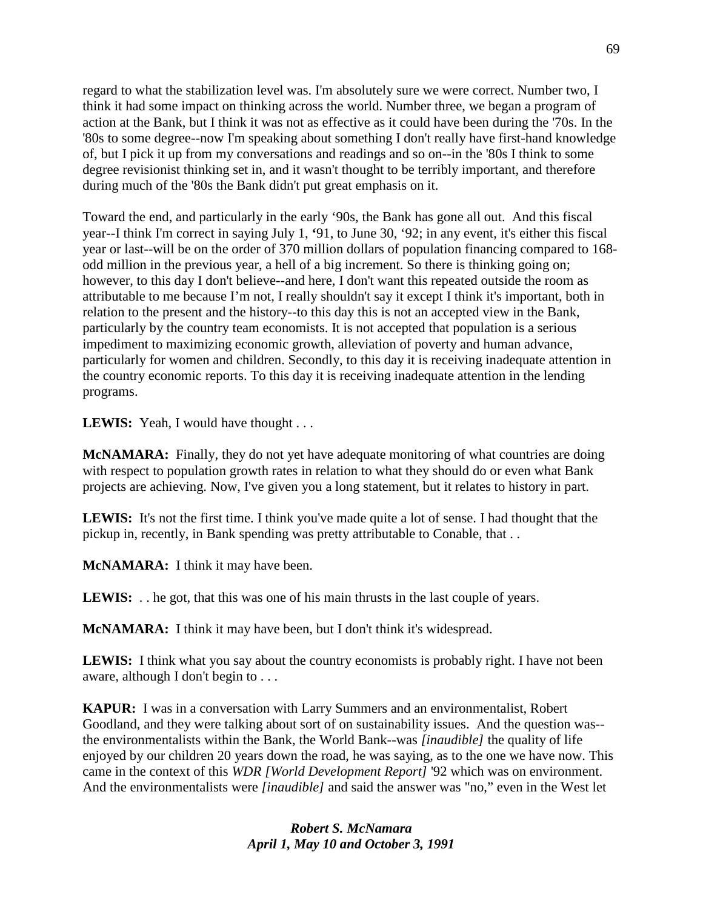regard to what the stabilization level was. I'm absolutely sure we were correct. Number two, I think it had some impact on thinking across the world. Number three, we began a program of action at the Bank, but I think it was not as effective as it could have been during the '70s. In the '80s to some degree--now I'm speaking about something I don't really have first-hand knowledge of, but I pick it up from my conversations and readings and so on--in the '80s I think to some degree revisionist thinking set in, and it wasn't thought to be terribly important, and therefore during much of the '80s the Bank didn't put great emphasis on it.

Toward the end, and particularly in the early '90s, the Bank has gone all out. And this fiscal year--I think I'm correct in saying July 1, **'**91, to June 30, '92; in any event, it's either this fiscal year or last--will be on the order of 370 million dollars of population financing compared to 168 odd million in the previous year, a hell of a big increment. So there is thinking going on; however, to this day I don't believe--and here, I don't want this repeated outside the room as attributable to me because I'm not, I really shouldn't say it except I think it's important, both in relation to the present and the history--to this day this is not an accepted view in the Bank, particularly by the country team economists. It is not accepted that population is a serious impediment to maximizing economic growth, alleviation of poverty and human advance, particularly for women and children. Secondly, to this day it is receiving inadequate attention in the country economic reports. To this day it is receiving inadequate attention in the lending programs.

LEWIS: Yeah, I would have thought . . .

**McNAMARA:** Finally, they do not yet have adequate monitoring of what countries are doing with respect to population growth rates in relation to what they should do or even what Bank projects are achieving. Now, I've given you a long statement, but it relates to history in part.

**LEWIS:** It's not the first time. I think you've made quite a lot of sense. I had thought that the pickup in, recently, in Bank spending was pretty attributable to Conable, that . .

**McNAMARA:** I think it may have been.

**LEWIS:** . . he got, that this was one of his main thrusts in the last couple of years.

**McNAMARA:** I think it may have been, but I don't think it's widespread.

**LEWIS:** I think what you say about the country economists is probably right. I have not been aware, although I don't begin to . . .

**KAPUR:** I was in a conversation with Larry Summers and an environmentalist, Robert Goodland, and they were talking about sort of on sustainability issues. And the question was- the environmentalists within the Bank, the World Bank--was *[inaudible]* the quality of life enjoyed by our children 20 years down the road, he was saying, as to the one we have now. This came in the context of this *WDR [World Development Report]* '92 which was on environment. And the environmentalists were *[inaudible]* and said the answer was "no," even in the West let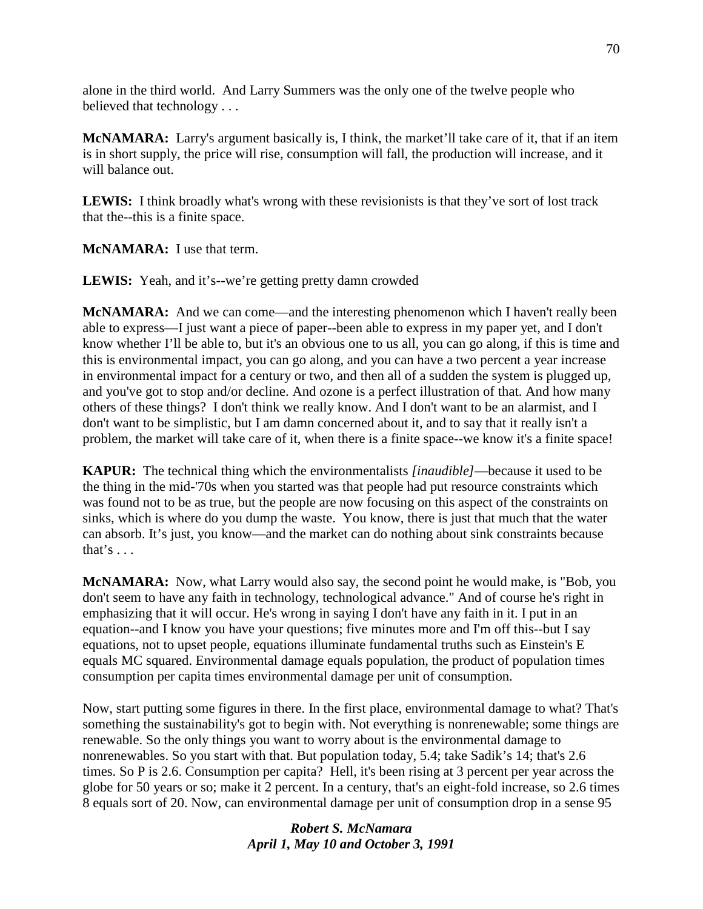alone in the third world. And Larry Summers was the only one of the twelve people who believed that technology . . .

**McNAMARA:** Larry's argument basically is, I think, the market'll take care of it, that if an item is in short supply, the price will rise, consumption will fall, the production will increase, and it will balance out.

LEWIS: I think broadly what's wrong with these revisionists is that they've sort of lost track that the--this is a finite space.

**McNAMARA:** I use that term.

**LEWIS:** Yeah, and it's--we're getting pretty damn crowded

**McNAMARA:** And we can come—and the interesting phenomenon which I haven't really been able to express—I just want a piece of paper--been able to express in my paper yet, and I don't know whether I'll be able to, but it's an obvious one to us all, you can go along, if this is time and this is environmental impact, you can go along, and you can have a two percent a year increase in environmental impact for a century or two, and then all of a sudden the system is plugged up, and you've got to stop and/or decline. And ozone is a perfect illustration of that. And how many others of these things? I don't think we really know. And I don't want to be an alarmist, and I don't want to be simplistic, but I am damn concerned about it, and to say that it really isn't a problem, the market will take care of it, when there is a finite space--we know it's a finite space!

**KAPUR:** The technical thing which the environmentalists *[inaudible]*—because it used to be the thing in the mid-'70s when you started was that people had put resource constraints which was found not to be as true, but the people are now focusing on this aspect of the constraints on sinks, which is where do you dump the waste. You know, there is just that much that the water can absorb. It's just, you know—and the market can do nothing about sink constraints because that's  $\ldots$ 

**McNAMARA:** Now, what Larry would also say, the second point he would make, is "Bob, you don't seem to have any faith in technology, technological advance." And of course he's right in emphasizing that it will occur. He's wrong in saying I don't have any faith in it. I put in an equation--and I know you have your questions; five minutes more and I'm off this--but I say equations, not to upset people, equations illuminate fundamental truths such as Einstein's E equals MC squared. Environmental damage equals population, the product of population times consumption per capita times environmental damage per unit of consumption.

Now, start putting some figures in there. In the first place, environmental damage to what? That's something the sustainability's got to begin with. Not everything is nonrenewable; some things are renewable. So the only things you want to worry about is the environmental damage to nonrenewables. So you start with that. But population today, 5.4; take Sadik's 14; that's 2.6 times. So P is 2.6. Consumption per capita? Hell, it's been rising at 3 percent per year across the globe for 50 years or so; make it 2 percent. In a century, that's an eight-fold increase, so 2.6 times 8 equals sort of 20. Now, can environmental damage per unit of consumption drop in a sense 95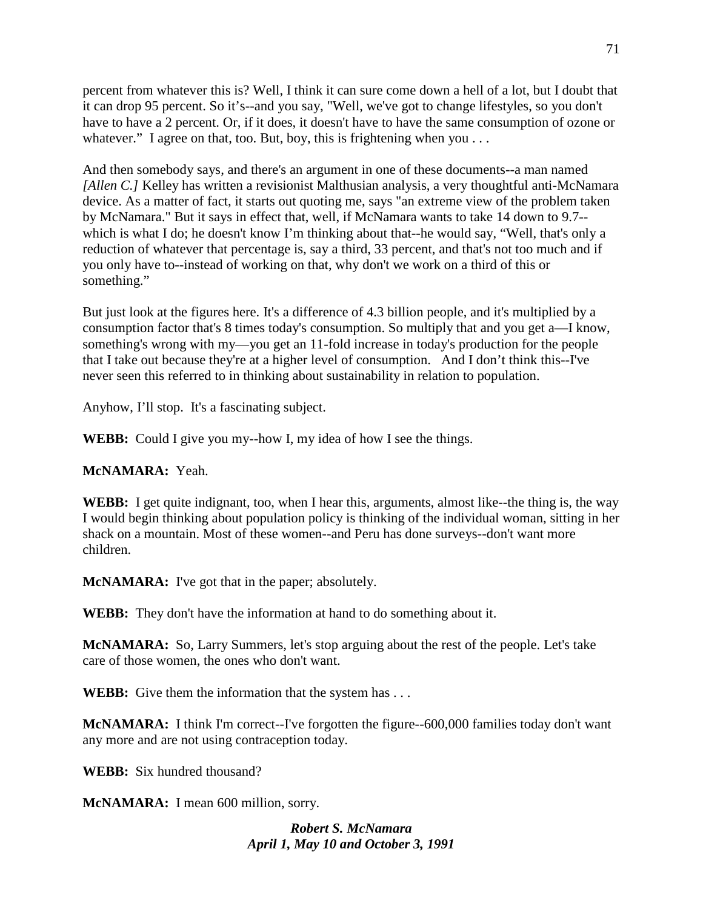percent from whatever this is? Well, I think it can sure come down a hell of a lot, but I doubt that it can drop 95 percent. So it's--and you say, "Well, we've got to change lifestyles, so you don't have to have a 2 percent. Or, if it does, it doesn't have to have the same consumption of ozone or whatever." I agree on that, too. But, boy, this is frightening when you ...

And then somebody says, and there's an argument in one of these documents--a man named *[Allen C.]* Kelley has written a revisionist Malthusian analysis, a very thoughtful anti-McNamara device. As a matter of fact, it starts out quoting me, says "an extreme view of the problem taken by McNamara." But it says in effect that, well, if McNamara wants to take 14 down to 9.7- which is what I do; he doesn't know I'm thinking about that--he would say, "Well, that's only a reduction of whatever that percentage is, say a third, 33 percent, and that's not too much and if you only have to--instead of working on that, why don't we work on a third of this or something."

But just look at the figures here. It's a difference of 4.3 billion people, and it's multiplied by a consumption factor that's 8 times today's consumption. So multiply that and you get a—I know, something's wrong with my—you get an 11-fold increase in today's production for the people that I take out because they're at a higher level of consumption. And I don't think this--I've never seen this referred to in thinking about sustainability in relation to population.

Anyhow, I'll stop. It's a fascinating subject.

**WEBB:** Could I give you my--how I, my idea of how I see the things.

# **McNAMARA:** Yeah.

**WEBB:** I get quite indignant, too, when I hear this, arguments, almost like--the thing is, the way I would begin thinking about population policy is thinking of the individual woman, sitting in her shack on a mountain. Most of these women--and Peru has done surveys--don't want more children.

**McNAMARA:** I've got that in the paper; absolutely.

**WEBB:** They don't have the information at hand to do something about it.

**McNAMARA:** So, Larry Summers, let's stop arguing about the rest of the people. Let's take care of those women, the ones who don't want.

**WEBB:** Give them the information that the system has ...

**McNAMARA:** I think I'm correct--I've forgotten the figure--600,000 families today don't want any more and are not using contraception today.

**WEBB:** Six hundred thousand?

**McNAMARA:** I mean 600 million, sorry.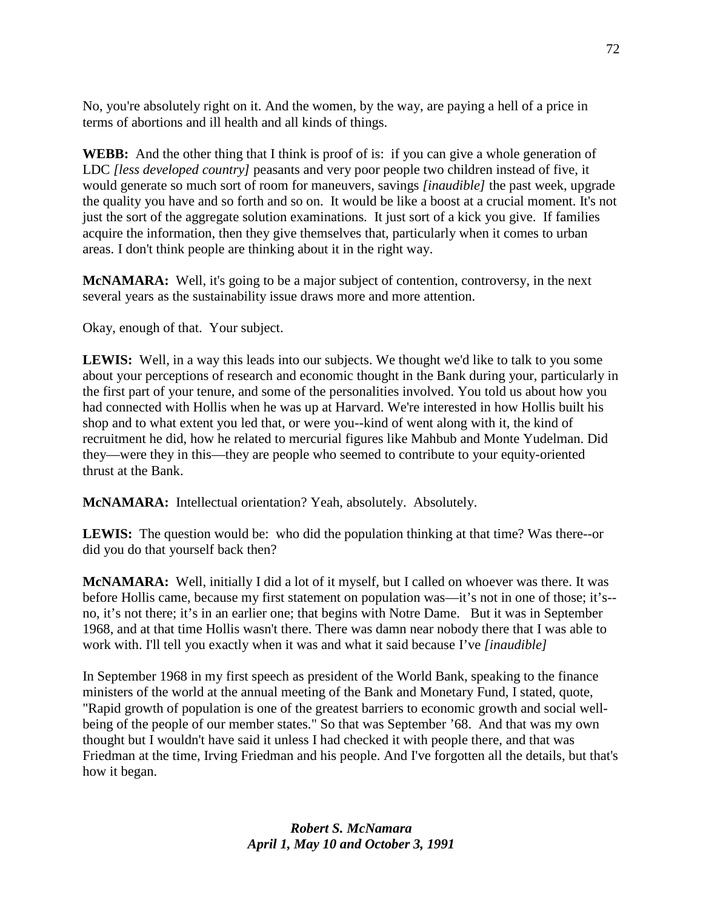No, you're absolutely right on it. And the women, by the way, are paying a hell of a price in terms of abortions and ill health and all kinds of things.

**WEBB:** And the other thing that I think is proof of is: if you can give a whole generation of LDC *[less developed country]* peasants and very poor people two children instead of five, it would generate so much sort of room for maneuvers, savings *[inaudible]* the past week, upgrade the quality you have and so forth and so on. It would be like a boost at a crucial moment. It's not just the sort of the aggregate solution examinations. It just sort of a kick you give. If families acquire the information, then they give themselves that, particularly when it comes to urban areas. I don't think people are thinking about it in the right way.

**McNAMARA:** Well, it's going to be a major subject of contention, controversy, in the next several years as the sustainability issue draws more and more attention.

Okay, enough of that. Your subject.

**LEWIS:** Well, in a way this leads into our subjects. We thought we'd like to talk to you some about your perceptions of research and economic thought in the Bank during your, particularly in the first part of your tenure, and some of the personalities involved. You told us about how you had connected with Hollis when he was up at Harvard. We're interested in how Hollis built his shop and to what extent you led that, or were you--kind of went along with it, the kind of recruitment he did, how he related to mercurial figures like Mahbub and Monte Yudelman. Did they—were they in this—they are people who seemed to contribute to your equity-oriented thrust at the Bank.

**McNAMARA:** Intellectual orientation? Yeah, absolutely. Absolutely.

**LEWIS:** The question would be: who did the population thinking at that time? Was there--or did you do that yourself back then?

**McNAMARA:** Well, initially I did a lot of it myself, but I called on whoever was there. It was before Hollis came, because my first statement on population was—it's not in one of those; it's- no, it's not there; it's in an earlier one; that begins with Notre Dame. But it was in September 1968, and at that time Hollis wasn't there. There was damn near nobody there that I was able to work with. I'll tell you exactly when it was and what it said because I've *[inaudible]*

In September 1968 in my first speech as president of the World Bank, speaking to the finance ministers of the world at the annual meeting of the Bank and Monetary Fund, I stated, quote, "Rapid growth of population is one of the greatest barriers to economic growth and social wellbeing of the people of our member states." So that was September '68. And that was my own thought but I wouldn't have said it unless I had checked it with people there, and that was Friedman at the time, Irving Friedman and his people. And I've forgotten all the details, but that's how it began.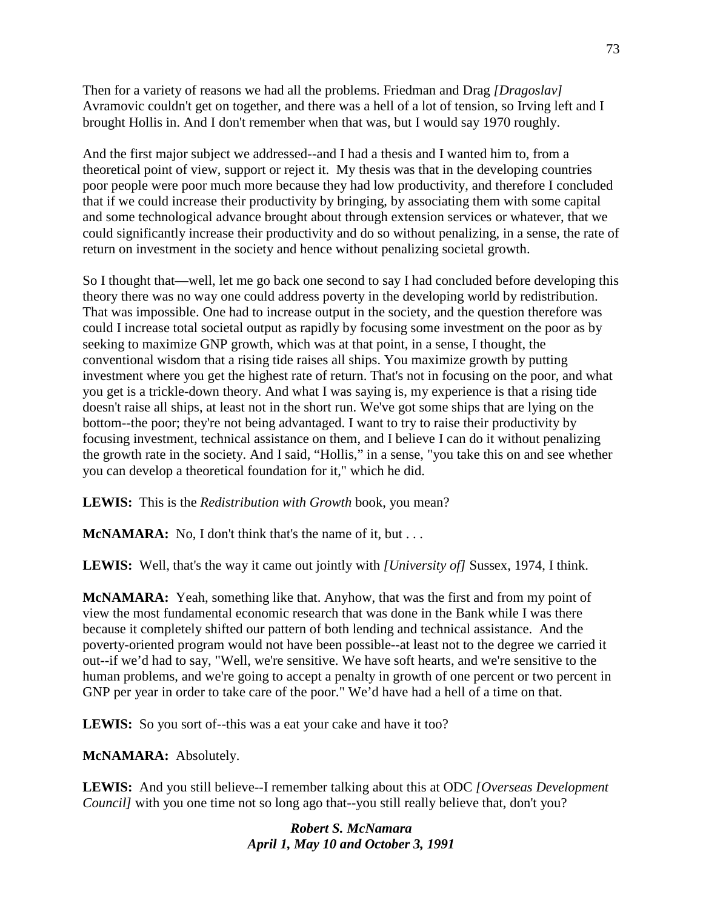Then for a variety of reasons we had all the problems. Friedman and Drag *[Dragoslav]* Avramovic couldn't get on together, and there was a hell of a lot of tension, so Irving left and I brought Hollis in. And I don't remember when that was, but I would say 1970 roughly.

And the first major subject we addressed--and I had a thesis and I wanted him to, from a theoretical point of view, support or reject it. My thesis was that in the developing countries poor people were poor much more because they had low productivity, and therefore I concluded that if we could increase their productivity by bringing, by associating them with some capital and some technological advance brought about through extension services or whatever, that we could significantly increase their productivity and do so without penalizing, in a sense, the rate of return on investment in the society and hence without penalizing societal growth.

So I thought that—well, let me go back one second to say I had concluded before developing this theory there was no way one could address poverty in the developing world by redistribution. That was impossible. One had to increase output in the society, and the question therefore was could I increase total societal output as rapidly by focusing some investment on the poor as by seeking to maximize GNP growth, which was at that point, in a sense, I thought, the conventional wisdom that a rising tide raises all ships. You maximize growth by putting investment where you get the highest rate of return. That's not in focusing on the poor, and what you get is a trickle-down theory. And what I was saying is, my experience is that a rising tide doesn't raise all ships, at least not in the short run. We've got some ships that are lying on the bottom--the poor; they're not being advantaged. I want to try to raise their productivity by focusing investment, technical assistance on them, and I believe I can do it without penalizing the growth rate in the society. And I said, "Hollis," in a sense, "you take this on and see whether you can develop a theoretical foundation for it," which he did.

**LEWIS:** This is the *Redistribution with Growth* book, you mean?

**McNAMARA:** No, I don't think that's the name of it, but . . .

**LEWIS:** Well, that's the way it came out jointly with *[University of]* Sussex, 1974, I think.

**McNAMARA:** Yeah, something like that. Anyhow, that was the first and from my point of view the most fundamental economic research that was done in the Bank while I was there because it completely shifted our pattern of both lending and technical assistance. And the poverty-oriented program would not have been possible--at least not to the degree we carried it out--if we'd had to say, "Well, we're sensitive. We have soft hearts, and we're sensitive to the human problems, and we're going to accept a penalty in growth of one percent or two percent in GNP per year in order to take care of the poor." We'd have had a hell of a time on that.

LEWIS: So you sort of--this was a eat your cake and have it too?

**McNAMARA:** Absolutely.

**LEWIS:** And you still believe--I remember talking about this at ODC *[Overseas Development Council]* with you one time not so long ago that--you still really believe that, don't you?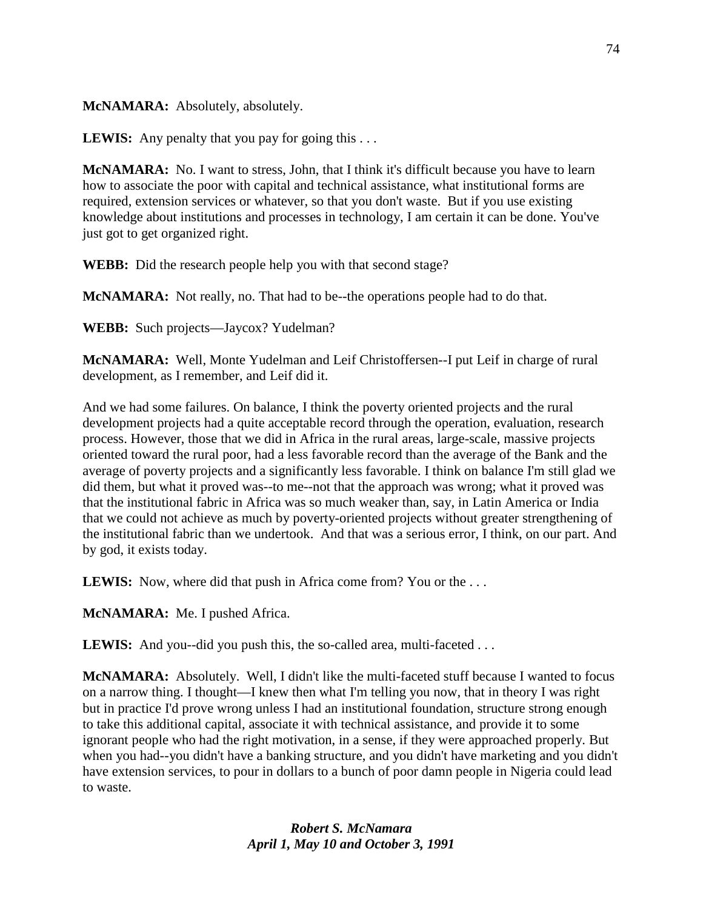# **McNAMARA:** Absolutely, absolutely.

**LEWIS:** Any penalty that you pay for going this . . .

**McNAMARA:** No. I want to stress, John, that I think it's difficult because you have to learn how to associate the poor with capital and technical assistance, what institutional forms are required, extension services or whatever, so that you don't waste. But if you use existing knowledge about institutions and processes in technology, I am certain it can be done. You've just got to get organized right.

**WEBB:** Did the research people help you with that second stage?

**McNAMARA:** Not really, no. That had to be--the operations people had to do that.

**WEBB:** Such projects—Jaycox? Yudelman?

**McNAMARA:** Well, Monte Yudelman and Leif Christoffersen--I put Leif in charge of rural development, as I remember, and Leif did it.

And we had some failures. On balance, I think the poverty oriented projects and the rural development projects had a quite acceptable record through the operation, evaluation, research process. However, those that we did in Africa in the rural areas, large-scale, massive projects oriented toward the rural poor, had a less favorable record than the average of the Bank and the average of poverty projects and a significantly less favorable. I think on balance I'm still glad we did them, but what it proved was--to me--not that the approach was wrong; what it proved was that the institutional fabric in Africa was so much weaker than, say, in Latin America or India that we could not achieve as much by poverty-oriented projects without greater strengthening of the institutional fabric than we undertook. And that was a serious error, I think, on our part. And by god, it exists today.

**LEWIS:** Now, where did that push in Africa come from? You or the ...

**McNAMARA:** Me. I pushed Africa.

**LEWIS:** And you--did you push this, the so-called area, multi-faceted ...

**McNAMARA:** Absolutely. Well, I didn't like the multi-faceted stuff because I wanted to focus on a narrow thing. I thought—I knew then what I'm telling you now, that in theory I was right but in practice I'd prove wrong unless I had an institutional foundation, structure strong enough to take this additional capital, associate it with technical assistance, and provide it to some ignorant people who had the right motivation, in a sense, if they were approached properly. But when you had--you didn't have a banking structure, and you didn't have marketing and you didn't have extension services, to pour in dollars to a bunch of poor damn people in Nigeria could lead to waste.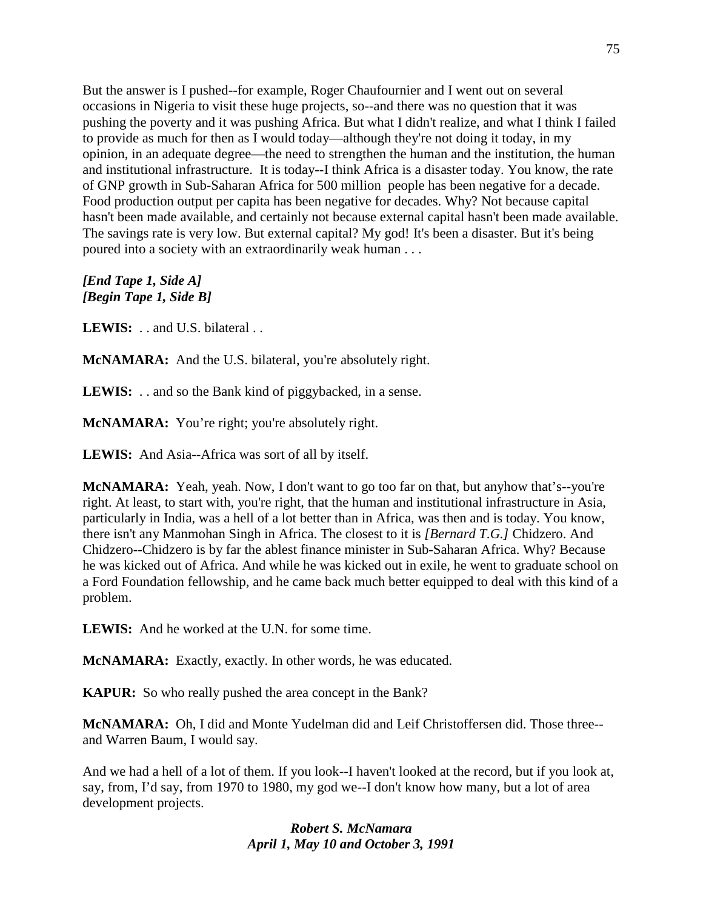But the answer is I pushed--for example, Roger Chaufournier and I went out on several occasions in Nigeria to visit these huge projects, so--and there was no question that it was pushing the poverty and it was pushing Africa. But what I didn't realize, and what I think I failed to provide as much for then as I would today—although they're not doing it today, in my opinion, in an adequate degree—the need to strengthen the human and the institution, the human and institutional infrastructure. It is today--I think Africa is a disaster today. You know, the rate of GNP growth in Sub-Saharan Africa for 500 million people has been negative for a decade. Food production output per capita has been negative for decades. Why? Not because capital hasn't been made available, and certainly not because external capital hasn't been made available. The savings rate is very low. But external capital? My god! It's been a disaster. But it's being poured into a society with an extraordinarily weak human . . .

*[End Tape 1, Side A] [Begin Tape 1, Side B]*

LEWIS: . . and U.S. bilateral . .

**McNAMARA:** And the U.S. bilateral, you're absolutely right.

**LEWIS:** . . and so the Bank kind of piggybacked, in a sense.

**McNAMARA:** You're right; you're absolutely right.

**LEWIS:** And Asia--Africa was sort of all by itself.

**McNAMARA:** Yeah, yeah. Now, I don't want to go too far on that, but anyhow that's--you're right. At least, to start with, you're right, that the human and institutional infrastructure in Asia, particularly in India, was a hell of a lot better than in Africa, was then and is today. You know, there isn't any Manmohan Singh in Africa. The closest to it is *[Bernard T.G.]* Chidzero. And Chidzero--Chidzero is by far the ablest finance minister in Sub-Saharan Africa. Why? Because he was kicked out of Africa. And while he was kicked out in exile, he went to graduate school on a Ford Foundation fellowship, and he came back much better equipped to deal with this kind of a problem.

**LEWIS:** And he worked at the U.N. for some time.

**McNAMARA:** Exactly, exactly. In other words, he was educated.

**KAPUR:** So who really pushed the area concept in the Bank?

**McNAMARA:** Oh, I did and Monte Yudelman did and Leif Christoffersen did. Those three- and Warren Baum, I would say.

And we had a hell of a lot of them. If you look--I haven't looked at the record, but if you look at, say, from, I'd say, from 1970 to 1980, my god we--I don't know how many, but a lot of area development projects.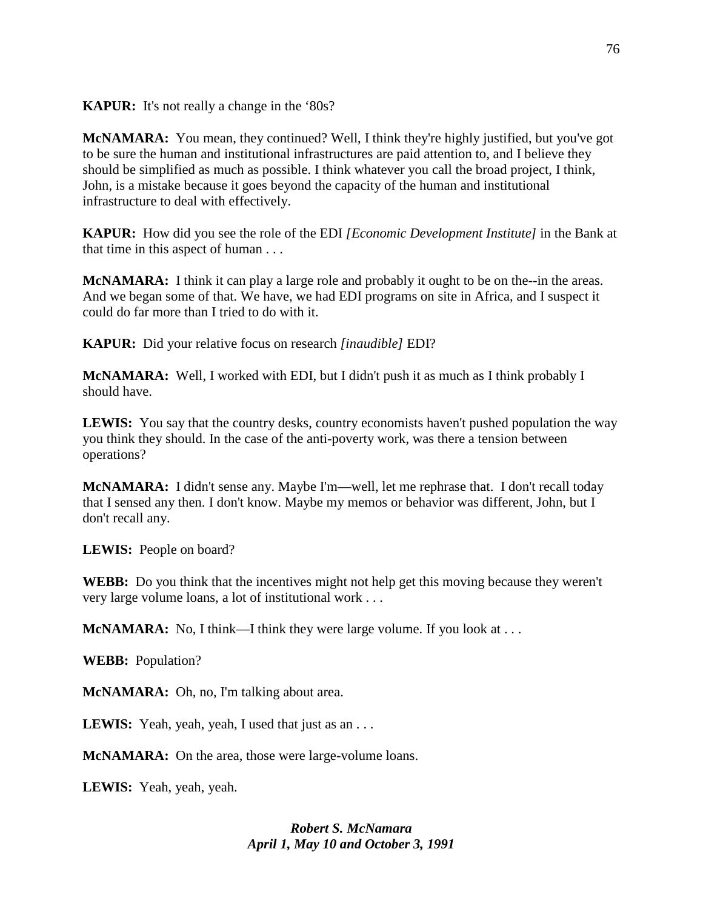**KAPUR:** It's not really a change in the '80s?

**McNAMARA:** You mean, they continued? Well, I think they're highly justified, but you've got to be sure the human and institutional infrastructures are paid attention to, and I believe they should be simplified as much as possible. I think whatever you call the broad project, I think, John, is a mistake because it goes beyond the capacity of the human and institutional infrastructure to deal with effectively.

**KAPUR:** How did you see the role of the EDI *[Economic Development Institute]* in the Bank at that time in this aspect of human . . .

**McNAMARA:** I think it can play a large role and probably it ought to be on the--in the areas. And we began some of that. We have, we had EDI programs on site in Africa, and I suspect it could do far more than I tried to do with it.

**KAPUR:** Did your relative focus on research *[inaudible]* EDI?

**McNAMARA:** Well, I worked with EDI, but I didn't push it as much as I think probably I should have.

**LEWIS:** You say that the country desks, country economists haven't pushed population the way you think they should. In the case of the anti-poverty work, was there a tension between operations?

**McNAMARA:** I didn't sense any. Maybe I'm—well, let me rephrase that. I don't recall today that I sensed any then. I don't know. Maybe my memos or behavior was different, John, but I don't recall any.

**LEWIS:** People on board?

**WEBB:** Do you think that the incentives might not help get this moving because they weren't very large volume loans, a lot of institutional work . . .

**McNAMARA:** No, I think—I think they were large volume. If you look at ...

**WEBB:** Population?

**McNAMARA:** Oh, no, I'm talking about area.

**LEWIS:** Yeah, yeah, yeah, I used that just as an . . .

**McNAMARA:** On the area, those were large-volume loans.

**LEWIS:** Yeah, yeah, yeah.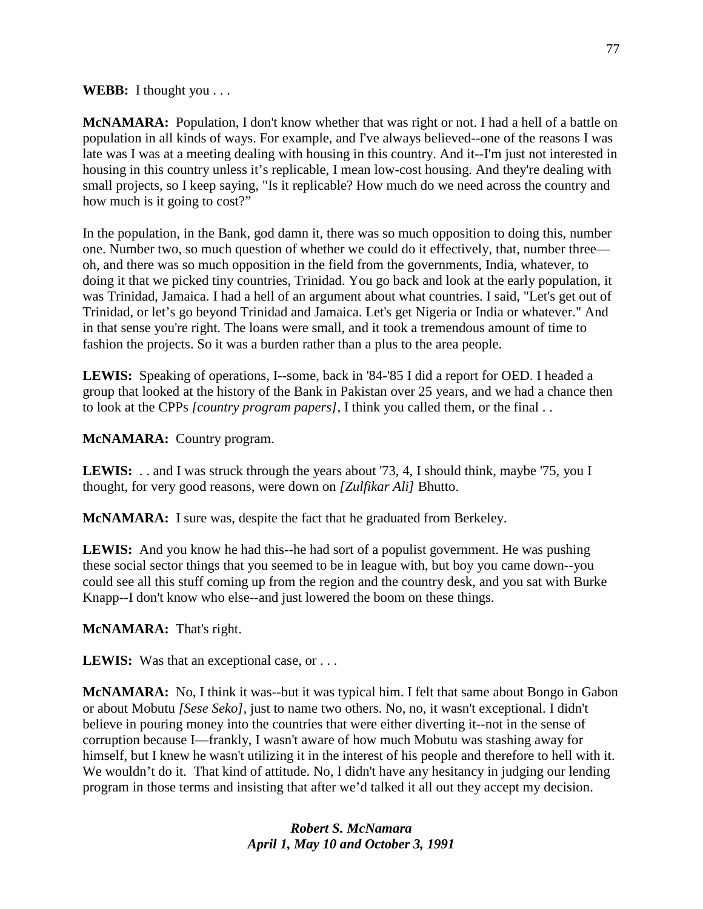**WEBB:** I thought you . . .

**McNAMARA:** Population, I don't know whether that was right or not. I had a hell of a battle on population in all kinds of ways. For example, and I've always believed--one of the reasons I was late was I was at a meeting dealing with housing in this country. And it--I'm just not interested in housing in this country unless it's replicable, I mean low-cost housing. And they're dealing with small projects, so I keep saying, "Is it replicable? How much do we need across the country and how much is it going to cost?"

In the population, in the Bank, god damn it, there was so much opposition to doing this, number one. Number two, so much question of whether we could do it effectively, that, number three oh, and there was so much opposition in the field from the governments, India, whatever, to doing it that we picked tiny countries, Trinidad. You go back and look at the early population, it was Trinidad, Jamaica. I had a hell of an argument about what countries. I said, "Let's get out of Trinidad, or let's go beyond Trinidad and Jamaica. Let's get Nigeria or India or whatever." And in that sense you're right. The loans were small, and it took a tremendous amount of time to fashion the projects. So it was a burden rather than a plus to the area people.

**LEWIS:** Speaking of operations, I--some, back in '84-'85 I did a report for OED. I headed a group that looked at the history of the Bank in Pakistan over 25 years, and we had a chance then to look at the CPPs *[country program papers]*, I think you called them, or the final . .

**McNAMARA:** Country program.

LEWIS: . . and I was struck through the years about '73, 4, I should think, maybe '75, you I thought, for very good reasons, were down on *[Zulfikar Ali]* Bhutto.

**McNAMARA:** I sure was, despite the fact that he graduated from Berkeley.

**LEWIS:** And you know he had this--he had sort of a populist government. He was pushing these social sector things that you seemed to be in league with, but boy you came down--you could see all this stuff coming up from the region and the country desk, and you sat with Burke Knapp--I don't know who else--and just lowered the boom on these things.

**McNAMARA:** That's right.

**LEWIS:** Was that an exceptional case, or ...

**McNAMARA:** No, I think it was--but it was typical him. I felt that same about Bongo in Gabon or about Mobutu *[Sese Seko]*, just to name two others. No, no, it wasn't exceptional. I didn't believe in pouring money into the countries that were either diverting it--not in the sense of corruption because I—frankly, I wasn't aware of how much Mobutu was stashing away for himself, but I knew he wasn't utilizing it in the interest of his people and therefore to hell with it. We wouldn't do it. That kind of attitude. No, I didn't have any hesitancy in judging our lending program in those terms and insisting that after we'd talked it all out they accept my decision.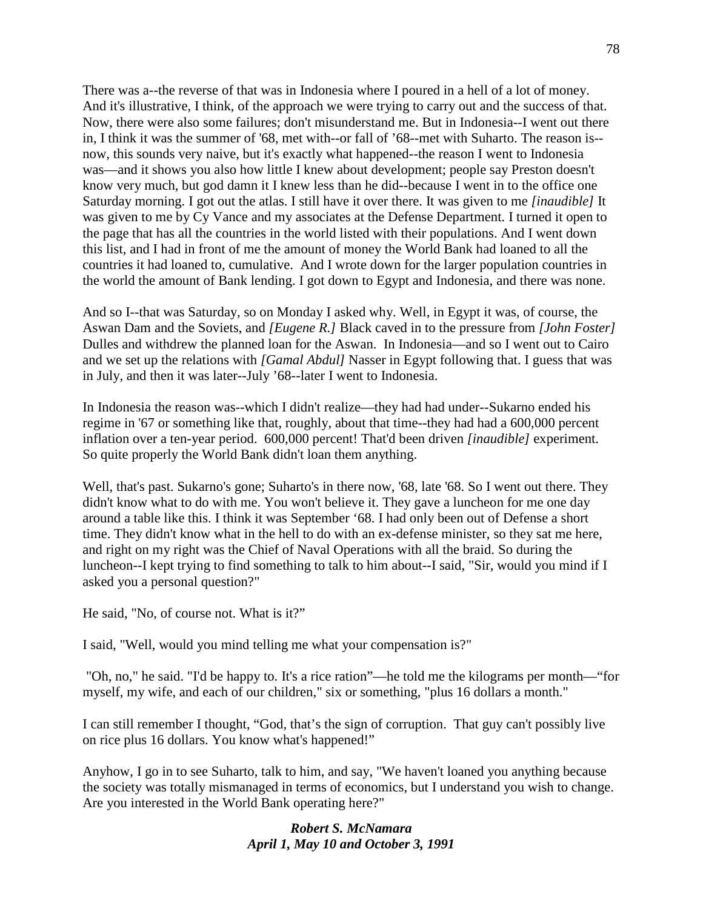There was a--the reverse of that was in Indonesia where I poured in a hell of a lot of money. And it's illustrative, I think, of the approach we were trying to carry out and the success of that. Now, there were also some failures; don't misunderstand me. But in Indonesia--I went out there in, I think it was the summer of '68, met with--or fall of '68--met with Suharto. The reason is- now, this sounds very naive, but it's exactly what happened--the reason I went to Indonesia was—and it shows you also how little I knew about development; people say Preston doesn't know very much, but god damn it I knew less than he did--because I went in to the office one Saturday morning. I got out the atlas. I still have it over there. It was given to me *[inaudible]* It was given to me by Cy Vance and my associates at the Defense Department. I turned it open to the page that has all the countries in the world listed with their populations. And I went down this list, and I had in front of me the amount of money the World Bank had loaned to all the countries it had loaned to, cumulative. And I wrote down for the larger population countries in the world the amount of Bank lending. I got down to Egypt and Indonesia, and there was none.

And so I--that was Saturday, so on Monday I asked why. Well, in Egypt it was, of course, the Aswan Dam and the Soviets, and *[Eugene R.]* Black caved in to the pressure from *[John Foster]*  Dulles and withdrew the planned loan for the Aswan. In Indonesia—and so I went out to Cairo and we set up the relations with *[Gamal Abdul]* Nasser in Egypt following that. I guess that was in July, and then it was later--July '68--later I went to Indonesia.

In Indonesia the reason was--which I didn't realize—they had had under--Sukarno ended his regime in '67 or something like that, roughly, about that time--they had had a 600,000 percent inflation over a ten-year period. 600,000 percent! That'd been driven *[inaudible]* experiment. So quite properly the World Bank didn't loan them anything.

Well, that's past. Sukarno's gone; Suharto's in there now, '68, late '68. So I went out there. They didn't know what to do with me. You won't believe it. They gave a luncheon for me one day around a table like this. I think it was September '68. I had only been out of Defense a short time. They didn't know what in the hell to do with an ex-defense minister, so they sat me here, and right on my right was the Chief of Naval Operations with all the braid. So during the luncheon--I kept trying to find something to talk to him about--I said, "Sir, would you mind if I asked you a personal question?"

He said, "No, of course not. What is it?"

I said, "Well, would you mind telling me what your compensation is?"

"Oh, no," he said. "I'd be happy to. It's a rice ration"—he told me the kilograms per month—"for myself, my wife, and each of our children," six or something, "plus 16 dollars a month."

I can still remember I thought, "God, that's the sign of corruption. That guy can't possibly live on rice plus 16 dollars. You know what's happened!"

Anyhow, I go in to see Suharto, talk to him, and say, "We haven't loaned you anything because the society was totally mismanaged in terms of economics, but I understand you wish to change. Are you interested in the World Bank operating here?"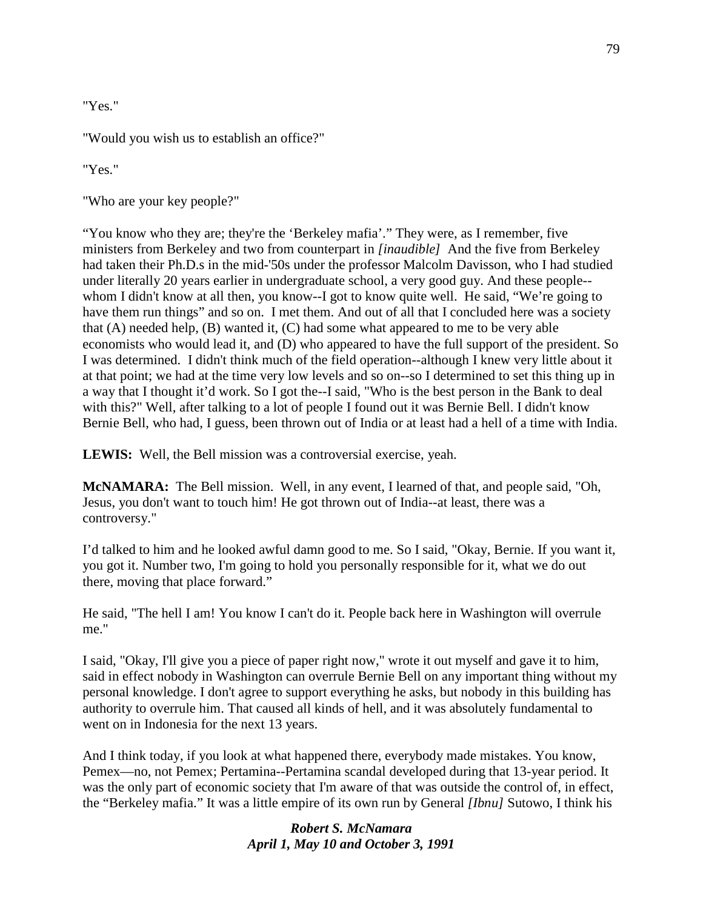"Yes."

"Would you wish us to establish an office?"

"Yes."

"Who are your key people?"

"You know who they are; they're the 'Berkeley mafia'." They were, as I remember, five ministers from Berkeley and two from counterpart in *[inaudible]* And the five from Berkeley had taken their Ph.D.s in the mid-'50s under the professor Malcolm Davisson, who I had studied under literally 20 years earlier in undergraduate school, a very good guy. And these people- whom I didn't know at all then, you know--I got to know quite well. He said, "We're going to have them run things" and so on. I met them. And out of all that I concluded here was a society that (A) needed help, (B) wanted it, (C) had some what appeared to me to be very able economists who would lead it, and (D) who appeared to have the full support of the president. So I was determined. I didn't think much of the field operation--although I knew very little about it at that point; we had at the time very low levels and so on--so I determined to set this thing up in a way that I thought it'd work. So I got the--I said, "Who is the best person in the Bank to deal with this?" Well, after talking to a lot of people I found out it was Bernie Bell. I didn't know Bernie Bell, who had, I guess, been thrown out of India or at least had a hell of a time with India.

**LEWIS:** Well, the Bell mission was a controversial exercise, yeah.

**McNAMARA:** The Bell mission. Well, in any event, I learned of that, and people said, "Oh, Jesus, you don't want to touch him! He got thrown out of India--at least, there was a controversy."

I'd talked to him and he looked awful damn good to me. So I said, "Okay, Bernie. If you want it, you got it. Number two, I'm going to hold you personally responsible for it, what we do out there, moving that place forward."

He said, "The hell I am! You know I can't do it. People back here in Washington will overrule me."

I said, "Okay, I'll give you a piece of paper right now," wrote it out myself and gave it to him, said in effect nobody in Washington can overrule Bernie Bell on any important thing without my personal knowledge. I don't agree to support everything he asks, but nobody in this building has authority to overrule him. That caused all kinds of hell, and it was absolutely fundamental to went on in Indonesia for the next 13 years.

And I think today, if you look at what happened there, everybody made mistakes. You know, Pemex—no, not Pemex; Pertamina--Pertamina scandal developed during that 13-year period. It was the only part of economic society that I'm aware of that was outside the control of, in effect, the "Berkeley mafia." It was a little empire of its own run by General *[Ibnu]* Sutowo, I think his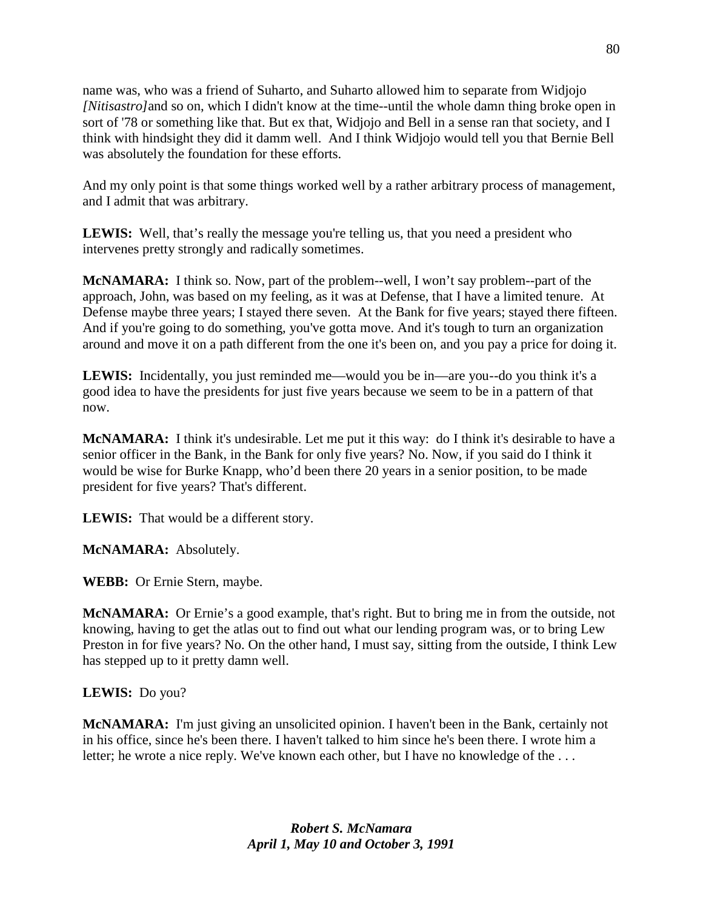name was, who was a friend of Suharto, and Suharto allowed him to separate from Widjojo *[Nitisastro]*and so on, which I didn't know at the time--until the whole damn thing broke open in sort of '78 or something like that. But ex that, Widjojo and Bell in a sense ran that society, and I think with hindsight they did it damm well. And I think Widjojo would tell you that Bernie Bell was absolutely the foundation for these efforts.

And my only point is that some things worked well by a rather arbitrary process of management, and I admit that was arbitrary.

**LEWIS:** Well, that's really the message you're telling us, that you need a president who intervenes pretty strongly and radically sometimes.

**McNAMARA:** I think so. Now, part of the problem--well, I won't say problem--part of the approach, John, was based on my feeling, as it was at Defense, that I have a limited tenure. At Defense maybe three years; I stayed there seven. At the Bank for five years; stayed there fifteen. And if you're going to do something, you've gotta move. And it's tough to turn an organization around and move it on a path different from the one it's been on, and you pay a price for doing it.

**LEWIS:** Incidentally, you just reminded me—would you be in—are you--do you think it's a good idea to have the presidents for just five years because we seem to be in a pattern of that now.

**McNAMARA:** I think it's undesirable. Let me put it this way: do I think it's desirable to have a senior officer in the Bank, in the Bank for only five years? No. Now, if you said do I think it would be wise for Burke Knapp, who'd been there 20 years in a senior position, to be made president for five years? That's different.

**LEWIS:** That would be a different story.

**McNAMARA:** Absolutely.

**WEBB:** Or Ernie Stern, maybe.

**McNAMARA:** Or Ernie's a good example, that's right. But to bring me in from the outside, not knowing, having to get the atlas out to find out what our lending program was, or to bring Lew Preston in for five years? No. On the other hand, I must say, sitting from the outside, I think Lew has stepped up to it pretty damn well.

## **LEWIS:** Do you?

**McNAMARA:** I'm just giving an unsolicited opinion. I haven't been in the Bank, certainly not in his office, since he's been there. I haven't talked to him since he's been there. I wrote him a letter; he wrote a nice reply. We've known each other, but I have no knowledge of the . . .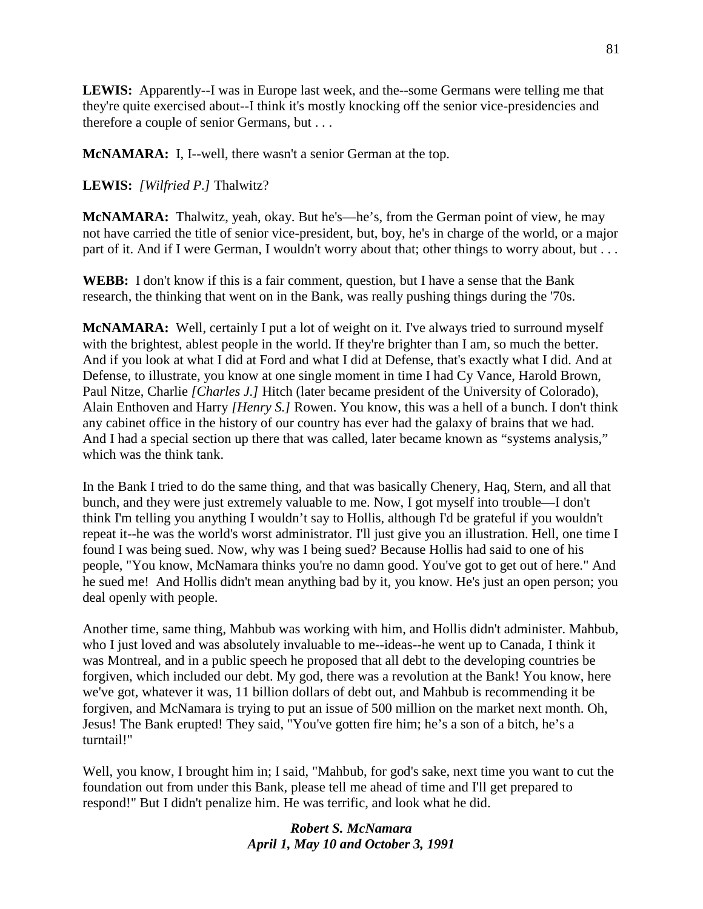**LEWIS:** Apparently--I was in Europe last week, and the--some Germans were telling me that they're quite exercised about--I think it's mostly knocking off the senior vice-presidencies and therefore a couple of senior Germans, but . . .

**McNAMARA:** I, I--well, there wasn't a senior German at the top.

**LEWIS:** *[Wilfried P.]* Thalwitz?

**McNAMARA:** Thalwitz, yeah, okay. But he's—he's, from the German point of view, he may not have carried the title of senior vice-president, but, boy, he's in charge of the world, or a major part of it. And if I were German, I wouldn't worry about that; other things to worry about, but . . .

**WEBB:** I don't know if this is a fair comment, question, but I have a sense that the Bank research, the thinking that went on in the Bank, was really pushing things during the '70s.

**McNAMARA:** Well, certainly I put a lot of weight on it. I've always tried to surround myself with the brightest, ablest people in the world. If they're brighter than I am, so much the better. And if you look at what I did at Ford and what I did at Defense, that's exactly what I did. And at Defense, to illustrate, you know at one single moment in time I had Cy Vance, Harold Brown, Paul Nitze, Charlie *[Charles J.]* Hitch (later became president of the University of Colorado), Alain Enthoven and Harry *[Henry S.]* Rowen. You know, this was a hell of a bunch. I don't think any cabinet office in the history of our country has ever had the galaxy of brains that we had. And I had a special section up there that was called, later became known as "systems analysis," which was the think tank.

In the Bank I tried to do the same thing, and that was basically Chenery, Haq, Stern, and all that bunch, and they were just extremely valuable to me. Now, I got myself into trouble—I don't think I'm telling you anything I wouldn't say to Hollis, although I'd be grateful if you wouldn't repeat it--he was the world's worst administrator. I'll just give you an illustration. Hell, one time I found I was being sued. Now, why was I being sued? Because Hollis had said to one of his people, "You know, McNamara thinks you're no damn good. You've got to get out of here." And he sued me! And Hollis didn't mean anything bad by it, you know. He's just an open person; you deal openly with people.

Another time, same thing, Mahbub was working with him, and Hollis didn't administer. Mahbub, who I just loved and was absolutely invaluable to me--ideas--he went up to Canada, I think it was Montreal, and in a public speech he proposed that all debt to the developing countries be forgiven, which included our debt. My god, there was a revolution at the Bank! You know, here we've got, whatever it was, 11 billion dollars of debt out, and Mahbub is recommending it be forgiven, and McNamara is trying to put an issue of 500 million on the market next month. Oh, Jesus! The Bank erupted! They said, "You've gotten fire him; he's a son of a bitch, he's a turntail!"

Well, you know, I brought him in; I said, "Mahbub, for god's sake, next time you want to cut the foundation out from under this Bank, please tell me ahead of time and I'll get prepared to respond!" But I didn't penalize him. He was terrific, and look what he did.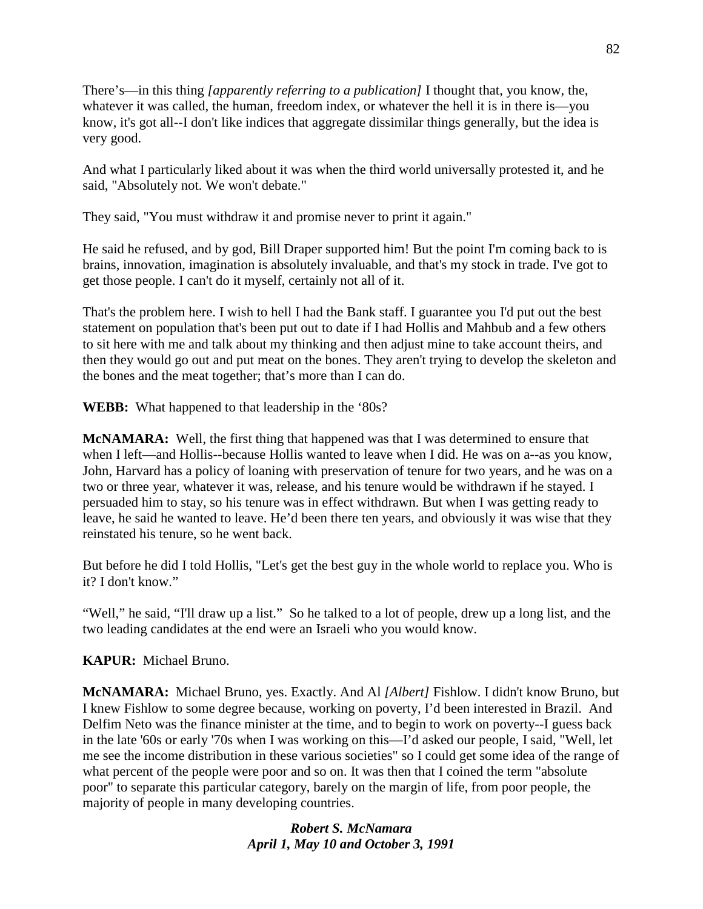There's—in this thing *[apparently referring to a publication]* I thought that, you know, the, whatever it was called, the human, freedom index, or whatever the hell it is in there is—you know, it's got all--I don't like indices that aggregate dissimilar things generally, but the idea is very good.

And what I particularly liked about it was when the third world universally protested it, and he said, "Absolutely not. We won't debate."

They said, "You must withdraw it and promise never to print it again."

He said he refused, and by god, Bill Draper supported him! But the point I'm coming back to is brains, innovation, imagination is absolutely invaluable, and that's my stock in trade. I've got to get those people. I can't do it myself, certainly not all of it.

That's the problem here. I wish to hell I had the Bank staff. I guarantee you I'd put out the best statement on population that's been put out to date if I had Hollis and Mahbub and a few others to sit here with me and talk about my thinking and then adjust mine to take account theirs, and then they would go out and put meat on the bones. They aren't trying to develop the skeleton and the bones and the meat together; that's more than I can do.

**WEBB:** What happened to that leadership in the '80s?

**McNAMARA:** Well, the first thing that happened was that I was determined to ensure that when I left—and Hollis--because Hollis wanted to leave when I did. He was on a--as you know, John, Harvard has a policy of loaning with preservation of tenure for two years, and he was on a two or three year, whatever it was, release, and his tenure would be withdrawn if he stayed. I persuaded him to stay, so his tenure was in effect withdrawn. But when I was getting ready to leave, he said he wanted to leave. He'd been there ten years, and obviously it was wise that they reinstated his tenure, so he went back.

But before he did I told Hollis, "Let's get the best guy in the whole world to replace you. Who is it? I don't know."

"Well," he said, "I'll draw up a list." So he talked to a lot of people, drew up a long list, and the two leading candidates at the end were an Israeli who you would know.

**KAPUR:** Michael Bruno.

**McNAMARA:** Michael Bruno, yes. Exactly. And Al *[Albert]* Fishlow. I didn't know Bruno, but I knew Fishlow to some degree because, working on poverty, I'd been interested in Brazil. And Delfim Neto was the finance minister at the time, and to begin to work on poverty--I guess back in the late '60s or early '70s when I was working on this—I'd asked our people, I said, "Well, let me see the income distribution in these various societies" so I could get some idea of the range of what percent of the people were poor and so on. It was then that I coined the term "absolute poor" to separate this particular category, barely on the margin of life, from poor people, the majority of people in many developing countries.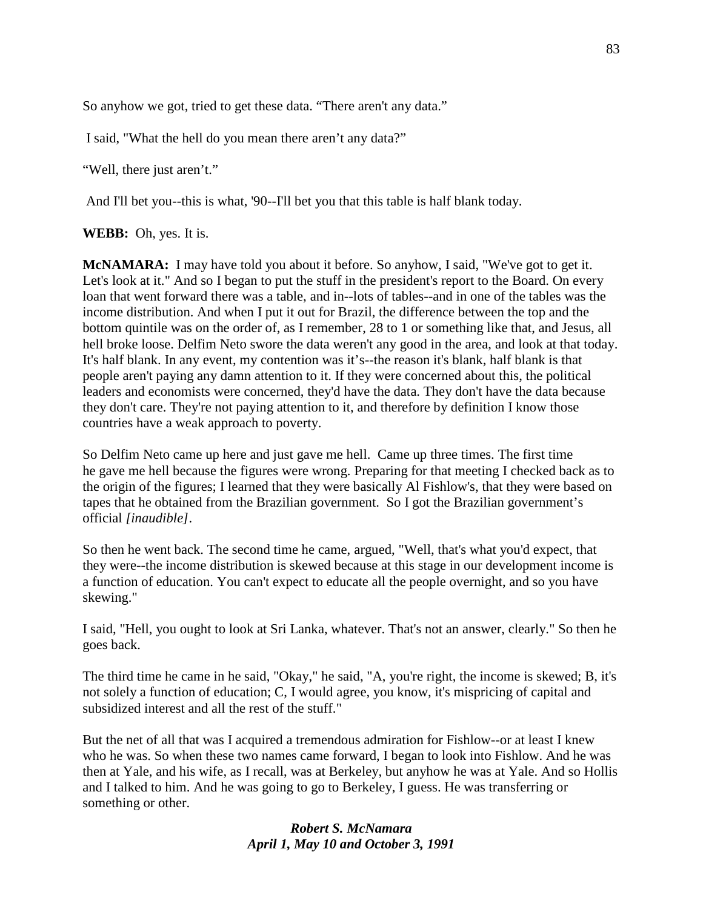So anyhow we got, tried to get these data. "There aren't any data."

I said, "What the hell do you mean there aren't any data?"

"Well, there just aren't."

And I'll bet you--this is what, '90--I'll bet you that this table is half blank today.

**WEBB:** Oh, yes. It is.

**McNAMARA:** I may have told you about it before. So anyhow, I said, "We've got to get it. Let's look at it." And so I began to put the stuff in the president's report to the Board. On every loan that went forward there was a table, and in--lots of tables--and in one of the tables was the income distribution. And when I put it out for Brazil, the difference between the top and the bottom quintile was on the order of, as I remember, 28 to 1 or something like that, and Jesus, all hell broke loose. Delfim Neto swore the data weren't any good in the area, and look at that today. It's half blank. In any event, my contention was it's--the reason it's blank, half blank is that people aren't paying any damn attention to it. If they were concerned about this, the political leaders and economists were concerned, they'd have the data. They don't have the data because they don't care. They're not paying attention to it, and therefore by definition I know those countries have a weak approach to poverty.

So Delfim Neto came up here and just gave me hell. Came up three times. The first time he gave me hell because the figures were wrong. Preparing for that meeting I checked back as to the origin of the figures; I learned that they were basically Al Fishlow's, that they were based on tapes that he obtained from the Brazilian government. So I got the Brazilian government's official *[inaudible]*.

So then he went back. The second time he came, argued, "Well, that's what you'd expect, that they were--the income distribution is skewed because at this stage in our development income is a function of education. You can't expect to educate all the people overnight, and so you have skewing."

I said, "Hell, you ought to look at Sri Lanka, whatever. That's not an answer, clearly." So then he goes back.

The third time he came in he said, "Okay," he said, "A, you're right, the income is skewed; B, it's not solely a function of education; C, I would agree, you know, it's mispricing of capital and subsidized interest and all the rest of the stuff."

But the net of all that was I acquired a tremendous admiration for Fishlow--or at least I knew who he was. So when these two names came forward, I began to look into Fishlow. And he was then at Yale, and his wife, as I recall, was at Berkeley, but anyhow he was at Yale. And so Hollis and I talked to him. And he was going to go to Berkeley, I guess. He was transferring or something or other.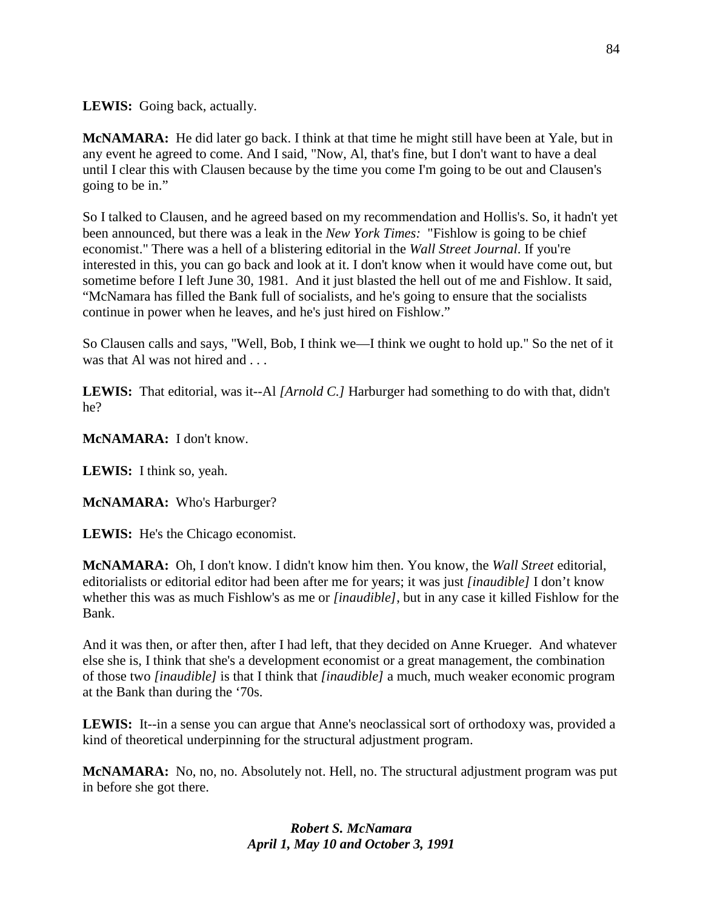**LEWIS:** Going back, actually.

**McNAMARA:** He did later go back. I think at that time he might still have been at Yale, but in any event he agreed to come. And I said, "Now, Al, that's fine, but I don't want to have a deal until I clear this with Clausen because by the time you come I'm going to be out and Clausen's going to be in."

So I talked to Clausen, and he agreed based on my recommendation and Hollis's. So, it hadn't yet been announced, but there was a leak in the *New York Times:* "Fishlow is going to be chief economist." There was a hell of a blistering editorial in the *Wall Street Journal*. If you're interested in this, you can go back and look at it. I don't know when it would have come out, but sometime before I left June 30, 1981. And it just blasted the hell out of me and Fishlow. It said, "McNamara has filled the Bank full of socialists, and he's going to ensure that the socialists continue in power when he leaves, and he's just hired on Fishlow."

So Clausen calls and says, "Well, Bob, I think we—I think we ought to hold up." So the net of it was that Al was not hired and . . .

**LEWIS:** That editorial, was it--Al *[Arnold C.]* Harburger had something to do with that, didn't he?

**McNAMARA:** I don't know.

**LEWIS:** I think so, yeah.

**McNAMARA:** Who's Harburger?

**LEWIS:** He's the Chicago economist.

**McNAMARA:** Oh, I don't know. I didn't know him then. You know, the *Wall Street* editorial, editorialists or editorial editor had been after me for years; it was just *[inaudible]* I don't know whether this was as much Fishlow's as me or *[inaudible]*, but in any case it killed Fishlow for the Bank.

And it was then, or after then, after I had left, that they decided on Anne Krueger. And whatever else she is, I think that she's a development economist or a great management, the combination of those two *[inaudible]* is that I think that *[inaudible]* a much, much weaker economic program at the Bank than during the '70s.

**LEWIS:** It--in a sense you can argue that Anne's neoclassical sort of orthodoxy was, provided a kind of theoretical underpinning for the structural adjustment program.

**McNAMARA:** No, no, no. Absolutely not. Hell, no. The structural adjustment program was put in before she got there.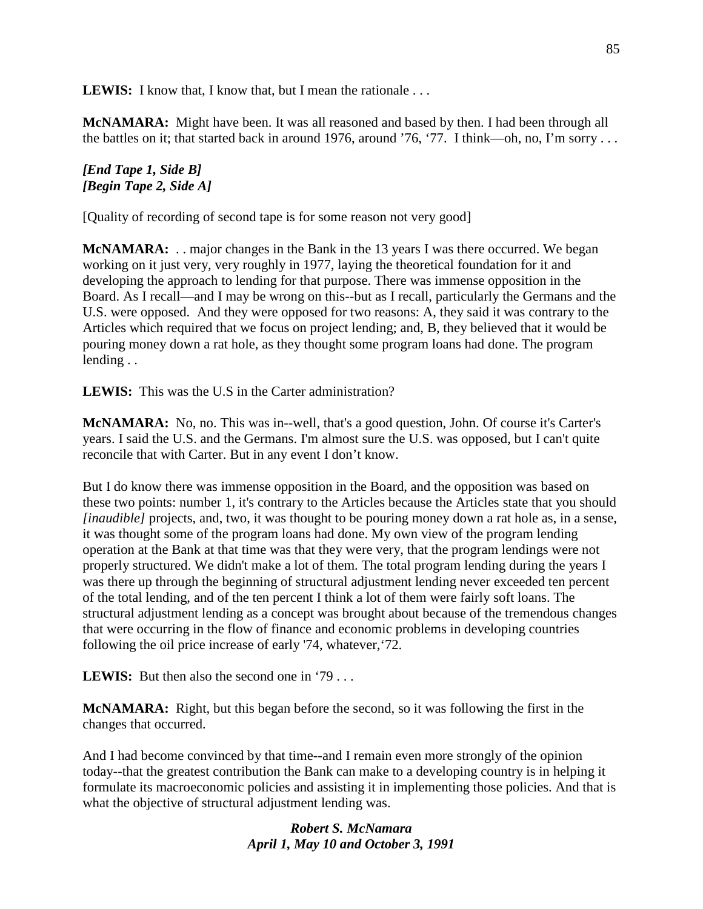LEWIS: I know that, I know that, but I mean the rationale . . .

**McNAMARA:** Might have been. It was all reasoned and based by then. I had been through all the battles on it; that started back in around 1976, around '76, '77. I think—oh, no, I'm sorry . . .

## *[End Tape 1, Side B] [Begin Tape 2, Side A]*

[Quality of recording of second tape is for some reason not very good]

**McNAMARA:** . . major changes in the Bank in the 13 years I was there occurred. We began working on it just very, very roughly in 1977, laying the theoretical foundation for it and developing the approach to lending for that purpose. There was immense opposition in the Board. As I recall—and I may be wrong on this--but as I recall, particularly the Germans and the U.S. were opposed. And they were opposed for two reasons: A, they said it was contrary to the Articles which required that we focus on project lending; and, B, they believed that it would be pouring money down a rat hole, as they thought some program loans had done. The program lending . .

**LEWIS:** This was the U.S in the Carter administration?

**McNAMARA:** No, no. This was in--well, that's a good question, John. Of course it's Carter's years. I said the U.S. and the Germans. I'm almost sure the U.S. was opposed, but I can't quite reconcile that with Carter. But in any event I don't know.

But I do know there was immense opposition in the Board, and the opposition was based on these two points: number 1, it's contrary to the Articles because the Articles state that you should *[inaudible]* projects, and, two, it was thought to be pouring money down a rat hole as, in a sense, it was thought some of the program loans had done. My own view of the program lending operation at the Bank at that time was that they were very, that the program lendings were not properly structured. We didn't make a lot of them. The total program lending during the years I was there up through the beginning of structural adjustment lending never exceeded ten percent of the total lending, and of the ten percent I think a lot of them were fairly soft loans. The structural adjustment lending as a concept was brought about because of the tremendous changes that were occurring in the flow of finance and economic problems in developing countries following the oil price increase of early '74, whatever,'72.

**LEWIS:** But then also the second one in '79...

**McNAMARA:** Right, but this began before the second, so it was following the first in the changes that occurred.

And I had become convinced by that time--and I remain even more strongly of the opinion today--that the greatest contribution the Bank can make to a developing country is in helping it formulate its macroeconomic policies and assisting it in implementing those policies. And that is what the objective of structural adjustment lending was.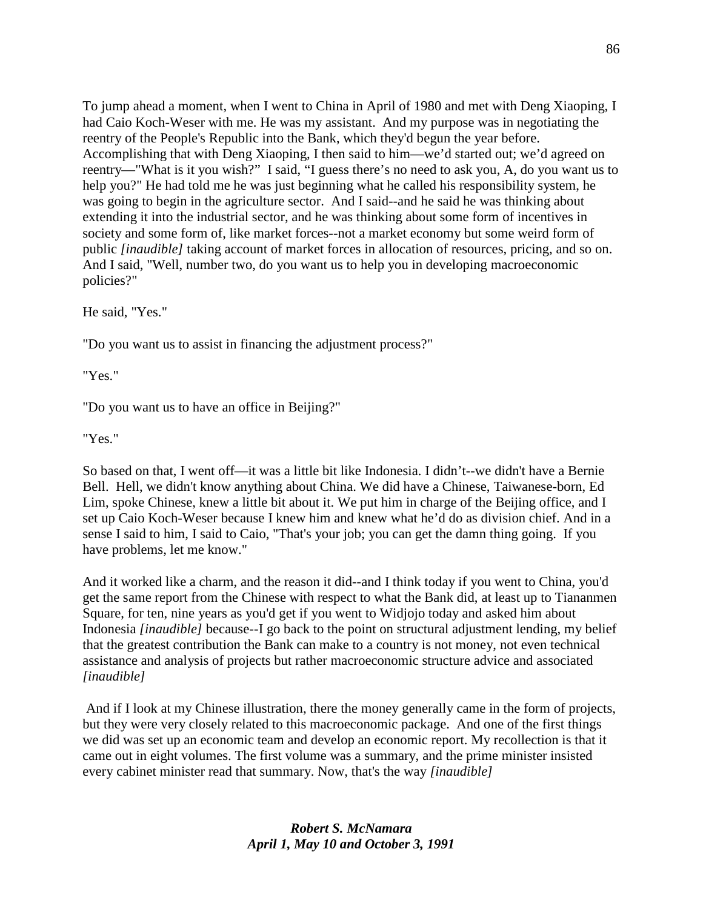To jump ahead a moment, when I went to China in April of 1980 and met with Deng Xiaoping, I had Caio Koch-Weser with me. He was my assistant. And my purpose was in negotiating the reentry of the People's Republic into the Bank, which they'd begun the year before. Accomplishing that with Deng Xiaoping, I then said to him—we'd started out; we'd agreed on reentry—"What is it you wish?" I said, "I guess there's no need to ask you, A, do you want us to help you?" He had told me he was just beginning what he called his responsibility system, he was going to begin in the agriculture sector. And I said--and he said he was thinking about extending it into the industrial sector, and he was thinking about some form of incentives in society and some form of, like market forces--not a market economy but some weird form of public *[inaudible]* taking account of market forces in allocation of resources, pricing, and so on. And I said, "Well, number two, do you want us to help you in developing macroeconomic policies?"

He said, "Yes."

"Do you want us to assist in financing the adjustment process?"

"Yes."

"Do you want us to have an office in Beijing?"

"Yes."

So based on that, I went off—it was a little bit like Indonesia. I didn't--we didn't have a Bernie Bell. Hell, we didn't know anything about China. We did have a Chinese, Taiwanese-born, Ed Lim, spoke Chinese, knew a little bit about it. We put him in charge of the Beijing office, and I set up Caio Koch-Weser because I knew him and knew what he'd do as division chief. And in a sense I said to him, I said to Caio, "That's your job; you can get the damn thing going. If you have problems, let me know."

And it worked like a charm, and the reason it did--and I think today if you went to China, you'd get the same report from the Chinese with respect to what the Bank did, at least up to Tiananmen Square, for ten, nine years as you'd get if you went to Widjojo today and asked him about Indonesia *[inaudible]* because--I go back to the point on structural adjustment lending, my belief that the greatest contribution the Bank can make to a country is not money, not even technical assistance and analysis of projects but rather macroeconomic structure advice and associated *[inaudible]* 

And if I look at my Chinese illustration, there the money generally came in the form of projects, but they were very closely related to this macroeconomic package. And one of the first things we did was set up an economic team and develop an economic report. My recollection is that it came out in eight volumes. The first volume was a summary, and the prime minister insisted every cabinet minister read that summary. Now, that's the way *[inaudible]*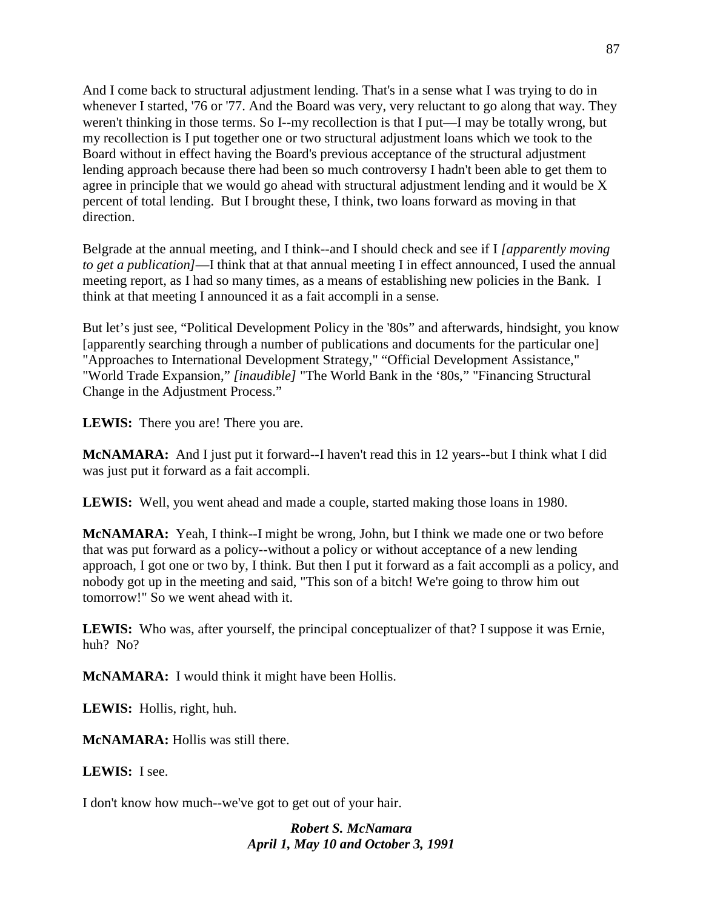And I come back to structural adjustment lending. That's in a sense what I was trying to do in whenever I started, '76 or '77. And the Board was very, very reluctant to go along that way. They weren't thinking in those terms. So I--my recollection is that I put—I may be totally wrong, but my recollection is I put together one or two structural adjustment loans which we took to the Board without in effect having the Board's previous acceptance of the structural adjustment lending approach because there had been so much controversy I hadn't been able to get them to agree in principle that we would go ahead with structural adjustment lending and it would be X percent of total lending. But I brought these, I think, two loans forward as moving in that direction.

Belgrade at the annual meeting, and I think--and I should check and see if I *[apparently moving to get a publication]*—I think that at that annual meeting I in effect announced, I used the annual meeting report, as I had so many times, as a means of establishing new policies in the Bank. I think at that meeting I announced it as a fait accompli in a sense.

But let's just see, "Political Development Policy in the '80s" and afterwards, hindsight, you know [apparently searching through a number of publications and documents for the particular one] "Approaches to International Development Strategy," "Official Development Assistance," "World Trade Expansion," *[inaudible]* "The World Bank in the '80s," "Financing Structural Change in the Adjustment Process."

**LEWIS:** There you are! There you are.

**McNAMARA:** And I just put it forward--I haven't read this in 12 years--but I think what I did was just put it forward as a fait accompli.

**LEWIS:** Well, you went ahead and made a couple, started making those loans in 1980.

**McNAMARA:** Yeah, I think--I might be wrong, John, but I think we made one or two before that was put forward as a policy--without a policy or without acceptance of a new lending approach, I got one or two by, I think. But then I put it forward as a fait accompli as a policy, and nobody got up in the meeting and said, "This son of a bitch! We're going to throw him out tomorrow!" So we went ahead with it.

**LEWIS:** Who was, after yourself, the principal conceptualizer of that? I suppose it was Ernie, huh? No?

**McNAMARA:** I would think it might have been Hollis.

**LEWIS:** Hollis, right, huh.

**McNAMARA:** Hollis was still there.

**LEWIS:** I see.

I don't know how much--we've got to get out of your hair.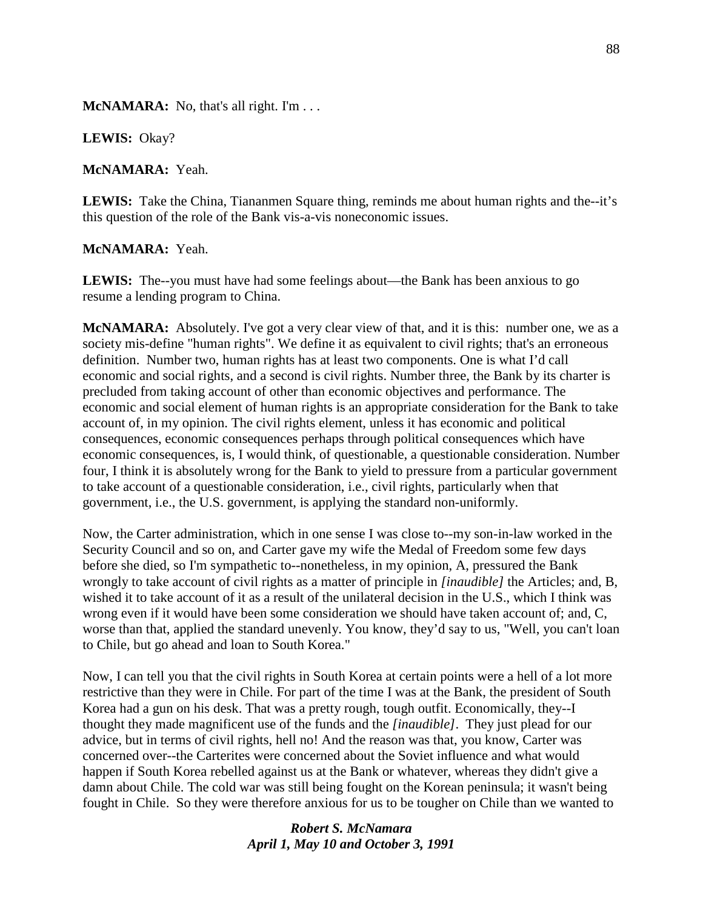**McNAMARA:** No, that's all right. I'm . . .

**LEWIS:** Okay?

**McNAMARA:** Yeah.

LEWIS: Take the China, Tiananmen Square thing, reminds me about human rights and the--it's this question of the role of the Bank vis-a-vis noneconomic issues.

#### **McNAMARA:** Yeah.

**LEWIS:** The--you must have had some feelings about—the Bank has been anxious to go resume a lending program to China.

**McNAMARA:** Absolutely. I've got a very clear view of that, and it is this: number one, we as a society mis-define "human rights". We define it as equivalent to civil rights; that's an erroneous definition. Number two, human rights has at least two components. One is what I'd call economic and social rights, and a second is civil rights. Number three, the Bank by its charter is precluded from taking account of other than economic objectives and performance. The economic and social element of human rights is an appropriate consideration for the Bank to take account of, in my opinion. The civil rights element, unless it has economic and political consequences, economic consequences perhaps through political consequences which have economic consequences, is, I would think, of questionable, a questionable consideration. Number four, I think it is absolutely wrong for the Bank to yield to pressure from a particular government to take account of a questionable consideration, i.e., civil rights, particularly when that government, i.e., the U.S. government, is applying the standard non-uniformly.

Now, the Carter administration, which in one sense I was close to--my son-in-law worked in the Security Council and so on, and Carter gave my wife the Medal of Freedom some few days before she died, so I'm sympathetic to--nonetheless, in my opinion, A, pressured the Bank wrongly to take account of civil rights as a matter of principle in *[inaudible]* the Articles; and, B, wished it to take account of it as a result of the unilateral decision in the U.S., which I think was wrong even if it would have been some consideration we should have taken account of; and, C, worse than that, applied the standard unevenly. You know, they'd say to us, "Well, you can't loan to Chile, but go ahead and loan to South Korea."

Now, I can tell you that the civil rights in South Korea at certain points were a hell of a lot more restrictive than they were in Chile. For part of the time I was at the Bank, the president of South Korea had a gun on his desk. That was a pretty rough, tough outfit. Economically, they--I thought they made magnificent use of the funds and the *[inaudible]*. They just plead for our advice, but in terms of civil rights, hell no! And the reason was that, you know, Carter was concerned over--the Carterites were concerned about the Soviet influence and what would happen if South Korea rebelled against us at the Bank or whatever, whereas they didn't give a damn about Chile. The cold war was still being fought on the Korean peninsula; it wasn't being fought in Chile. So they were therefore anxious for us to be tougher on Chile than we wanted to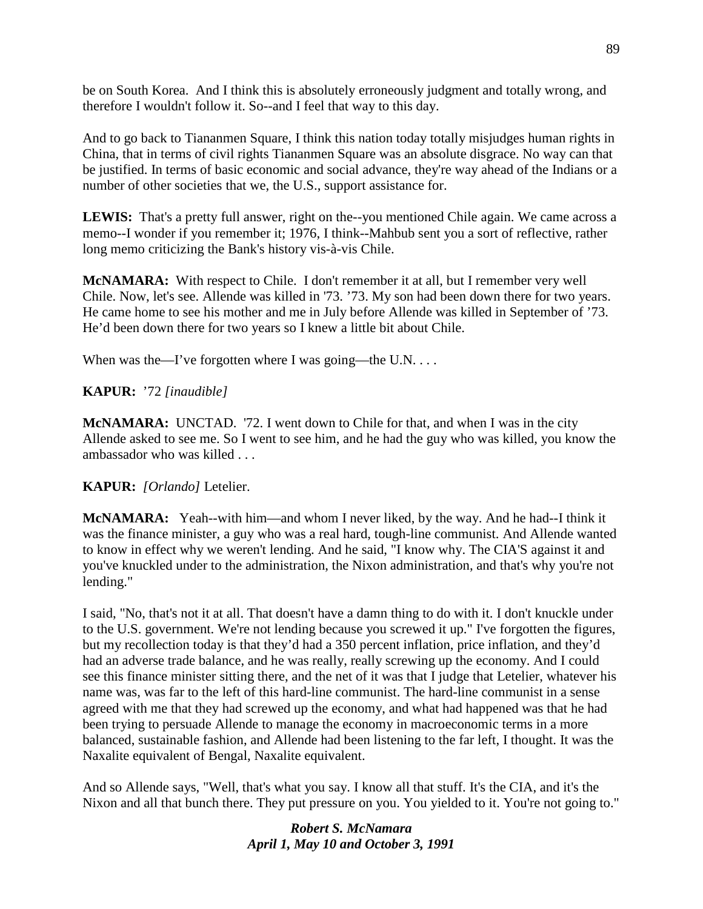be on South Korea. And I think this is absolutely erroneously judgment and totally wrong, and therefore I wouldn't follow it. So--and I feel that way to this day.

And to go back to Tiananmen Square, I think this nation today totally misjudges human rights in China, that in terms of civil rights Tiananmen Square was an absolute disgrace. No way can that be justified. In terms of basic economic and social advance, they're way ahead of the Indians or a number of other societies that we, the U.S., support assistance for.

**LEWIS:** That's a pretty full answer, right on the--you mentioned Chile again. We came across a memo--I wonder if you remember it; 1976, I think--Mahbub sent you a sort of reflective, rather long memo criticizing the Bank's history vis-à-vis Chile.

**McNAMARA:** With respect to Chile. I don't remember it at all, but I remember very well Chile. Now, let's see. Allende was killed in '73. '73. My son had been down there for two years. He came home to see his mother and me in July before Allende was killed in September of '73. He'd been down there for two years so I knew a little bit about Chile.

When was the—I've forgotten where I was going—the U.N. . . .

# **KAPUR:** '72 *[inaudible]*

**McNAMARA:** UNCTAD. '72. I went down to Chile for that, and when I was in the city Allende asked to see me. So I went to see him, and he had the guy who was killed, you know the ambassador who was killed . . .

## **KAPUR:** *[Orlando]* Letelier.

**McNAMARA:** Yeah--with him—and whom I never liked, by the way. And he had--I think it was the finance minister, a guy who was a real hard, tough-line communist. And Allende wanted to know in effect why we weren't lending. And he said, "I know why. The CIA'S against it and you've knuckled under to the administration, the Nixon administration, and that's why you're not lending."

I said, "No, that's not it at all. That doesn't have a damn thing to do with it. I don't knuckle under to the U.S. government. We're not lending because you screwed it up." I've forgotten the figures, but my recollection today is that they'd had a 350 percent inflation, price inflation, and they'd had an adverse trade balance, and he was really, really screwing up the economy. And I could see this finance minister sitting there, and the net of it was that I judge that Letelier, whatever his name was, was far to the left of this hard-line communist. The hard-line communist in a sense agreed with me that they had screwed up the economy, and what had happened was that he had been trying to persuade Allende to manage the economy in macroeconomic terms in a more balanced, sustainable fashion, and Allende had been listening to the far left, I thought. It was the Naxalite equivalent of Bengal, Naxalite equivalent.

And so Allende says, "Well, that's what you say. I know all that stuff. It's the CIA, and it's the Nixon and all that bunch there. They put pressure on you. You yielded to it. You're not going to."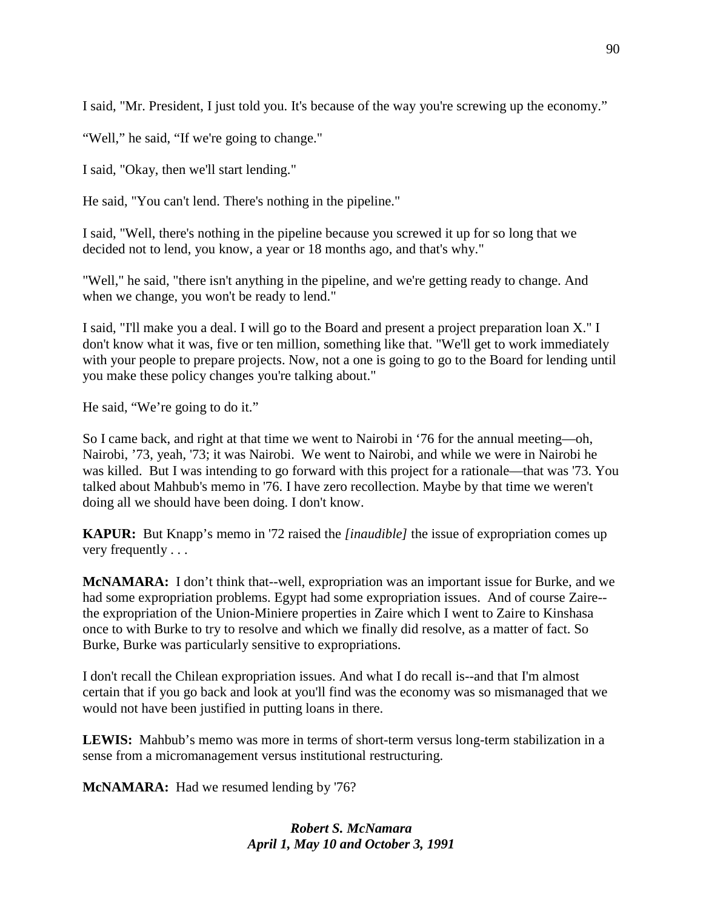I said, "Mr. President, I just told you. It's because of the way you're screwing up the economy."

"Well," he said, "If we're going to change."

I said, "Okay, then we'll start lending."

He said, "You can't lend. There's nothing in the pipeline."

I said, "Well, there's nothing in the pipeline because you screwed it up for so long that we decided not to lend, you know, a year or 18 months ago, and that's why."

"Well," he said, "there isn't anything in the pipeline, and we're getting ready to change. And when we change, you won't be ready to lend."

I said, "I'll make you a deal. I will go to the Board and present a project preparation loan X." I don't know what it was, five or ten million, something like that. "We'll get to work immediately with your people to prepare projects. Now, not a one is going to go to the Board for lending until you make these policy changes you're talking about."

He said, "We're going to do it."

So I came back, and right at that time we went to Nairobi in '76 for the annual meeting—oh, Nairobi, '73, yeah, '73; it was Nairobi. We went to Nairobi, and while we were in Nairobi he was killed. But I was intending to go forward with this project for a rationale—that was '73. You talked about Mahbub's memo in '76. I have zero recollection. Maybe by that time we weren't doing all we should have been doing. I don't know.

**KAPUR:** But Knapp's memo in '72 raised the *[inaudible]* the issue of expropriation comes up very frequently . . .

**McNAMARA:** I don't think that--well, expropriation was an important issue for Burke, and we had some expropriation problems. Egypt had some expropriation issues. And of course Zaire- the expropriation of the Union-Miniere properties in Zaire which I went to Zaire to Kinshasa once to with Burke to try to resolve and which we finally did resolve, as a matter of fact. So Burke, Burke was particularly sensitive to expropriations.

I don't recall the Chilean expropriation issues. And what I do recall is--and that I'm almost certain that if you go back and look at you'll find was the economy was so mismanaged that we would not have been justified in putting loans in there.

**LEWIS:** Mahbub's memo was more in terms of short-term versus long-term stabilization in a sense from a micromanagement versus institutional restructuring.

**McNAMARA:** Had we resumed lending by '76?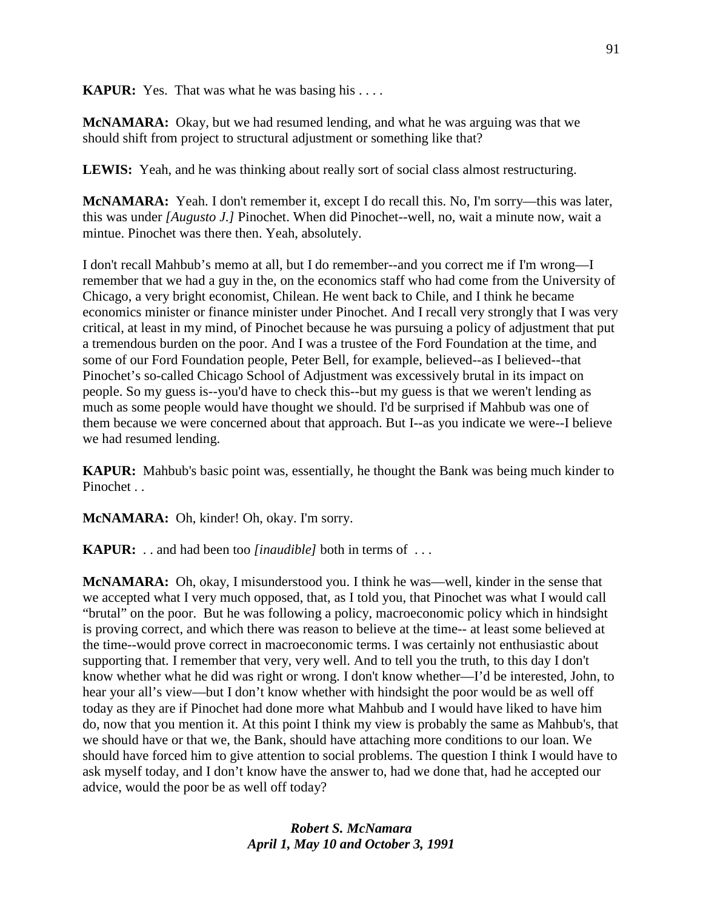**KAPUR:** Yes. That was what he was basing his . . . .

**McNAMARA:** Okay, but we had resumed lending, and what he was arguing was that we should shift from project to structural adjustment or something like that?

**LEWIS:** Yeah, and he was thinking about really sort of social class almost restructuring.

**McNAMARA:** Yeah. I don't remember it, except I do recall this. No, I'm sorry—this was later, this was under *[Augusto J.]* Pinochet. When did Pinochet--well, no, wait a minute now, wait a mintue. Pinochet was there then. Yeah, absolutely.

I don't recall Mahbub's memo at all, but I do remember--and you correct me if I'm wrong—I remember that we had a guy in the, on the economics staff who had come from the University of Chicago, a very bright economist, Chilean. He went back to Chile, and I think he became economics minister or finance minister under Pinochet. And I recall very strongly that I was very critical, at least in my mind, of Pinochet because he was pursuing a policy of adjustment that put a tremendous burden on the poor. And I was a trustee of the Ford Foundation at the time, and some of our Ford Foundation people, Peter Bell, for example, believed--as I believed--that Pinochet's so-called Chicago School of Adjustment was excessively brutal in its impact on people. So my guess is--you'd have to check this--but my guess is that we weren't lending as much as some people would have thought we should. I'd be surprised if Mahbub was one of them because we were concerned about that approach. But I--as you indicate we were--I believe we had resumed lending.

**KAPUR:** Mahbub's basic point was, essentially, he thought the Bank was being much kinder to Pinochet ...

**McNAMARA:** Oh, kinder! Oh, okay. I'm sorry.

**KAPUR:** . . and had been too *[inaudible]* both in terms of . . .

**McNAMARA:** Oh, okay, I misunderstood you. I think he was—well, kinder in the sense that we accepted what I very much opposed, that, as I told you, that Pinochet was what I would call "brutal" on the poor. But he was following a policy, macroeconomic policy which in hindsight is proving correct, and which there was reason to believe at the time-- at least some believed at the time--would prove correct in macroeconomic terms. I was certainly not enthusiastic about supporting that. I remember that very, very well. And to tell you the truth, to this day I don't know whether what he did was right or wrong. I don't know whether—I'd be interested, John, to hear your all's view—but I don't know whether with hindsight the poor would be as well off today as they are if Pinochet had done more what Mahbub and I would have liked to have him do, now that you mention it. At this point I think my view is probably the same as Mahbub's, that we should have or that we, the Bank, should have attaching more conditions to our loan. We should have forced him to give attention to social problems. The question I think I would have to ask myself today, and I don't know have the answer to, had we done that, had he accepted our advice, would the poor be as well off today?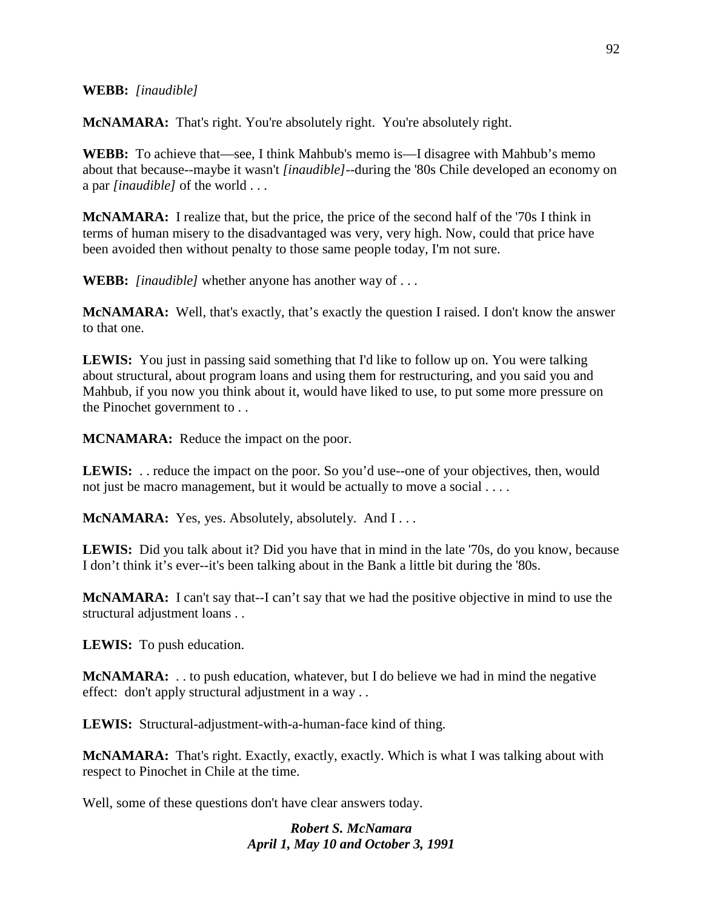#### **WEBB:** *[inaudible]*

**McNAMARA:** That's right. You're absolutely right. You're absolutely right.

**WEBB:** To achieve that—see, I think Mahbub's memo is—I disagree with Mahbub's memo about that because--maybe it wasn't *[inaudible]*--during the '80s Chile developed an economy on a par *[inaudible]* of the world . . .

**McNAMARA:** I realize that, but the price, the price of the second half of the '70s I think in terms of human misery to the disadvantaged was very, very high. Now, could that price have been avoided then without penalty to those same people today, I'm not sure.

**WEBB:** *[inaudible]* whether anyone has another way of . . .

**McNAMARA:** Well, that's exactly, that's exactly the question I raised. I don't know the answer to that one.

**LEWIS:** You just in passing said something that I'd like to follow up on. You were talking about structural, about program loans and using them for restructuring, and you said you and Mahbub, if you now you think about it, would have liked to use, to put some more pressure on the Pinochet government to . .

**MCNAMARA:** Reduce the impact on the poor.

LEWIS: . . reduce the impact on the poor. So you'd use--one of your objectives, then, would not just be macro management, but it would be actually to move a social . . . .

**McNAMARA:** Yes, yes. Absolutely, absolutely. And I...

**LEWIS:** Did you talk about it? Did you have that in mind in the late '70s, do you know, because I don't think it's ever--it's been talking about in the Bank a little bit during the '80s.

**McNAMARA:** I can't say that--I can't say that we had the positive objective in mind to use the structural adjustment loans . .

**LEWIS:** To push education.

**McNAMARA:** . . to push education, whatever, but I do believe we had in mind the negative effect: don't apply structural adjustment in a way . .

**LEWIS:** Structural-adjustment-with-a-human-face kind of thing.

**McNAMARA:** That's right. Exactly, exactly, exactly. Which is what I was talking about with respect to Pinochet in Chile at the time.

Well, some of these questions don't have clear answers today.